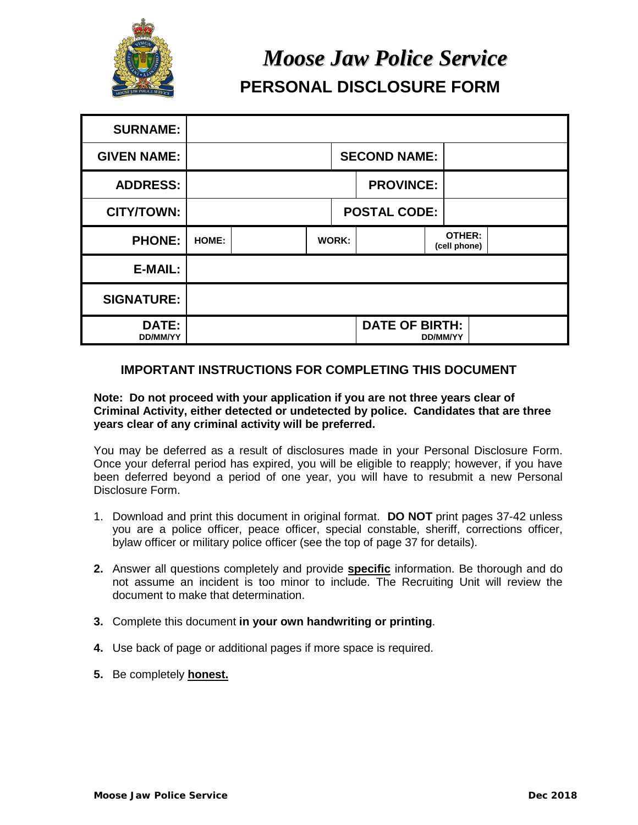

# *Moose Jaw Police Service* **PERSONAL DISCLOSURE FORM**

| <b>SURNAME:</b>          |                     |       |  |                        |                 |
|--------------------------|---------------------|-------|--|------------------------|-----------------|
| <b>GIVEN NAME:</b>       | <b>SECOND NAME:</b> |       |  |                        |                 |
| <b>ADDRESS:</b>          | <b>PROVINCE:</b>    |       |  |                        |                 |
| <b>CITY/TOWN:</b>        | <b>POSTAL CODE:</b> |       |  |                        |                 |
| <b>PHONE:</b>            | HOME:               | WORK: |  | OTHER:<br>(cell phone) |                 |
| <b>E-MAIL:</b>           |                     |       |  |                        |                 |
| <b>SIGNATURE:</b>        |                     |       |  |                        |                 |
| DATE:<br><b>DD/MM/YY</b> |                     |       |  | <b>DATE OF BIRTH:</b>  | <b>DD/MM/YY</b> |

# **IMPORTANT INSTRUCTIONS FOR COMPLETING THIS DOCUMENT**

#### **Note: Do not proceed with your application if you are not three years clear of Criminal Activity, either detected or undetected by police. Candidates that are three years clear of any criminal activity will be preferred.**

You may be deferred as a result of disclosures made in your Personal Disclosure Form. Once your deferral period has expired, you will be eligible to reapply; however, if you have been deferred beyond a period of one year, you will have to resubmit a new Personal Disclosure Form.

- 1. Download and print this document in original format. **DO NOT** print pages 37-42 unless you are a police officer, peace officer, special constable, sheriff, corrections officer, bylaw officer or military police officer (see the top of page 37 for details).
- **2.** Answer all questions completely and provide **specific** information. Be thorough and do not assume an incident is too minor to include. The Recruiting Unit will review the document to make that determination.
- **3.** Complete this document **in your own handwriting or printing**.
- **4.** Use back of page or additional pages if more space is required.
- **5.** Be completely **honest.**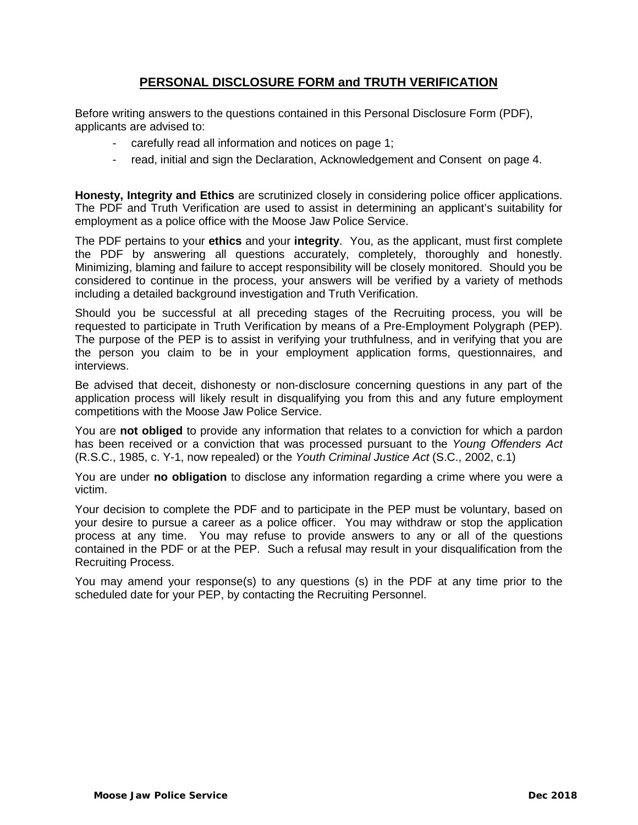# **PERSONAL DISCLOSURE FORM and TRUTH VERIFICATION**

Before writing answers to the questions contained in this Personal Disclosure Form (PDF), applicants are advised to:

- carefully read all information and notices on page 1;
- read, initial and sign the Declaration, Acknowledgement and Consent on page 4.

**Honesty, Integrity and Ethics** are scrutinized closely in considering police officer applications. The PDF and Truth Verification are used to assist in determining an applicant's suitability for employment as a police office with the Moose Jaw Police Service.

The PDF pertains to your **ethics** and your **integrity**. You, as the applicant, must first complete the PDF by answering all questions accurately, completely, thoroughly and honestly. Minimizing, blaming and failure to accept responsibility will be closely monitored. Should you be considered to continue in the process, your answers will be verified by a variety of methods including a detailed background investigation and Truth Verification.

Should you be successful at all preceding stages of the Recruiting process, you will be requested to participate in Truth Verification by means of a Pre-Employment Polygraph (PEP). The purpose of the PEP is to assist in verifying your truthfulness, and in verifying that you are the person you claim to be in your employment application forms, questionnaires, and interviews.

Be advised that deceit, dishonesty or non-disclosure concerning questions in any part of the application process will likely result in disqualifying you from this and any future employment competitions with the Moose Jaw Police Service.

You are **not obliged** to provide any information that relates to a conviction for which a pardon has been received or a conviction that was processed pursuant to the *Young Offenders Act*  (R.S.C., 1985, c. Y-1, now repealed) or the *Youth Criminal Justice Act* (S.C., 2002, c.1)

You are under **no obligation** to disclose any information regarding a crime where you were a victim.

Your decision to complete the PDF and to participate in the PEP must be voluntary, based on your desire to pursue a career as a police officer. You may withdraw or stop the application process at any time. You may refuse to provide answers to any or all of the questions contained in the PDF or at the PEP. Such a refusal may result in your disqualification from the Recruiting Process.

You may amend your response(s) to any questions (s) in the PDF at any time prior to the scheduled date for your PEP, by contacting the Recruiting Personnel.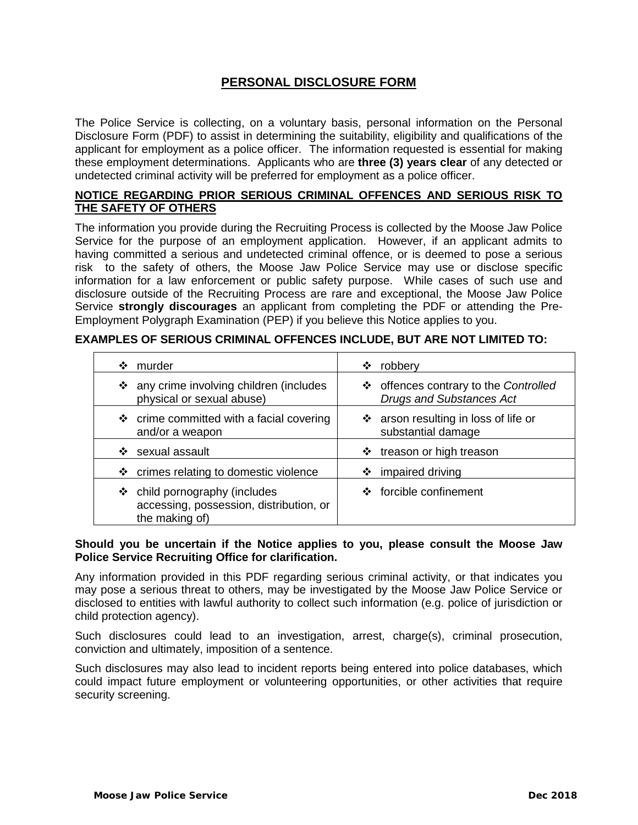# **PERSONAL DISCLOSURE FORM**

The Police Service is collecting, on a voluntary basis, personal information on the Personal Disclosure Form (PDF) to assist in determining the suitability, eligibility and qualifications of the applicant for employment as a police officer. The information requested is essential for making these employment determinations. Applicants who are **three (3) years clear** of any detected or undetected criminal activity will be preferred for employment as a police officer.

#### **NOTICE REGARDING PRIOR SERIOUS CRIMINAL OFFENCES AND SERIOUS RISK TO THE SAFETY OF OTHERS**

The information you provide during the Recruiting Process is collected by the Moose Jaw Police Service for the purpose of an employment application. However, if an applicant admits to having committed a serious and undetected criminal offence, or is deemed to pose a serious risk to the safety of others, the Moose Jaw Police Service may use or disclose specific information for a law enforcement or public safety purpose. While cases of such use and disclosure outside of the Recruiting Process are rare and exceptional, the Moose Jaw Police Service **strongly discourages** an applicant from completing the PDF or attending the Pre-Employment Polygraph Examination (PEP) if you believe this Notice applies to you.

## **EXAMPLES OF SERIOUS CRIMINAL OFFENCES INCLUDE, BUT ARE NOT LIMITED TO:**

| murder                                                                                     | robbery                               |
|--------------------------------------------------------------------------------------------|---------------------------------------|
| ❖                                                                                          | ❖                                     |
| ❖ any crime involving children (includes                                                   | ❖ offences contrary to the Controlled |
| physical or sexual abuse)                                                                  | <b>Drugs and Substances Act</b>       |
| ❖ crime committed with a facial covering                                                   | ❖ arson resulting in loss of life or  |
| and/or a weapon                                                                            | substantial damage                    |
| sexual assault                                                                             | treason or high treason               |
| ❖                                                                                          | ❖                                     |
| ❖ crimes relating to domestic violence                                                     | impaired driving<br>❖                 |
| ❖ child pornography (includes<br>accessing, possession, distribution, or<br>the making of) | ❖ forcible confinement                |

#### **Should you be uncertain if the Notice applies to you, please consult the Moose Jaw Police Service Recruiting Office for clarification.**

Any information provided in this PDF regarding serious criminal activity, or that indicates you may pose a serious threat to others, may be investigated by the Moose Jaw Police Service or disclosed to entities with lawful authority to collect such information (e.g. police of jurisdiction or child protection agency).

Such disclosures could lead to an investigation, arrest, charge(s), criminal prosecution, conviction and ultimately, imposition of a sentence.

Such disclosures may also lead to incident reports being entered into police databases, which could impact future employment or volunteering opportunities, or other activities that require security screening.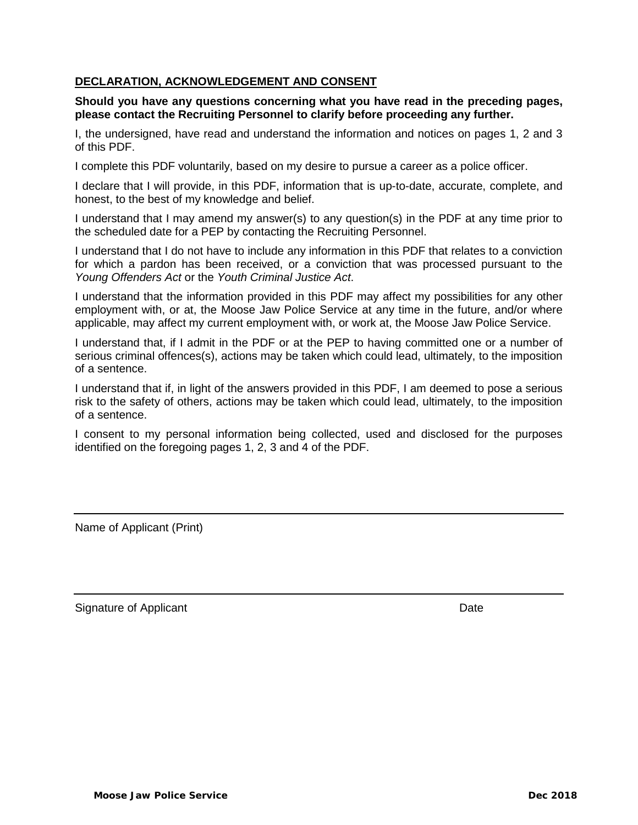## **DECLARATION, ACKNOWLEDGEMENT AND CONSENT**

#### **Should you have any questions concerning what you have read in the preceding pages, please contact the Recruiting Personnel to clarify before proceeding any further.**

I, the undersigned, have read and understand the information and notices on pages 1, 2 and 3 of this PDF.

I complete this PDF voluntarily, based on my desire to pursue a career as a police officer.

I declare that I will provide, in this PDF, information that is up-to-date, accurate, complete, and honest, to the best of my knowledge and belief.

I understand that I may amend my answer(s) to any question(s) in the PDF at any time prior to the scheduled date for a PEP by contacting the Recruiting Personnel.

I understand that I do not have to include any information in this PDF that relates to a conviction for which a pardon has been received, or a conviction that was processed pursuant to the *Young Offenders Act* or the *Youth Criminal Justice Act*.

I understand that the information provided in this PDF may affect my possibilities for any other employment with, or at, the Moose Jaw Police Service at any time in the future, and/or where applicable, may affect my current employment with, or work at, the Moose Jaw Police Service.

I understand that, if I admit in the PDF or at the PEP to having committed one or a number of serious criminal offences(s), actions may be taken which could lead, ultimately, to the imposition of a sentence.

I understand that if, in light of the answers provided in this PDF, I am deemed to pose a serious risk to the safety of others, actions may be taken which could lead, ultimately, to the imposition of a sentence.

I consent to my personal information being collected, used and disclosed for the purposes identified on the foregoing pages 1, 2, 3 and 4 of the PDF.

Name of Applicant (Print)

Signature of Applicant Date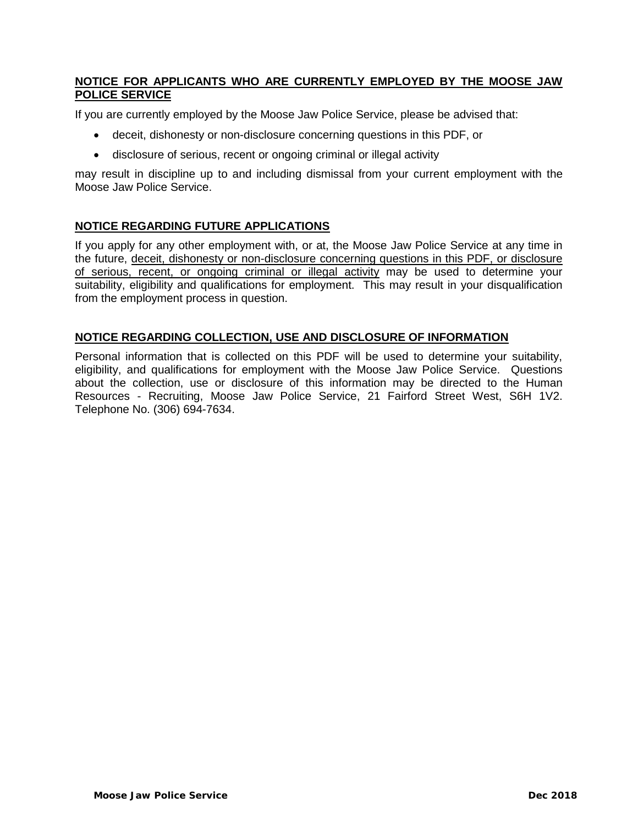## **NOTICE FOR APPLICANTS WHO ARE CURRENTLY EMPLOYED BY THE MOOSE JAW POLICE SERVICE**

If you are currently employed by the Moose Jaw Police Service, please be advised that:

- deceit, dishonesty or non-disclosure concerning questions in this PDF, or
- disclosure of serious, recent or ongoing criminal or illegal activity

may result in discipline up to and including dismissal from your current employment with the Moose Jaw Police Service.

## **NOTICE REGARDING FUTURE APPLICATIONS**

If you apply for any other employment with, or at, the Moose Jaw Police Service at any time in the future, deceit, dishonesty or non-disclosure concerning questions in this PDF, or disclosure of serious, recent, or ongoing criminal or illegal activity may be used to determine your suitability, eligibility and qualifications for employment. This may result in your disqualification from the employment process in question.

## **NOTICE REGARDING COLLECTION, USE AND DISCLOSURE OF INFORMATION**

Personal information that is collected on this PDF will be used to determine your suitability, eligibility, and qualifications for employment with the Moose Jaw Police Service. Questions about the collection, use or disclosure of this information may be directed to the Human Resources - Recruiting, Moose Jaw Police Service, 21 Fairford Street West, S6H 1V2. Telephone No. (306) 694-7634.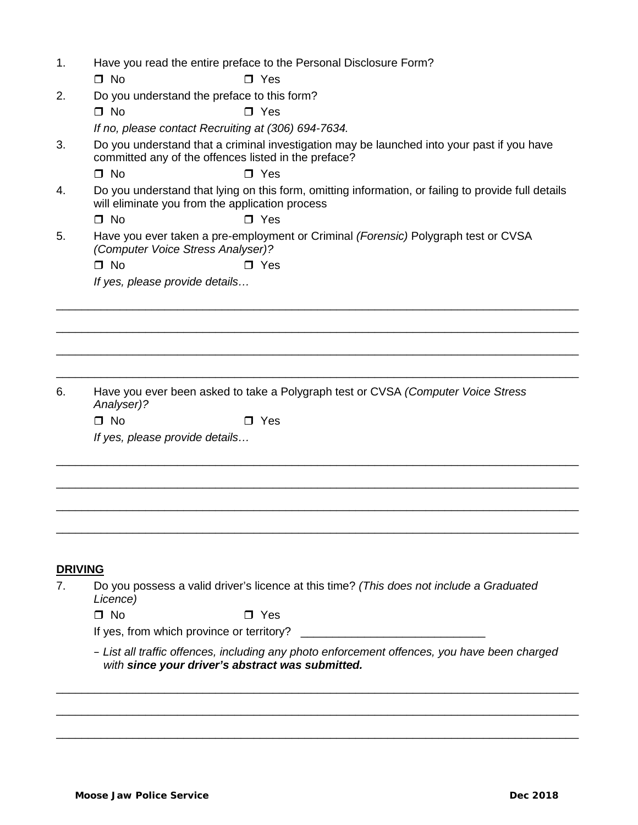| 1.             | Have you read the entire preface to the Personal Disclosure Form?<br>$\Box$ No<br>$\blacksquare$ Yes                                                   |
|----------------|--------------------------------------------------------------------------------------------------------------------------------------------------------|
| 2.             | Do you understand the preface to this form?                                                                                                            |
|                | $\Box$ No<br>$\Box$ Yes                                                                                                                                |
|                | If no, please contact Recruiting at (306) 694-7634.                                                                                                    |
| 3.             | Do you understand that a criminal investigation may be launched into your past if you have<br>committed any of the offences listed in the preface?     |
|                | $\Box$ No<br>$\Box$ Yes                                                                                                                                |
| 4.             | Do you understand that lying on this form, omitting information, or failing to provide full details<br>will eliminate you from the application process |
|                | $\Box$ No<br>$\Box$ Yes                                                                                                                                |
| 5.             | Have you ever taken a pre-employment or Criminal (Forensic) Polygraph test or CVSA<br>(Computer Voice Stress Analyser)?                                |
|                | $\square$ No<br>$\Box$ Yes                                                                                                                             |
|                | If yes, please provide details                                                                                                                         |
| 6.             | Have you ever been asked to take a Polygraph test or CVSA (Computer Voice Stress                                                                       |
|                | Analyser)?                                                                                                                                             |
|                | $\Box$ No<br>$\Box$ Yes                                                                                                                                |
|                | If yes, please provide details                                                                                                                         |
|                |                                                                                                                                                        |
| <b>DRIVING</b> |                                                                                                                                                        |
| 7.             | Do you possess a valid driver's licence at this time? (This does not include a Graduated<br>Licence)                                                   |
|                | $\Box$ No<br>$\Box$ Yes                                                                                                                                |
|                | If yes, from which province or territory?                                                                                                              |
|                | - List all traffic offences, including any photo enforcement offences, you have been charged<br>with since your driver's abstract was submitted.       |

\_\_\_\_\_\_\_\_\_\_\_\_\_\_\_\_\_\_\_\_\_\_\_\_\_\_\_\_\_\_\_\_\_\_\_\_\_\_\_\_\_\_\_\_\_\_\_\_\_\_\_\_\_\_\_\_\_\_\_\_\_\_\_\_\_\_\_\_\_\_\_\_\_\_\_\_\_\_\_\_\_\_

\_\_\_\_\_\_\_\_\_\_\_\_\_\_\_\_\_\_\_\_\_\_\_\_\_\_\_\_\_\_\_\_\_\_\_\_\_\_\_\_\_\_\_\_\_\_\_\_\_\_\_\_\_\_\_\_\_\_\_\_\_\_\_\_\_\_\_\_\_\_\_\_\_\_\_\_\_\_\_\_\_\_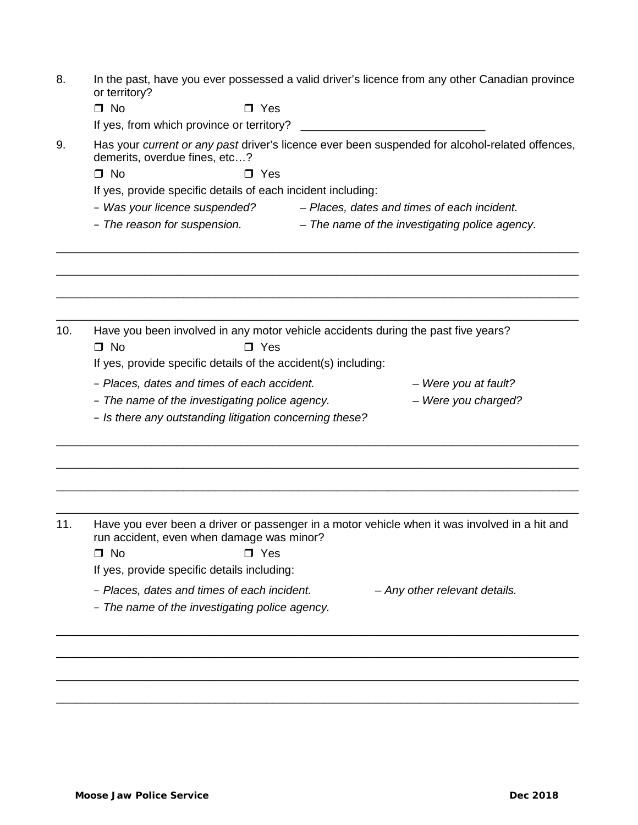| In the past, have you ever possessed a valid driver's licence from any other Canadian province |
|------------------------------------------------------------------------------------------------|
| or territory?                                                                                  |

If yes, from which province or territory? \_\_\_\_\_\_\_\_\_\_\_\_\_\_\_\_\_\_\_\_\_\_\_\_\_\_\_\_\_

9. Has your *current or any past* driver's licence ever been suspended for alcohol-related offences, demerits, overdue fines, etc…?

 $\Box$  No  $\Box$  Yes

If yes, provide specific details of each incident including:

– *Was your licence suspended? – Places, dates and times of each incident.*

\_\_\_\_\_\_\_\_\_\_\_\_\_\_\_\_\_\_\_\_\_\_\_\_\_\_\_\_\_\_\_\_\_\_\_\_\_\_\_\_\_\_\_\_\_\_\_\_\_\_\_\_\_\_\_\_\_\_\_\_\_\_\_\_\_\_\_\_\_\_\_\_\_\_\_\_\_\_\_\_\_\_

\_\_\_\_\_\_\_\_\_\_\_\_\_\_\_\_\_\_\_\_\_\_\_\_\_\_\_\_\_\_\_\_\_\_\_\_\_\_\_\_\_\_\_\_\_\_\_\_\_\_\_\_\_\_\_\_\_\_\_\_\_\_\_\_\_\_\_\_\_\_\_\_\_\_\_\_\_\_\_\_\_\_

\_\_\_\_\_\_\_\_\_\_\_\_\_\_\_\_\_\_\_\_\_\_\_\_\_\_\_\_\_\_\_\_\_\_\_\_\_\_\_\_\_\_\_\_\_\_\_\_\_\_\_\_\_\_\_\_\_\_\_\_\_\_\_\_\_\_\_\_\_\_\_\_\_\_\_\_\_\_\_\_\_\_

\_\_\_\_\_\_\_\_\_\_\_\_\_\_\_\_\_\_\_\_\_\_\_\_\_\_\_\_\_\_\_\_\_\_\_\_\_\_\_\_\_\_\_\_\_\_\_\_\_\_\_\_\_\_\_\_\_\_\_\_\_\_\_\_\_\_\_\_\_\_\_\_\_\_\_\_\_\_\_\_\_\_

– *The reason for suspension. – The name of the investigating police agency.*

10. Have you been involved in any motor vehicle accidents during the past five years?  $\Box$  No  $\Box$  Yes If yes, provide specific details of the accident(s) including:

- *Places, dates and times of each accident. – Were you at fault?*
- 
- *The name of the investigating police agency. – Were you charged?*
- *Is there any outstanding litigation concerning these?*

11. Have you ever been a driver or passenger in a motor vehicle when it was involved in a hit and run accident, even when damage was minor?

\_\_\_\_\_\_\_\_\_\_\_\_\_\_\_\_\_\_\_\_\_\_\_\_\_\_\_\_\_\_\_\_\_\_\_\_\_\_\_\_\_\_\_\_\_\_\_\_\_\_\_\_\_\_\_\_\_\_\_\_\_\_\_\_\_\_\_\_\_\_\_\_\_\_\_\_\_\_\_\_\_\_

\_\_\_\_\_\_\_\_\_\_\_\_\_\_\_\_\_\_\_\_\_\_\_\_\_\_\_\_\_\_\_\_\_\_\_\_\_\_\_\_\_\_\_\_\_\_\_\_\_\_\_\_\_\_\_\_\_\_\_\_\_\_\_\_\_\_\_\_\_\_\_\_\_\_\_\_\_\_\_\_\_\_

\_\_\_\_\_\_\_\_\_\_\_\_\_\_\_\_\_\_\_\_\_\_\_\_\_\_\_\_\_\_\_\_\_\_\_\_\_\_\_\_\_\_\_\_\_\_\_\_\_\_\_\_\_\_\_\_\_\_\_\_\_\_\_\_\_\_\_\_\_\_\_\_\_\_\_\_\_\_\_\_\_\_

\_\_\_\_\_\_\_\_\_\_\_\_\_\_\_\_\_\_\_\_\_\_\_\_\_\_\_\_\_\_\_\_\_\_\_\_\_\_\_\_\_\_\_\_\_\_\_\_\_\_\_\_\_\_\_\_\_\_\_\_\_\_\_\_\_\_\_\_\_\_\_\_\_\_\_\_\_\_\_\_\_\_

\_\_\_\_\_\_\_\_\_\_\_\_\_\_\_\_\_\_\_\_\_\_\_\_\_\_\_\_\_\_\_\_\_\_\_\_\_\_\_\_\_\_\_\_\_\_\_\_\_\_\_\_\_\_\_\_\_\_\_\_\_\_\_\_\_\_\_\_\_\_\_\_\_\_\_\_\_\_\_\_\_\_

\_\_\_\_\_\_\_\_\_\_\_\_\_\_\_\_\_\_\_\_\_\_\_\_\_\_\_\_\_\_\_\_\_\_\_\_\_\_\_\_\_\_\_\_\_\_\_\_\_\_\_\_\_\_\_\_\_\_\_\_\_\_\_\_\_\_\_\_\_\_\_\_\_\_\_\_\_\_\_\_\_\_

\_\_\_\_\_\_\_\_\_\_\_\_\_\_\_\_\_\_\_\_\_\_\_\_\_\_\_\_\_\_\_\_\_\_\_\_\_\_\_\_\_\_\_\_\_\_\_\_\_\_\_\_\_\_\_\_\_\_\_\_\_\_\_\_\_\_\_\_\_\_\_\_\_\_\_\_\_\_\_\_\_\_

\_\_\_\_\_\_\_\_\_\_\_\_\_\_\_\_\_\_\_\_\_\_\_\_\_\_\_\_\_\_\_\_\_\_\_\_\_\_\_\_\_\_\_\_\_\_\_\_\_\_\_\_\_\_\_\_\_\_\_\_\_\_\_\_\_\_\_\_\_\_\_\_\_\_\_\_\_\_\_\_\_\_

 $\Box$  No  $\Box$  Yes

If yes, provide specific details including:

- *Places, dates and times of each incident. – Any other relevant details.*
	-
- *The name of the investigating police agency.*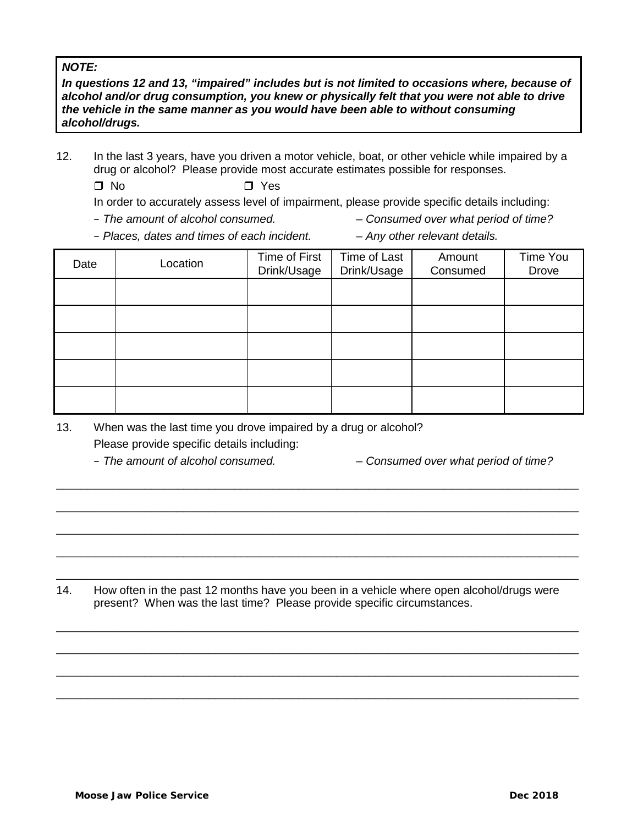## *NOTE:*

*In questions 12 and 13, "impaired" includes but is not limited to occasions where, because of alcohol and/or drug consumption, you knew or physically felt that you were not able to drive the vehicle in the same manner as you would have been able to without consuming alcohol/drugs.* 

12. In the last 3 years, have you driven a motor vehicle, boat, or other vehicle while impaired by a drug or alcohol? Please provide most accurate estimates possible for responses.

 $\Box$  No  $\Box$  Yes

In order to accurately assess level of impairment, please provide specific details including:

- *The amount of alcohol consumed. – Consumed over what period of time?*
- *Places, dates and times of each incident. – Any other relevant details.*
- 

| Date | Location | Time of First<br>Drink/Usage | Time of Last<br>Drink/Usage | Amount<br>Consumed | Time You<br>Drove |
|------|----------|------------------------------|-----------------------------|--------------------|-------------------|
|      |          |                              |                             |                    |                   |
|      |          |                              |                             |                    |                   |
|      |          |                              |                             |                    |                   |
|      |          |                              |                             |                    |                   |
|      |          |                              |                             |                    |                   |

13. When was the last time you drove impaired by a drug or alcohol?

Please provide specific details including:

– *The amount of alcohol consumed. – Consumed over what period of time?*

14. How often in the past 12 months have you been in a vehicle where open alcohol/drugs were present? When was the last time? Please provide specific circumstances.

\_\_\_\_\_\_\_\_\_\_\_\_\_\_\_\_\_\_\_\_\_\_\_\_\_\_\_\_\_\_\_\_\_\_\_\_\_\_\_\_\_\_\_\_\_\_\_\_\_\_\_\_\_\_\_\_\_\_\_\_\_\_\_\_\_\_\_\_\_\_\_\_\_\_\_\_\_\_\_\_\_\_

\_\_\_\_\_\_\_\_\_\_\_\_\_\_\_\_\_\_\_\_\_\_\_\_\_\_\_\_\_\_\_\_\_\_\_\_\_\_\_\_\_\_\_\_\_\_\_\_\_\_\_\_\_\_\_\_\_\_\_\_\_\_\_\_\_\_\_\_\_\_\_\_\_\_\_\_\_\_\_\_\_\_

\_\_\_\_\_\_\_\_\_\_\_\_\_\_\_\_\_\_\_\_\_\_\_\_\_\_\_\_\_\_\_\_\_\_\_\_\_\_\_\_\_\_\_\_\_\_\_\_\_\_\_\_\_\_\_\_\_\_\_\_\_\_\_\_\_\_\_\_\_\_\_\_\_\_\_\_\_\_\_\_\_\_

\_\_\_\_\_\_\_\_\_\_\_\_\_\_\_\_\_\_\_\_\_\_\_\_\_\_\_\_\_\_\_\_\_\_\_\_\_\_\_\_\_\_\_\_\_\_\_\_\_\_\_\_\_\_\_\_\_\_\_\_\_\_\_\_\_\_\_\_\_\_\_\_\_\_\_\_\_\_\_\_\_\_

\_\_\_\_\_\_\_\_\_\_\_\_\_\_\_\_\_\_\_\_\_\_\_\_\_\_\_\_\_\_\_\_\_\_\_\_\_\_\_\_\_\_\_\_\_\_\_\_\_\_\_\_\_\_\_\_\_\_\_\_\_\_\_\_\_\_\_\_\_\_\_\_\_\_\_\_\_\_\_\_\_\_

\_\_\_\_\_\_\_\_\_\_\_\_\_\_\_\_\_\_\_\_\_\_\_\_\_\_\_\_\_\_\_\_\_\_\_\_\_\_\_\_\_\_\_\_\_\_\_\_\_\_\_\_\_\_\_\_\_\_\_\_\_\_\_\_\_\_\_\_\_\_\_\_\_\_\_\_\_\_\_\_\_\_

\_\_\_\_\_\_\_\_\_\_\_\_\_\_\_\_\_\_\_\_\_\_\_\_\_\_\_\_\_\_\_\_\_\_\_\_\_\_\_\_\_\_\_\_\_\_\_\_\_\_\_\_\_\_\_\_\_\_\_\_\_\_\_\_\_\_\_\_\_\_\_\_\_\_\_\_\_\_\_\_\_\_

\_\_\_\_\_\_\_\_\_\_\_\_\_\_\_\_\_\_\_\_\_\_\_\_\_\_\_\_\_\_\_\_\_\_\_\_\_\_\_\_\_\_\_\_\_\_\_\_\_\_\_\_\_\_\_\_\_\_\_\_\_\_\_\_\_\_\_\_\_\_\_\_\_\_\_\_\_\_\_\_\_\_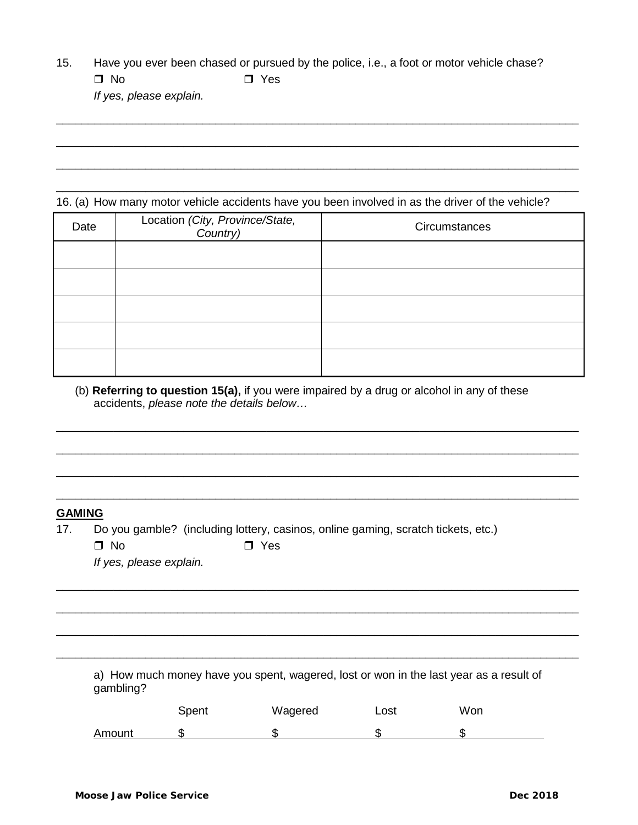15. Have you ever been chased or pursued by the police, i.e., a foot or motor vehicle chase?  $\Box$  No  $\Box$  Yes

\_\_\_\_\_\_\_\_\_\_\_\_\_\_\_\_\_\_\_\_\_\_\_\_\_\_\_\_\_\_\_\_\_\_\_\_\_\_\_\_\_\_\_\_\_\_\_\_\_\_\_\_\_\_\_\_\_\_\_\_\_\_\_\_\_\_\_\_\_\_\_\_\_\_\_\_\_\_\_\_\_\_

\_\_\_\_\_\_\_\_\_\_\_\_\_\_\_\_\_\_\_\_\_\_\_\_\_\_\_\_\_\_\_\_\_\_\_\_\_\_\_\_\_\_\_\_\_\_\_\_\_\_\_\_\_\_\_\_\_\_\_\_\_\_\_\_\_\_\_\_\_\_\_\_\_\_\_\_\_\_\_\_\_\_

\_\_\_\_\_\_\_\_\_\_\_\_\_\_\_\_\_\_\_\_\_\_\_\_\_\_\_\_\_\_\_\_\_\_\_\_\_\_\_\_\_\_\_\_\_\_\_\_\_\_\_\_\_\_\_\_\_\_\_\_\_\_\_\_\_\_\_\_\_\_\_\_\_\_\_\_\_\_\_\_\_\_

\_\_\_\_\_\_\_\_\_\_\_\_\_\_\_\_\_\_\_\_\_\_\_\_\_\_\_\_\_\_\_\_\_\_\_\_\_\_\_\_\_\_\_\_\_\_\_\_\_\_\_\_\_\_\_\_\_\_\_\_\_\_\_\_\_\_\_\_\_\_\_\_\_\_\_\_\_\_\_\_\_\_

*If yes, please explain.*

16. (a) How many motor vehicle accidents have you been involved in as the driver of the vehicle?

| Date | Location (City, Province/State,<br>Country) | Circumstances |  |  |
|------|---------------------------------------------|---------------|--|--|
|      |                                             |               |  |  |
|      |                                             |               |  |  |
|      |                                             |               |  |  |
|      |                                             |               |  |  |
|      |                                             |               |  |  |

(b) **Referring to question 15(a),** if you were impaired by a drug or alcohol in any of these accidents, *please note the details below…*

\_\_\_\_\_\_\_\_\_\_\_\_\_\_\_\_\_\_\_\_\_\_\_\_\_\_\_\_\_\_\_\_\_\_\_\_\_\_\_\_\_\_\_\_\_\_\_\_\_\_\_\_\_\_\_\_\_\_\_\_\_\_\_\_\_\_\_\_\_\_\_\_\_\_\_\_\_\_\_\_\_\_

\_\_\_\_\_\_\_\_\_\_\_\_\_\_\_\_\_\_\_\_\_\_\_\_\_\_\_\_\_\_\_\_\_\_\_\_\_\_\_\_\_\_\_\_\_\_\_\_\_\_\_\_\_\_\_\_\_\_\_\_\_\_\_\_\_\_\_\_\_\_\_\_\_\_\_\_\_\_\_\_\_\_

\_\_\_\_\_\_\_\_\_\_\_\_\_\_\_\_\_\_\_\_\_\_\_\_\_\_\_\_\_\_\_\_\_\_\_\_\_\_\_\_\_\_\_\_\_\_\_\_\_\_\_\_\_\_\_\_\_\_\_\_\_\_\_\_\_\_\_\_\_\_\_\_\_\_\_\_\_\_\_\_\_\_

\_\_\_\_\_\_\_\_\_\_\_\_\_\_\_\_\_\_\_\_\_\_\_\_\_\_\_\_\_\_\_\_\_\_\_\_\_\_\_\_\_\_\_\_\_\_\_\_\_\_\_\_\_\_\_\_\_\_\_\_\_\_\_\_\_\_\_\_\_\_\_\_\_\_\_\_\_\_\_\_\_\_

\_\_\_\_\_\_\_\_\_\_\_\_\_\_\_\_\_\_\_\_\_\_\_\_\_\_\_\_\_\_\_\_\_\_\_\_\_\_\_\_\_\_\_\_\_\_\_\_\_\_\_\_\_\_\_\_\_\_\_\_\_\_\_\_\_\_\_\_\_\_\_\_\_\_\_\_\_\_\_\_\_\_

\_\_\_\_\_\_\_\_\_\_\_\_\_\_\_\_\_\_\_\_\_\_\_\_\_\_\_\_\_\_\_\_\_\_\_\_\_\_\_\_\_\_\_\_\_\_\_\_\_\_\_\_\_\_\_\_\_\_\_\_\_\_\_\_\_\_\_\_\_\_\_\_\_\_\_\_\_\_\_\_\_\_

\_\_\_\_\_\_\_\_\_\_\_\_\_\_\_\_\_\_\_\_\_\_\_\_\_\_\_\_\_\_\_\_\_\_\_\_\_\_\_\_\_\_\_\_\_\_\_\_\_\_\_\_\_\_\_\_\_\_\_\_\_\_\_\_\_\_\_\_\_\_\_\_\_\_\_\_\_\_\_\_\_\_

\_\_\_\_\_\_\_\_\_\_\_\_\_\_\_\_\_\_\_\_\_\_\_\_\_\_\_\_\_\_\_\_\_\_\_\_\_\_\_\_\_\_\_\_\_\_\_\_\_\_\_\_\_\_\_\_\_\_\_\_\_\_\_\_\_\_\_\_\_\_\_\_\_\_\_\_\_\_\_\_\_\_

## **GAMING**

17. Do you gamble? (including lottery, casinos, online gaming, scratch tickets, etc.)

*If yes, please explain.*

a) How much money have you spent, wagered, lost or won in the last year as a result of gambling?

|        | Spent | Wagered | Lost | Won |
|--------|-------|---------|------|-----|
| Amount | m     |         |      |     |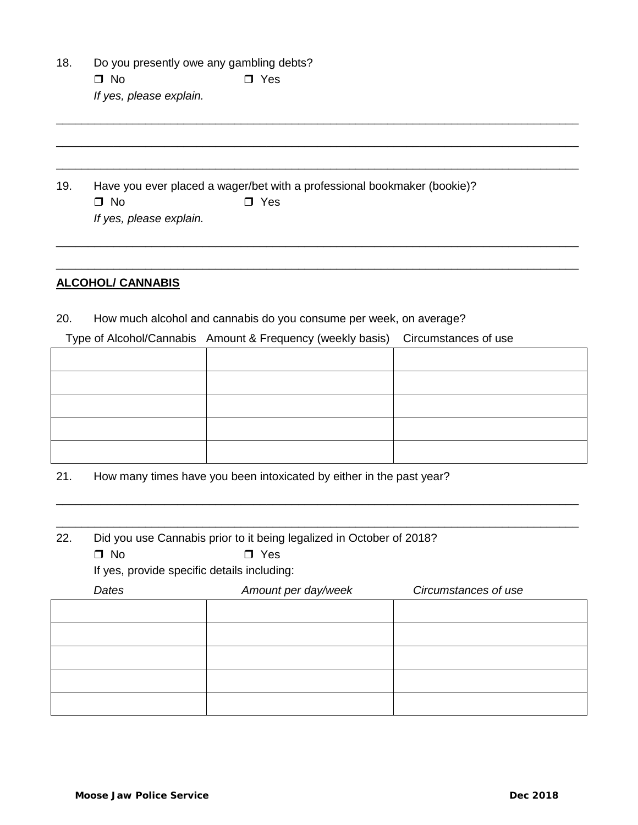- 18. Do you presently owe any gambling debts?  $\Box$  No  $\Box$  Yes *If yes, please explain.*
- 19. Have you ever placed a wager/bet with a professional bookmaker (bookie)?  $\Box$  No  $\Box$  Yes *If yes, please explain.*

# **ALCOHOL/ CANNABIS**

20. How much alcohol and cannabis do you consume per week, on average?

Type of Alcohol/Cannabis Amount & Frequency (weekly basis) Circumstances of use

\_\_\_\_\_\_\_\_\_\_\_\_\_\_\_\_\_\_\_\_\_\_\_\_\_\_\_\_\_\_\_\_\_\_\_\_\_\_\_\_\_\_\_\_\_\_\_\_\_\_\_\_\_\_\_\_\_\_\_\_\_\_\_\_\_\_\_\_\_\_\_\_\_\_\_\_\_\_\_\_\_\_

\_\_\_\_\_\_\_\_\_\_\_\_\_\_\_\_\_\_\_\_\_\_\_\_\_\_\_\_\_\_\_\_\_\_\_\_\_\_\_\_\_\_\_\_\_\_\_\_\_\_\_\_\_\_\_\_\_\_\_\_\_\_\_\_\_\_\_\_\_\_\_\_\_\_\_\_\_\_\_\_\_\_

\_\_\_\_\_\_\_\_\_\_\_\_\_\_\_\_\_\_\_\_\_\_\_\_\_\_\_\_\_\_\_\_\_\_\_\_\_\_\_\_\_\_\_\_\_\_\_\_\_\_\_\_\_\_\_\_\_\_\_\_\_\_\_\_\_\_\_\_\_\_\_\_\_\_\_\_\_\_\_\_\_\_

\_\_\_\_\_\_\_\_\_\_\_\_\_\_\_\_\_\_\_\_\_\_\_\_\_\_\_\_\_\_\_\_\_\_\_\_\_\_\_\_\_\_\_\_\_\_\_\_\_\_\_\_\_\_\_\_\_\_\_\_\_\_\_\_\_\_\_\_\_\_\_\_\_\_\_\_\_\_\_\_\_\_

\_\_\_\_\_\_\_\_\_\_\_\_\_\_\_\_\_\_\_\_\_\_\_\_\_\_\_\_\_\_\_\_\_\_\_\_\_\_\_\_\_\_\_\_\_\_\_\_\_\_\_\_\_\_\_\_\_\_\_\_\_\_\_\_\_\_\_\_\_\_\_\_\_\_\_\_\_\_\_\_\_\_

\_\_\_\_\_\_\_\_\_\_\_\_\_\_\_\_\_\_\_\_\_\_\_\_\_\_\_\_\_\_\_\_\_\_\_\_\_\_\_\_\_\_\_\_\_\_\_\_\_\_\_\_\_\_\_\_\_\_\_\_\_\_\_\_\_\_\_\_\_\_\_\_\_\_\_\_\_\_\_\_\_\_

21. How many times have you been intoxicated by either in the past year?

| 22. | Did you use Cannabis prior to it being legalized in October of 2018? |                                             |                      |  |  |  |
|-----|----------------------------------------------------------------------|---------------------------------------------|----------------------|--|--|--|
|     | $\square$ No                                                         | $\Box$ Yes                                  |                      |  |  |  |
|     |                                                                      | If yes, provide specific details including: |                      |  |  |  |
|     | Dates                                                                | Amount per day/week                         | Circumstances of use |  |  |  |
|     |                                                                      |                                             |                      |  |  |  |
|     |                                                                      |                                             |                      |  |  |  |
|     |                                                                      |                                             |                      |  |  |  |
|     |                                                                      |                                             |                      |  |  |  |
|     |                                                                      |                                             |                      |  |  |  |
|     |                                                                      |                                             |                      |  |  |  |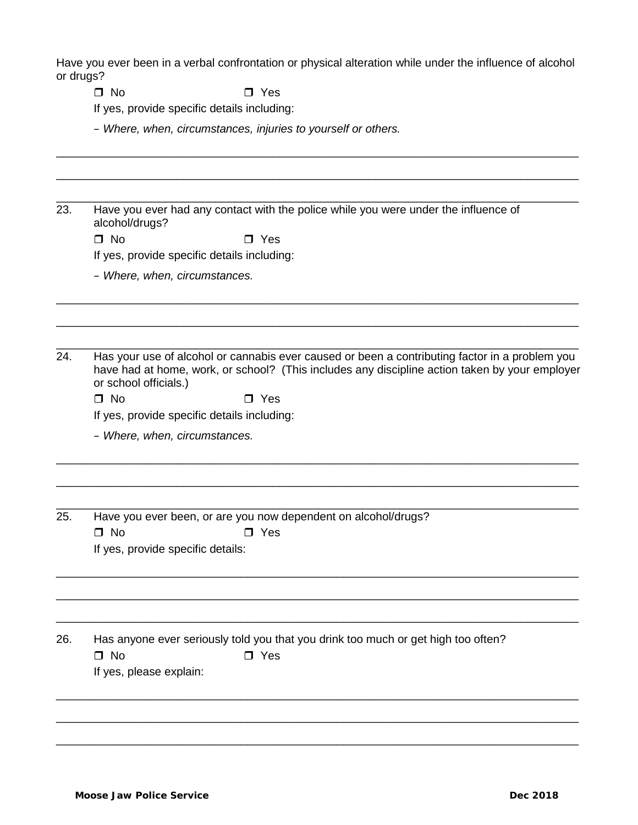Have you ever been in a verbal confrontation or physical alteration while under the influence of alcohol or drugs?

\_\_\_\_\_\_\_\_\_\_\_\_\_\_\_\_\_\_\_\_\_\_\_\_\_\_\_\_\_\_\_\_\_\_\_\_\_\_\_\_\_\_\_\_\_\_\_\_\_\_\_\_\_\_\_\_\_\_\_\_\_\_\_\_\_\_\_\_\_\_\_\_\_\_\_\_\_\_\_\_\_\_

\_\_\_\_\_\_\_\_\_\_\_\_\_\_\_\_\_\_\_\_\_\_\_\_\_\_\_\_\_\_\_\_\_\_\_\_\_\_\_\_\_\_\_\_\_\_\_\_\_\_\_\_\_\_\_\_\_\_\_\_\_\_\_\_\_\_\_\_\_\_\_\_\_\_\_\_\_\_\_\_\_\_

 $\Box$  No  $\Box$  Yes

If yes, provide specific details including:

– *Where, when, circumstances, injuries to yourself or others.*

\_\_\_\_\_\_\_\_\_\_\_\_\_\_\_\_\_\_\_\_\_\_\_\_\_\_\_\_\_\_\_\_\_\_\_\_\_\_\_\_\_\_\_\_\_\_\_\_\_\_\_\_\_\_\_\_\_\_\_\_\_\_\_\_\_\_\_\_\_\_\_\_\_\_\_\_\_\_\_\_\_\_ 23. Have you ever had any contact with the police while you were under the influence of alcohol/drugs?

 $\Box$  No  $\Box$  Yes

If yes, provide specific details including:

– *Where, when, circumstances.*

\_\_\_\_\_\_\_\_\_\_\_\_\_\_\_\_\_\_\_\_\_\_\_\_\_\_\_\_\_\_\_\_\_\_\_\_\_\_\_\_\_\_\_\_\_\_\_\_\_\_\_\_\_\_\_\_\_\_\_\_\_\_\_\_\_\_\_\_\_\_\_\_\_\_\_\_\_\_\_\_\_\_ 24. Has your use of alcohol or cannabis ever caused or been a contributing factor in a problem you have had at home, work, or school? (This includes any discipline action taken by your employer or school officials.)

\_\_\_\_\_\_\_\_\_\_\_\_\_\_\_\_\_\_\_\_\_\_\_\_\_\_\_\_\_\_\_\_\_\_\_\_\_\_\_\_\_\_\_\_\_\_\_\_\_\_\_\_\_\_\_\_\_\_\_\_\_\_\_\_\_\_\_\_\_\_\_\_\_\_\_\_\_\_\_\_\_\_

\_\_\_\_\_\_\_\_\_\_\_\_\_\_\_\_\_\_\_\_\_\_\_\_\_\_\_\_\_\_\_\_\_\_\_\_\_\_\_\_\_\_\_\_\_\_\_\_\_\_\_\_\_\_\_\_\_\_\_\_\_\_\_\_\_\_\_\_\_\_\_\_\_\_\_\_\_\_\_\_\_\_

\_\_\_\_\_\_\_\_\_\_\_\_\_\_\_\_\_\_\_\_\_\_\_\_\_\_\_\_\_\_\_\_\_\_\_\_\_\_\_\_\_\_\_\_\_\_\_\_\_\_\_\_\_\_\_\_\_\_\_\_\_\_\_\_\_\_\_\_\_\_\_\_\_\_\_\_\_\_\_\_\_\_

\_\_\_\_\_\_\_\_\_\_\_\_\_\_\_\_\_\_\_\_\_\_\_\_\_\_\_\_\_\_\_\_\_\_\_\_\_\_\_\_\_\_\_\_\_\_\_\_\_\_\_\_\_\_\_\_\_\_\_\_\_\_\_\_\_\_\_\_\_\_\_\_\_\_\_\_\_\_\_\_\_\_

\_\_\_\_\_\_\_\_\_\_\_\_\_\_\_\_\_\_\_\_\_\_\_\_\_\_\_\_\_\_\_\_\_\_\_\_\_\_\_\_\_\_\_\_\_\_\_\_\_\_\_\_\_\_\_\_\_\_\_\_\_\_\_\_\_\_\_\_\_\_\_\_\_\_\_\_\_\_\_\_\_\_

\_\_\_\_\_\_\_\_\_\_\_\_\_\_\_\_\_\_\_\_\_\_\_\_\_\_\_\_\_\_\_\_\_\_\_\_\_\_\_\_\_\_\_\_\_\_\_\_\_\_\_\_\_\_\_\_\_\_\_\_\_\_\_\_\_\_\_\_\_\_\_\_\_\_\_\_\_\_\_\_\_\_

\_\_\_\_\_\_\_\_\_\_\_\_\_\_\_\_\_\_\_\_\_\_\_\_\_\_\_\_\_\_\_\_\_\_\_\_\_\_\_\_\_\_\_\_\_\_\_\_\_\_\_\_\_\_\_\_\_\_\_\_\_\_\_\_\_\_\_\_\_\_\_\_\_\_\_\_\_\_\_\_\_\_

\_\_\_\_\_\_\_\_\_\_\_\_\_\_\_\_\_\_\_\_\_\_\_\_\_\_\_\_\_\_\_\_\_\_\_\_\_\_\_\_\_\_\_\_\_\_\_\_\_\_\_\_\_\_\_\_\_\_\_\_\_\_\_\_\_\_\_\_\_\_\_\_\_\_\_\_\_\_\_\_\_\_

\_\_\_\_\_\_\_\_\_\_\_\_\_\_\_\_\_\_\_\_\_\_\_\_\_\_\_\_\_\_\_\_\_\_\_\_\_\_\_\_\_\_\_\_\_\_\_\_\_\_\_\_\_\_\_\_\_\_\_\_\_\_\_\_\_\_\_\_\_\_\_\_\_\_\_\_\_\_\_\_\_\_

\_\_\_\_\_\_\_\_\_\_\_\_\_\_\_\_\_\_\_\_\_\_\_\_\_\_\_\_\_\_\_\_\_\_\_\_\_\_\_\_\_\_\_\_\_\_\_\_\_\_\_\_\_\_\_\_\_\_\_\_\_\_\_\_\_\_\_\_\_\_\_\_\_\_\_\_\_\_\_\_\_\_

\_\_\_\_\_\_\_\_\_\_\_\_\_\_\_\_\_\_\_\_\_\_\_\_\_\_\_\_\_\_\_\_\_\_\_\_\_\_\_\_\_\_\_\_\_\_\_\_\_\_\_\_\_\_\_\_\_\_\_\_\_\_\_\_\_\_\_\_\_\_\_\_\_\_\_\_\_\_\_\_\_\_

 $\Box$  No  $\Box$  Yes

If yes, provide specific details including:

– *Where, when, circumstances.*

25. Have you ever been, or are you now dependent on alcohol/drugs?  $\Box$  No  $\Box$  Yes

If yes, provide specific details:

26. Has anyone ever seriously told you that you drink too much or get high too often?  $\Box$  No  $\Box$  Yes

If yes, please explain: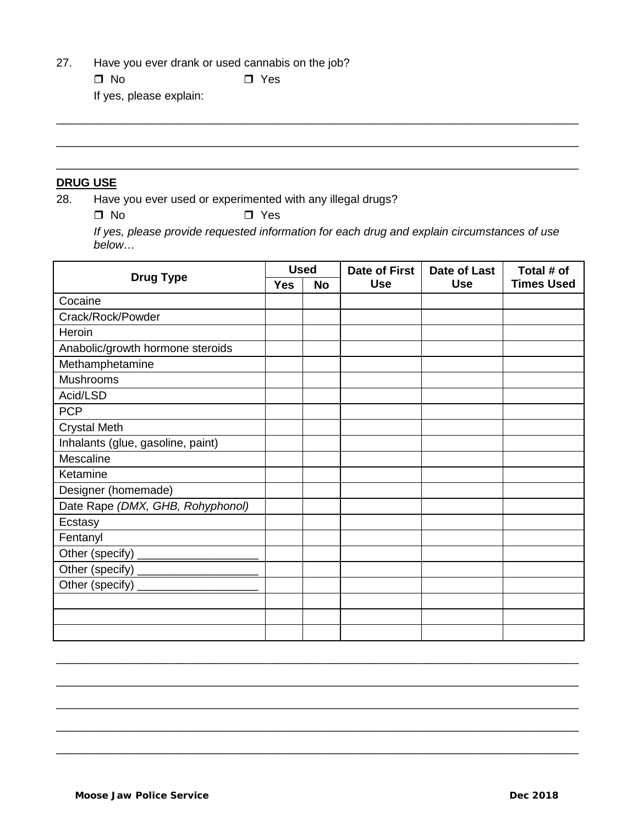27. Have you ever drank or used cannabis on the job?

□ No □ Yes

If yes, please explain:

## **DRUG USE**

28. Have you ever used or experimented with any illegal drugs?

 $\Box$  No  $\Box$  Yes

*If yes, please provide requested information for each drug and explain circumstances of use below…*

\_\_\_\_\_\_\_\_\_\_\_\_\_\_\_\_\_\_\_\_\_\_\_\_\_\_\_\_\_\_\_\_\_\_\_\_\_\_\_\_\_\_\_\_\_\_\_\_\_\_\_\_\_\_\_\_\_\_\_\_\_\_\_\_\_\_\_\_\_\_\_\_\_\_\_\_\_\_\_\_\_\_

\_\_\_\_\_\_\_\_\_\_\_\_\_\_\_\_\_\_\_\_\_\_\_\_\_\_\_\_\_\_\_\_\_\_\_\_\_\_\_\_\_\_\_\_\_\_\_\_\_\_\_\_\_\_\_\_\_\_\_\_\_\_\_\_\_\_\_\_\_\_\_\_\_\_\_\_\_\_\_\_\_\_

\_\_\_\_\_\_\_\_\_\_\_\_\_\_\_\_\_\_\_\_\_\_\_\_\_\_\_\_\_\_\_\_\_\_\_\_\_\_\_\_\_\_\_\_\_\_\_\_\_\_\_\_\_\_\_\_\_\_\_\_\_\_\_\_\_\_\_\_\_\_\_\_\_\_\_\_\_\_\_\_\_\_

| <b>Drug Type</b>                  |  | <b>Used</b> | Date of First | Date of Last | Total # of        |
|-----------------------------------|--|-------------|---------------|--------------|-------------------|
|                                   |  | <b>No</b>   | <b>Use</b>    | <b>Use</b>   | <b>Times Used</b> |
| Cocaine                           |  |             |               |              |                   |
| Crack/Rock/Powder                 |  |             |               |              |                   |
| Heroin                            |  |             |               |              |                   |
| Anabolic/growth hormone steroids  |  |             |               |              |                   |
| Methamphetamine                   |  |             |               |              |                   |
| <b>Mushrooms</b>                  |  |             |               |              |                   |
| Acid/LSD                          |  |             |               |              |                   |
| <b>PCP</b>                        |  |             |               |              |                   |
| <b>Crystal Meth</b>               |  |             |               |              |                   |
| Inhalants (glue, gasoline, paint) |  |             |               |              |                   |
| Mescaline                         |  |             |               |              |                   |
| Ketamine                          |  |             |               |              |                   |
| Designer (homemade)               |  |             |               |              |                   |
| Date Rape (DMX, GHB, Rohyphonol)  |  |             |               |              |                   |
| Ecstasy                           |  |             |               |              |                   |
| Fentanyl                          |  |             |               |              |                   |
| Other (specify)                   |  |             |               |              |                   |
| Other (specify)                   |  |             |               |              |                   |
| Other (specify)                   |  |             |               |              |                   |
|                                   |  |             |               |              |                   |
|                                   |  |             |               |              |                   |
|                                   |  |             |               |              |                   |

\_\_\_\_\_\_\_\_\_\_\_\_\_\_\_\_\_\_\_\_\_\_\_\_\_\_\_\_\_\_\_\_\_\_\_\_\_\_\_\_\_\_\_\_\_\_\_\_\_\_\_\_\_\_\_\_\_\_\_\_\_\_\_\_\_\_\_\_\_\_\_\_\_\_\_\_\_\_\_\_\_\_

\_\_\_\_\_\_\_\_\_\_\_\_\_\_\_\_\_\_\_\_\_\_\_\_\_\_\_\_\_\_\_\_\_\_\_\_\_\_\_\_\_\_\_\_\_\_\_\_\_\_\_\_\_\_\_\_\_\_\_\_\_\_\_\_\_\_\_\_\_\_\_\_\_\_\_\_\_\_\_\_\_\_

\_\_\_\_\_\_\_\_\_\_\_\_\_\_\_\_\_\_\_\_\_\_\_\_\_\_\_\_\_\_\_\_\_\_\_\_\_\_\_\_\_\_\_\_\_\_\_\_\_\_\_\_\_\_\_\_\_\_\_\_\_\_\_\_\_\_\_\_\_\_\_\_\_\_\_\_\_\_\_\_\_\_

\_\_\_\_\_\_\_\_\_\_\_\_\_\_\_\_\_\_\_\_\_\_\_\_\_\_\_\_\_\_\_\_\_\_\_\_\_\_\_\_\_\_\_\_\_\_\_\_\_\_\_\_\_\_\_\_\_\_\_\_\_\_\_\_\_\_\_\_\_\_\_\_\_\_\_\_\_\_\_\_\_\_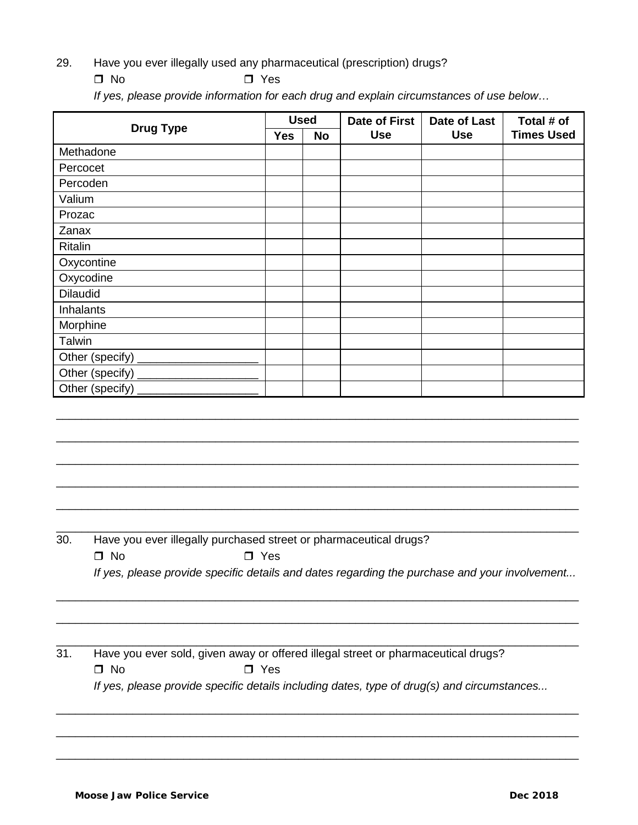- 29. Have you ever illegally used any pharmaceutical (prescription) drugs?
	- $\Box$  No  $\Box$  Yes

*If yes, please provide information for each drug and explain circumstances of use below…*

|                  | <b>Used</b> |    | <b>Date of First</b> | Date of Last | Total # of        |
|------------------|-------------|----|----------------------|--------------|-------------------|
| <b>Drug Type</b> | <b>Yes</b>  | No | <b>Use</b>           | <b>Use</b>   | <b>Times Used</b> |
| Methadone        |             |    |                      |              |                   |
| Percocet         |             |    |                      |              |                   |
| Percoden         |             |    |                      |              |                   |
| Valium           |             |    |                      |              |                   |
| Prozac           |             |    |                      |              |                   |
| Zanax            |             |    |                      |              |                   |
| Ritalin          |             |    |                      |              |                   |
| Oxycontine       |             |    |                      |              |                   |
| Oxycodine        |             |    |                      |              |                   |
| <b>Dilaudid</b>  |             |    |                      |              |                   |
| Inhalants        |             |    |                      |              |                   |
| Morphine         |             |    |                      |              |                   |
| <b>Talwin</b>    |             |    |                      |              |                   |
|                  |             |    |                      |              |                   |
|                  |             |    |                      |              |                   |
|                  |             |    |                      |              |                   |
|                  |             |    |                      |              |                   |

\_\_\_\_\_\_\_\_\_\_\_\_\_\_\_\_\_\_\_\_\_\_\_\_\_\_\_\_\_\_\_\_\_\_\_\_\_\_\_\_\_\_\_\_\_\_\_\_\_\_\_\_\_\_\_\_\_\_\_\_\_\_\_\_\_\_\_\_\_\_\_\_\_\_\_\_\_\_\_\_\_\_

\_\_\_\_\_\_\_\_\_\_\_\_\_\_\_\_\_\_\_\_\_\_\_\_\_\_\_\_\_\_\_\_\_\_\_\_\_\_\_\_\_\_\_\_\_\_\_\_\_\_\_\_\_\_\_\_\_\_\_\_\_\_\_\_\_\_\_\_\_\_\_\_\_\_\_\_\_\_\_\_\_\_

\_\_\_\_\_\_\_\_\_\_\_\_\_\_\_\_\_\_\_\_\_\_\_\_\_\_\_\_\_\_\_\_\_\_\_\_\_\_\_\_\_\_\_\_\_\_\_\_\_\_\_\_\_\_\_\_\_\_\_\_\_\_\_\_\_\_\_\_\_\_\_\_\_\_\_\_\_\_\_\_\_\_

\_\_\_\_\_\_\_\_\_\_\_\_\_\_\_\_\_\_\_\_\_\_\_\_\_\_\_\_\_\_\_\_\_\_\_\_\_\_\_\_\_\_\_\_\_\_\_\_\_\_\_\_\_\_\_\_\_\_\_\_\_\_\_\_\_\_\_\_\_\_\_\_\_\_\_\_\_\_\_\_\_\_

\_\_\_\_\_\_\_\_\_\_\_\_\_\_\_\_\_\_\_\_\_\_\_\_\_\_\_\_\_\_\_\_\_\_\_\_\_\_\_\_\_\_\_\_\_\_\_\_\_\_\_\_\_\_\_\_\_\_\_\_\_\_\_\_\_\_\_\_\_\_\_\_\_\_\_\_\_\_\_\_\_\_

\_\_\_\_\_\_\_\_\_\_\_\_\_\_\_\_\_\_\_\_\_\_\_\_\_\_\_\_\_\_\_\_\_\_\_\_\_\_\_\_\_\_\_\_\_\_\_\_\_\_\_\_\_\_\_\_\_\_\_\_\_\_\_\_\_\_\_\_\_\_\_\_\_\_\_\_\_\_\_\_\_\_

\_\_\_\_\_\_\_\_\_\_\_\_\_\_\_\_\_\_\_\_\_\_\_\_\_\_\_\_\_\_\_\_\_\_\_\_\_\_\_\_\_\_\_\_\_\_\_\_\_\_\_\_\_\_\_\_\_\_\_\_\_\_\_\_\_\_\_\_\_\_\_\_\_\_\_\_\_\_\_\_\_\_

\_\_\_\_\_\_\_\_\_\_\_\_\_\_\_\_\_\_\_\_\_\_\_\_\_\_\_\_\_\_\_\_\_\_\_\_\_\_\_\_\_\_\_\_\_\_\_\_\_\_\_\_\_\_\_\_\_\_\_\_\_\_\_\_\_\_\_\_\_\_\_\_\_\_\_\_\_\_\_\_\_\_

30. Have you ever illegally purchased street or pharmaceutical drugs?

 $\Box$  No  $\Box$  Yes

*If yes, please provide specific details and dates regarding the purchase and your involvement...*

## 31. Have you ever sold, given away or offered illegal street or pharmaceutical drugs?  $\Box$  No  $\Box$  Yes

*If yes, please provide specific details including dates, type of drug(s) and circumstances...*

\_\_\_\_\_\_\_\_\_\_\_\_\_\_\_\_\_\_\_\_\_\_\_\_\_\_\_\_\_\_\_\_\_\_\_\_\_\_\_\_\_\_\_\_\_\_\_\_\_\_\_\_\_\_\_\_\_\_\_\_\_\_\_\_\_\_\_\_\_\_\_\_\_\_\_\_\_\_\_\_\_\_

\_\_\_\_\_\_\_\_\_\_\_\_\_\_\_\_\_\_\_\_\_\_\_\_\_\_\_\_\_\_\_\_\_\_\_\_\_\_\_\_\_\_\_\_\_\_\_\_\_\_\_\_\_\_\_\_\_\_\_\_\_\_\_\_\_\_\_\_\_\_\_\_\_\_\_\_\_\_\_\_\_\_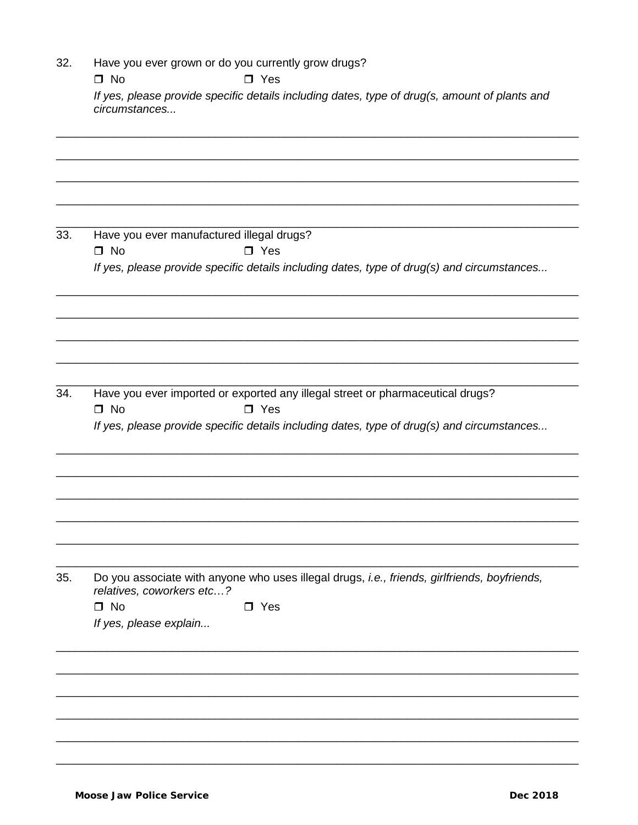| 32. | Have you ever grown or do you currently grow drugs?<br>$\Box$ No<br>$\Box$ Yes                                            |
|-----|---------------------------------------------------------------------------------------------------------------------------|
|     | If yes, please provide specific details including dates, type of drug(s, amount of plants and<br>circumstances            |
|     |                                                                                                                           |
| 33. | Have you ever manufactured illegal drugs?                                                                                 |
|     | $\Box$ No<br>$\square$ Yes<br>If yes, please provide specific details including dates, type of drug(s) and circumstances  |
|     |                                                                                                                           |
|     |                                                                                                                           |
| 34. | Have you ever imported or exported any illegal street or pharmaceutical drugs?<br>$\Box$ No<br>$\Box$ Yes                 |
|     | If yes, please provide specific details including dates, type of drug(s) and circumstances                                |
|     |                                                                                                                           |
|     |                                                                                                                           |
|     |                                                                                                                           |
| 35. | Do you associate with anyone who uses illegal drugs, i.e., friends, girlfriends, boyfriends,<br>relatives, coworkers etc? |
|     | $\Box$ No<br>$\Box$ Yes<br>If yes, please explain                                                                         |
|     |                                                                                                                           |
|     |                                                                                                                           |
|     |                                                                                                                           |

L.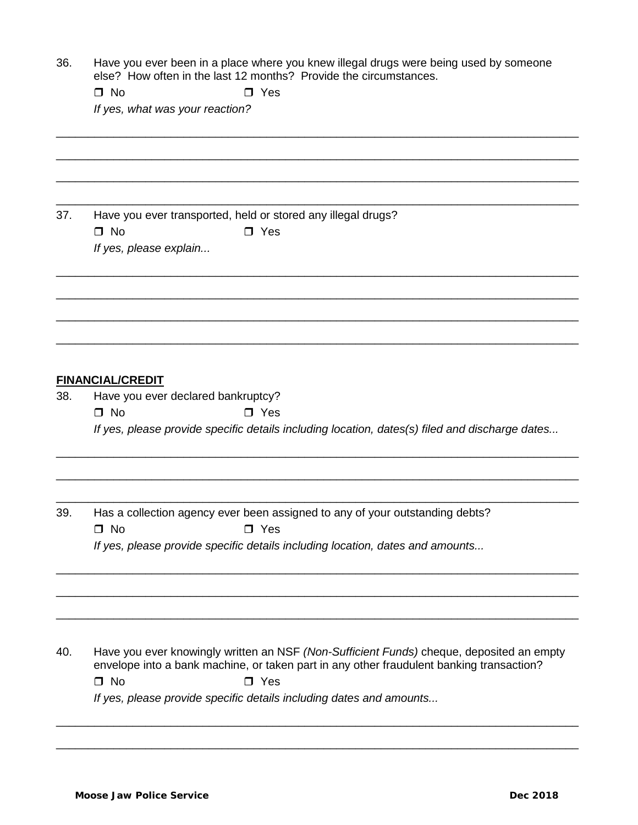36. Have you ever been in a place where you knew illegal drugs were being used by someone else? How often in the last 12 months? Provide the circumstances.

|     | $\Box$ No                          | $\Box$ Yes                                                                                                                                                                           |
|-----|------------------------------------|--------------------------------------------------------------------------------------------------------------------------------------------------------------------------------------|
|     | If yes, what was your reaction?    |                                                                                                                                                                                      |
|     |                                    |                                                                                                                                                                                      |
|     |                                    |                                                                                                                                                                                      |
|     |                                    |                                                                                                                                                                                      |
|     |                                    |                                                                                                                                                                                      |
|     |                                    |                                                                                                                                                                                      |
| 37. |                                    | Have you ever transported, held or stored any illegal drugs?                                                                                                                         |
|     | $\Box$ No                          | $\Box$ Yes                                                                                                                                                                           |
|     | If yes, please explain             |                                                                                                                                                                                      |
|     |                                    |                                                                                                                                                                                      |
|     |                                    |                                                                                                                                                                                      |
|     |                                    |                                                                                                                                                                                      |
|     |                                    |                                                                                                                                                                                      |
|     |                                    |                                                                                                                                                                                      |
|     |                                    |                                                                                                                                                                                      |
|     |                                    |                                                                                                                                                                                      |
|     | <b>FINANCIAL/CREDIT</b>            |                                                                                                                                                                                      |
| 38. | Have you ever declared bankruptcy? |                                                                                                                                                                                      |
|     | $\Box$ No                          | $\Box$ Yes                                                                                                                                                                           |
|     |                                    | If yes, please provide specific details including location, dates(s) filed and discharge dates                                                                                       |
|     |                                    |                                                                                                                                                                                      |
|     |                                    |                                                                                                                                                                                      |
|     |                                    |                                                                                                                                                                                      |
| 39. |                                    | Has a collection agency ever been assigned to any of your outstanding debts?                                                                                                         |
|     | $\Box$ No                          | $\Box$ Yes                                                                                                                                                                           |
|     |                                    | If yes, please provide specific details including location, dates and amounts                                                                                                        |
|     |                                    |                                                                                                                                                                                      |
|     |                                    |                                                                                                                                                                                      |
|     |                                    |                                                                                                                                                                                      |
|     |                                    |                                                                                                                                                                                      |
|     |                                    |                                                                                                                                                                                      |
|     |                                    |                                                                                                                                                                                      |
| 40. |                                    | Have you ever knowingly written an NSF (Non-Sufficient Funds) cheque, deposited an empty<br>envelope into a bank machine, or taken part in any other fraudulent banking transaction? |
|     | $\Box$ No                          | $\Box$ Yes                                                                                                                                                                           |
|     |                                    | If yes, please provide specific details including dates and amounts                                                                                                                  |
|     |                                    |                                                                                                                                                                                      |

\_\_\_\_\_\_\_\_\_\_\_\_\_\_\_\_\_\_\_\_\_\_\_\_\_\_\_\_\_\_\_\_\_\_\_\_\_\_\_\_\_\_\_\_\_\_\_\_\_\_\_\_\_\_\_\_\_\_\_\_\_\_\_\_\_\_\_\_\_\_\_\_\_\_\_\_\_\_\_\_\_\_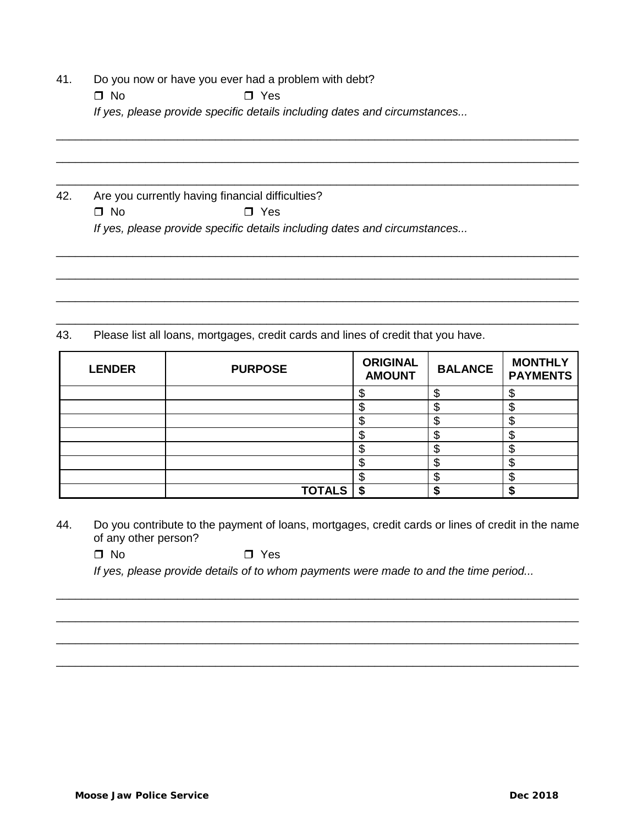- 41. Do you now or have you ever had a problem with debt?
	- $\Box$  No  $\Box$  Yes

*If yes, please provide specific details including dates and circumstances...*

\_\_\_\_\_\_\_\_\_\_\_\_\_\_\_\_\_\_\_\_\_\_\_\_\_\_\_\_\_\_\_\_\_\_\_\_\_\_\_\_\_\_\_\_\_\_\_\_\_\_\_\_\_\_\_\_\_\_\_\_\_\_\_\_\_\_\_\_\_\_\_\_\_\_\_\_\_\_\_\_\_\_

\_\_\_\_\_\_\_\_\_\_\_\_\_\_\_\_\_\_\_\_\_\_\_\_\_\_\_\_\_\_\_\_\_\_\_\_\_\_\_\_\_\_\_\_\_\_\_\_\_\_\_\_\_\_\_\_\_\_\_\_\_\_\_\_\_\_\_\_\_\_\_\_\_\_\_\_\_\_\_\_\_\_

\_\_\_\_\_\_\_\_\_\_\_\_\_\_\_\_\_\_\_\_\_\_\_\_\_\_\_\_\_\_\_\_\_\_\_\_\_\_\_\_\_\_\_\_\_\_\_\_\_\_\_\_\_\_\_\_\_\_\_\_\_\_\_\_\_\_\_\_\_\_\_\_\_\_\_\_\_\_\_\_\_\_

\_\_\_\_\_\_\_\_\_\_\_\_\_\_\_\_\_\_\_\_\_\_\_\_\_\_\_\_\_\_\_\_\_\_\_\_\_\_\_\_\_\_\_\_\_\_\_\_\_\_\_\_\_\_\_\_\_\_\_\_\_\_\_\_\_\_\_\_\_\_\_\_\_\_\_\_\_\_\_\_\_\_

\_\_\_\_\_\_\_\_\_\_\_\_\_\_\_\_\_\_\_\_\_\_\_\_\_\_\_\_\_\_\_\_\_\_\_\_\_\_\_\_\_\_\_\_\_\_\_\_\_\_\_\_\_\_\_\_\_\_\_\_\_\_\_\_\_\_\_\_\_\_\_\_\_\_\_\_\_\_\_\_\_\_

\_\_\_\_\_\_\_\_\_\_\_\_\_\_\_\_\_\_\_\_\_\_\_\_\_\_\_\_\_\_\_\_\_\_\_\_\_\_\_\_\_\_\_\_\_\_\_\_\_\_\_\_\_\_\_\_\_\_\_\_\_\_\_\_\_\_\_\_\_\_\_\_\_\_\_\_\_\_\_\_\_\_

\_\_\_\_\_\_\_\_\_\_\_\_\_\_\_\_\_\_\_\_\_\_\_\_\_\_\_\_\_\_\_\_\_\_\_\_\_\_\_\_\_\_\_\_\_\_\_\_\_\_\_\_\_\_\_\_\_\_\_\_\_\_\_\_\_\_\_\_\_\_\_\_\_\_\_\_\_\_\_\_\_\_

42. Are you currently having financial difficulties?

 $\Box$  No  $\Box$  Yes

*If yes, please provide specific details including dates and circumstances...*

43. Please list all loans, mortgages, credit cards and lines of credit that you have.

| <b>LENDER</b> | <b>PURPOSE</b> | <b>ORIGINAL</b><br><b>AMOUNT</b> | <b>BALANCE</b> | <b>MONTHLY</b><br><b>PAYMENTS</b> |
|---------------|----------------|----------------------------------|----------------|-----------------------------------|
|               |                |                                  | \$             |                                   |
|               |                | ጦ                                | σ<br>Φ         | æ                                 |
|               |                |                                  | \$             |                                   |
|               |                |                                  | \$             | æ<br>Φ                            |
|               |                |                                  | ¢<br>Ф         | ጦ<br>۸D                           |
|               |                |                                  | \$             | ۸D                                |
|               |                |                                  | ጥ<br>۰D        |                                   |
|               | <b>TOTALS</b>  | S                                |                |                                   |

- 44. Do you contribute to the payment of loans, mortgages, credit cards or lines of credit in the name of any other person?
	- $\Box$  No  $\Box$  Yes

*If yes, please provide details of to whom payments were made to and the time period...*

\_\_\_\_\_\_\_\_\_\_\_\_\_\_\_\_\_\_\_\_\_\_\_\_\_\_\_\_\_\_\_\_\_\_\_\_\_\_\_\_\_\_\_\_\_\_\_\_\_\_\_\_\_\_\_\_\_\_\_\_\_\_\_\_\_\_\_\_\_\_\_\_\_\_\_\_\_\_\_\_\_\_

\_\_\_\_\_\_\_\_\_\_\_\_\_\_\_\_\_\_\_\_\_\_\_\_\_\_\_\_\_\_\_\_\_\_\_\_\_\_\_\_\_\_\_\_\_\_\_\_\_\_\_\_\_\_\_\_\_\_\_\_\_\_\_\_\_\_\_\_\_\_\_\_\_\_\_\_\_\_\_\_\_\_

\_\_\_\_\_\_\_\_\_\_\_\_\_\_\_\_\_\_\_\_\_\_\_\_\_\_\_\_\_\_\_\_\_\_\_\_\_\_\_\_\_\_\_\_\_\_\_\_\_\_\_\_\_\_\_\_\_\_\_\_\_\_\_\_\_\_\_\_\_\_\_\_\_\_\_\_\_\_\_\_\_\_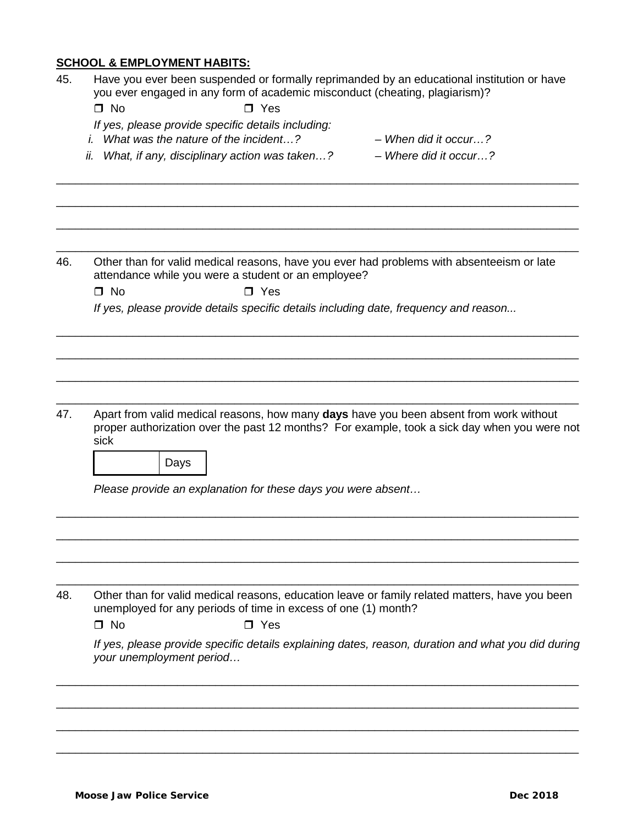# **SCHOOL & EMPLOYMENT HABITS:**

| 45. | Have you ever been suspended or formally reprimanded by an educational institution or have<br>you ever engaged in any form of academic misconduct (cheating, plagiarism)?                              |
|-----|--------------------------------------------------------------------------------------------------------------------------------------------------------------------------------------------------------|
|     | $\Box$ No<br>$\Box$ Yes                                                                                                                                                                                |
|     | If yes, please provide specific details including:                                                                                                                                                     |
|     | <i>i.</i> What was the nature of the incident?<br>$-$ When did it occur?                                                                                                                               |
|     | What, if any, disciplinary action was taken?<br>$-$ Where did it occur?<br>İİ.                                                                                                                         |
|     |                                                                                                                                                                                                        |
| 46. | Other than for valid medical reasons, have you ever had problems with absenteeism or late<br>attendance while you were a student or an employee?                                                       |
|     | $\Box$ No<br>$\square$ Yes                                                                                                                                                                             |
|     | If yes, please provide details specific details including date, frequency and reason                                                                                                                   |
|     |                                                                                                                                                                                                        |
| 47. | Apart from valid medical reasons, how many days have you been absent from work without<br>proper authorization over the past 12 months? For example, took a sick day when you were not<br>sick<br>Days |
|     | Please provide an explanation for these days you were absent                                                                                                                                           |
|     |                                                                                                                                                                                                        |
| 48. | Other than for valid medical reasons, education leave or family related matters, have you been<br>unemployed for any periods of time in excess of one (1) month?                                       |
|     | $\square$ No<br>$\Box$ Yes                                                                                                                                                                             |
|     | If yes, please provide specific details explaining dates, reason, duration and what you did during<br>your unemployment period                                                                         |
|     |                                                                                                                                                                                                        |
|     |                                                                                                                                                                                                        |
|     |                                                                                                                                                                                                        |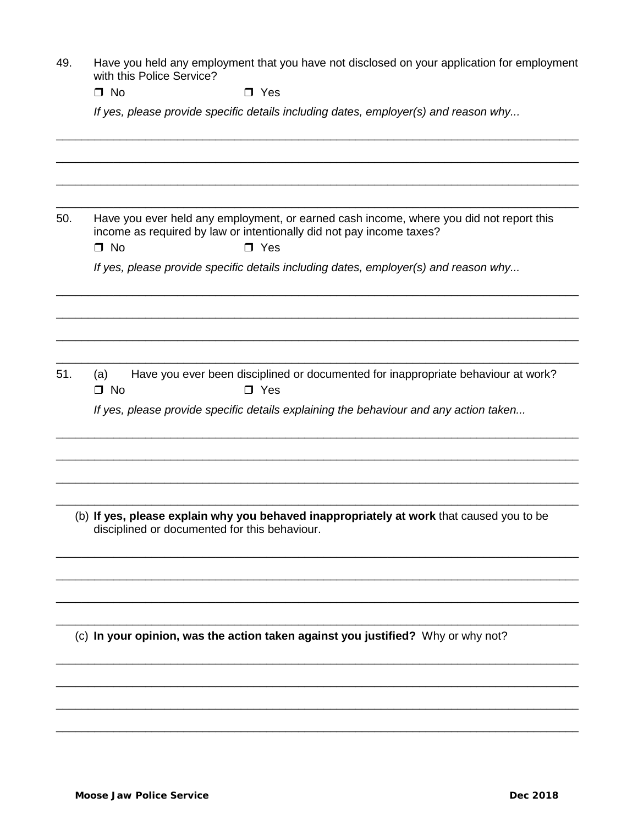49. Have you held any employment that you have not disclosed on your application for employment with this Police Service?

 $\Box$  No  $\Box$  Yes

*If yes, please provide specific details including dates, employer(s) and reason why...*

\_\_\_\_\_\_\_\_\_\_\_\_\_\_\_\_\_\_\_\_\_\_\_\_\_\_\_\_\_\_\_\_\_\_\_\_\_\_\_\_\_\_\_\_\_\_\_\_\_\_\_\_\_\_\_\_\_\_\_\_\_\_\_\_\_\_\_\_\_\_\_\_\_\_\_\_\_\_\_\_\_\_ \_\_\_\_\_\_\_\_\_\_\_\_\_\_\_\_\_\_\_\_\_\_\_\_\_\_\_\_\_\_\_\_\_\_\_\_\_\_\_\_\_\_\_\_\_\_\_\_\_\_\_\_\_\_\_\_\_\_\_\_\_\_\_\_\_\_\_\_\_\_\_\_\_\_\_\_\_\_\_\_\_\_ \_\_\_\_\_\_\_\_\_\_\_\_\_\_\_\_\_\_\_\_\_\_\_\_\_\_\_\_\_\_\_\_\_\_\_\_\_\_\_\_\_\_\_\_\_\_\_\_\_\_\_\_\_\_\_\_\_\_\_\_\_\_\_\_\_\_\_\_\_\_\_\_\_\_\_\_\_\_\_\_\_\_ \_\_\_\_\_\_\_\_\_\_\_\_\_\_\_\_\_\_\_\_\_\_\_\_\_\_\_\_\_\_\_\_\_\_\_\_\_\_\_\_\_\_\_\_\_\_\_\_\_\_\_\_\_\_\_\_\_\_\_\_\_\_\_\_\_\_\_\_\_\_\_\_\_\_\_\_\_\_\_\_\_\_ 50. Have you ever held any employment, or earned cash income, where you did not report this income as required by law or intentionally did not pay income taxes?  $\Box$  No  $\Box$  Yes *If yes, please provide specific details including dates, employer(s) and reason why...* \_\_\_\_\_\_\_\_\_\_\_\_\_\_\_\_\_\_\_\_\_\_\_\_\_\_\_\_\_\_\_\_\_\_\_\_\_\_\_\_\_\_\_\_\_\_\_\_\_\_\_\_\_\_\_\_\_\_\_\_\_\_\_\_\_\_\_\_\_\_\_\_\_\_\_\_\_\_\_\_\_\_ \_\_\_\_\_\_\_\_\_\_\_\_\_\_\_\_\_\_\_\_\_\_\_\_\_\_\_\_\_\_\_\_\_\_\_\_\_\_\_\_\_\_\_\_\_\_\_\_\_\_\_\_\_\_\_\_\_\_\_\_\_\_\_\_\_\_\_\_\_\_\_\_\_\_\_\_\_\_\_\_\_\_ \_\_\_\_\_\_\_\_\_\_\_\_\_\_\_\_\_\_\_\_\_\_\_\_\_\_\_\_\_\_\_\_\_\_\_\_\_\_\_\_\_\_\_\_\_\_\_\_\_\_\_\_\_\_\_\_\_\_\_\_\_\_\_\_\_\_\_\_\_\_\_\_\_\_\_\_\_\_\_\_\_\_ \_\_\_\_\_\_\_\_\_\_\_\_\_\_\_\_\_\_\_\_\_\_\_\_\_\_\_\_\_\_\_\_\_\_\_\_\_\_\_\_\_\_\_\_\_\_\_\_\_\_\_\_\_\_\_\_\_\_\_\_\_\_\_\_\_\_\_\_\_\_\_\_\_\_\_\_\_\_\_\_\_\_ 51. (a) Have you ever been disciplined or documented for inappropriate behaviour at work?  $\Box$  No  $\Box$  Yes *If yes, please provide specific details explaining the behaviour and any action taken...*  \_\_\_\_\_\_\_\_\_\_\_\_\_\_\_\_\_\_\_\_\_\_\_\_\_\_\_\_\_\_\_\_\_\_\_\_\_\_\_\_\_\_\_\_\_\_\_\_\_\_\_\_\_\_\_\_\_\_\_\_\_\_\_\_\_\_\_\_\_\_\_\_\_\_\_\_\_\_\_\_\_\_ \_\_\_\_\_\_\_\_\_\_\_\_\_\_\_\_\_\_\_\_\_\_\_\_\_\_\_\_\_\_\_\_\_\_\_\_\_\_\_\_\_\_\_\_\_\_\_\_\_\_\_\_\_\_\_\_\_\_\_\_\_\_\_\_\_\_\_\_\_\_\_\_\_\_\_\_\_\_\_\_\_\_ \_\_\_\_\_\_\_\_\_\_\_\_\_\_\_\_\_\_\_\_\_\_\_\_\_\_\_\_\_\_\_\_\_\_\_\_\_\_\_\_\_\_\_\_\_\_\_\_\_\_\_\_\_\_\_\_\_\_\_\_\_\_\_\_\_\_\_\_\_\_\_\_\_\_\_\_\_\_\_\_\_\_ \_\_\_\_\_\_\_\_\_\_\_\_\_\_\_\_\_\_\_\_\_\_\_\_\_\_\_\_\_\_\_\_\_\_\_\_\_\_\_\_\_\_\_\_\_\_\_\_\_\_\_\_\_\_\_\_\_\_\_\_\_\_\_\_\_\_\_\_\_\_\_\_\_\_\_\_\_\_\_\_\_\_ (b) **If yes, please explain why you behaved inappropriately at work** that caused you to be disciplined or documented for this behaviour. \_\_\_\_\_\_\_\_\_\_\_\_\_\_\_\_\_\_\_\_\_\_\_\_\_\_\_\_\_\_\_\_\_\_\_\_\_\_\_\_\_\_\_\_\_\_\_\_\_\_\_\_\_\_\_\_\_\_\_\_\_\_\_\_\_\_\_\_\_\_\_\_\_\_\_\_\_\_\_\_\_\_ \_\_\_\_\_\_\_\_\_\_\_\_\_\_\_\_\_\_\_\_\_\_\_\_\_\_\_\_\_\_\_\_\_\_\_\_\_\_\_\_\_\_\_\_\_\_\_\_\_\_\_\_\_\_\_\_\_\_\_\_\_\_\_\_\_\_\_\_\_\_\_\_\_\_\_\_\_\_\_\_\_\_ \_\_\_\_\_\_\_\_\_\_\_\_\_\_\_\_\_\_\_\_\_\_\_\_\_\_\_\_\_\_\_\_\_\_\_\_\_\_\_\_\_\_\_\_\_\_\_\_\_\_\_\_\_\_\_\_\_\_\_\_\_\_\_\_\_\_\_\_\_\_\_\_\_\_\_\_\_\_\_\_\_\_ \_\_\_\_\_\_\_\_\_\_\_\_\_\_\_\_\_\_\_\_\_\_\_\_\_\_\_\_\_\_\_\_\_\_\_\_\_\_\_\_\_\_\_\_\_\_\_\_\_\_\_\_\_\_\_\_\_\_\_\_\_\_\_\_\_\_\_\_\_\_\_\_\_\_\_\_\_\_\_\_\_\_ (c) **In your opinion, was the action taken against you justified?** Why or why not? \_\_\_\_\_\_\_\_\_\_\_\_\_\_\_\_\_\_\_\_\_\_\_\_\_\_\_\_\_\_\_\_\_\_\_\_\_\_\_\_\_\_\_\_\_\_\_\_\_\_\_\_\_\_\_\_\_\_\_\_\_\_\_\_\_\_\_\_\_\_\_\_\_\_\_\_\_\_\_\_\_\_ \_\_\_\_\_\_\_\_\_\_\_\_\_\_\_\_\_\_\_\_\_\_\_\_\_\_\_\_\_\_\_\_\_\_\_\_\_\_\_\_\_\_\_\_\_\_\_\_\_\_\_\_\_\_\_\_\_\_\_\_\_\_\_\_\_\_\_\_\_\_\_\_\_\_\_\_\_\_\_\_\_\_ \_\_\_\_\_\_\_\_\_\_\_\_\_\_\_\_\_\_\_\_\_\_\_\_\_\_\_\_\_\_\_\_\_\_\_\_\_\_\_\_\_\_\_\_\_\_\_\_\_\_\_\_\_\_\_\_\_\_\_\_\_\_\_\_\_\_\_\_\_\_\_\_\_\_\_\_\_\_\_\_\_\_ \_\_\_\_\_\_\_\_\_\_\_\_\_\_\_\_\_\_\_\_\_\_\_\_\_\_\_\_\_\_\_\_\_\_\_\_\_\_\_\_\_\_\_\_\_\_\_\_\_\_\_\_\_\_\_\_\_\_\_\_\_\_\_\_\_\_\_\_\_\_\_\_\_\_\_\_\_\_\_\_\_\_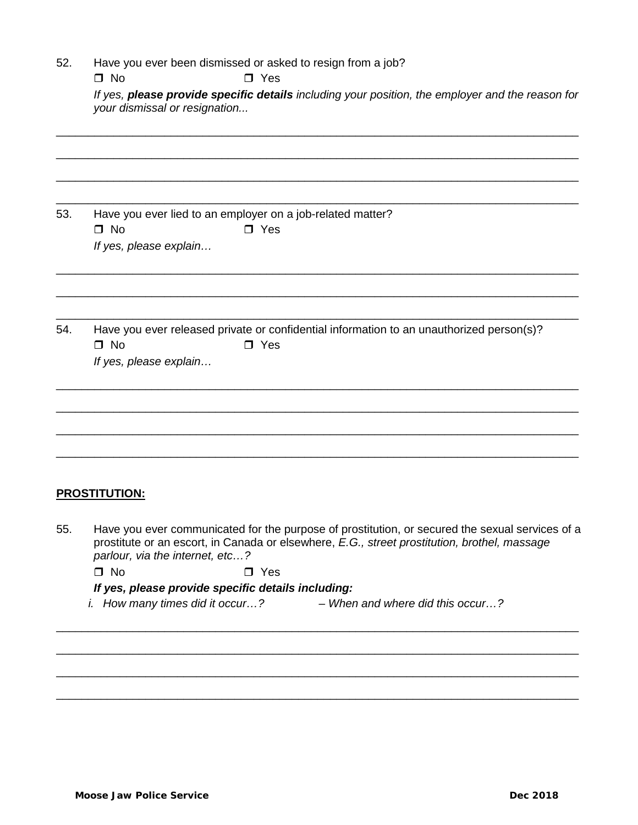| 52. | Have you ever been dismissed or asked to resign from a job? |  |  |  |
|-----|-------------------------------------------------------------|--|--|--|
|-----|-------------------------------------------------------------|--|--|--|

 $\Box$  No  $\Box$  Yes

*If yes, please provide specific details including your position, the employer and the reason for your dismissal or resignation...* 

\_\_\_\_\_\_\_\_\_\_\_\_\_\_\_\_\_\_\_\_\_\_\_\_\_\_\_\_\_\_\_\_\_\_\_\_\_\_\_\_\_\_\_\_\_\_\_\_\_\_\_\_\_\_\_\_\_\_\_\_\_\_\_\_\_\_\_\_\_\_\_\_\_\_\_\_\_\_\_\_\_\_

\_\_\_\_\_\_\_\_\_\_\_\_\_\_\_\_\_\_\_\_\_\_\_\_\_\_\_\_\_\_\_\_\_\_\_\_\_\_\_\_\_\_\_\_\_\_\_\_\_\_\_\_\_\_\_\_\_\_\_\_\_\_\_\_\_\_\_\_\_\_\_\_\_\_\_\_\_\_\_\_\_\_

\_\_\_\_\_\_\_\_\_\_\_\_\_\_\_\_\_\_\_\_\_\_\_\_\_\_\_\_\_\_\_\_\_\_\_\_\_\_\_\_\_\_\_\_\_\_\_\_\_\_\_\_\_\_\_\_\_\_\_\_\_\_\_\_\_\_\_\_\_\_\_\_\_\_\_\_\_\_\_\_\_\_

\_\_\_\_\_\_\_\_\_\_\_\_\_\_\_\_\_\_\_\_\_\_\_\_\_\_\_\_\_\_\_\_\_\_\_\_\_\_\_\_\_\_\_\_\_\_\_\_\_\_\_\_\_\_\_\_\_\_\_\_\_\_\_\_\_\_\_\_\_\_\_\_\_\_\_\_\_\_\_\_\_\_

\_\_\_\_\_\_\_\_\_\_\_\_\_\_\_\_\_\_\_\_\_\_\_\_\_\_\_\_\_\_\_\_\_\_\_\_\_\_\_\_\_\_\_\_\_\_\_\_\_\_\_\_\_\_\_\_\_\_\_\_\_\_\_\_\_\_\_\_\_\_\_\_\_\_\_\_\_\_\_\_\_\_

\_\_\_\_\_\_\_\_\_\_\_\_\_\_\_\_\_\_\_\_\_\_\_\_\_\_\_\_\_\_\_\_\_\_\_\_\_\_\_\_\_\_\_\_\_\_\_\_\_\_\_\_\_\_\_\_\_\_\_\_\_\_\_\_\_\_\_\_\_\_\_\_\_\_\_\_\_\_\_\_\_\_

\_\_\_\_\_\_\_\_\_\_\_\_\_\_\_\_\_\_\_\_\_\_\_\_\_\_\_\_\_\_\_\_\_\_\_\_\_\_\_\_\_\_\_\_\_\_\_\_\_\_\_\_\_\_\_\_\_\_\_\_\_\_\_\_\_\_\_\_\_\_\_\_\_\_\_\_\_\_\_\_\_\_

\_\_\_\_\_\_\_\_\_\_\_\_\_\_\_\_\_\_\_\_\_\_\_\_\_\_\_\_\_\_\_\_\_\_\_\_\_\_\_\_\_\_\_\_\_\_\_\_\_\_\_\_\_\_\_\_\_\_\_\_\_\_\_\_\_\_\_\_\_\_\_\_\_\_\_\_\_\_\_\_\_\_

\_\_\_\_\_\_\_\_\_\_\_\_\_\_\_\_\_\_\_\_\_\_\_\_\_\_\_\_\_\_\_\_\_\_\_\_\_\_\_\_\_\_\_\_\_\_\_\_\_\_\_\_\_\_\_\_\_\_\_\_\_\_\_\_\_\_\_\_\_\_\_\_\_\_\_\_\_\_\_\_\_\_

\_\_\_\_\_\_\_\_\_\_\_\_\_\_\_\_\_\_\_\_\_\_\_\_\_\_\_\_\_\_\_\_\_\_\_\_\_\_\_\_\_\_\_\_\_\_\_\_\_\_\_\_\_\_\_\_\_\_\_\_\_\_\_\_\_\_\_\_\_\_\_\_\_\_\_\_\_\_\_\_\_\_

\_\_\_\_\_\_\_\_\_\_\_\_\_\_\_\_\_\_\_\_\_\_\_\_\_\_\_\_\_\_\_\_\_\_\_\_\_\_\_\_\_\_\_\_\_\_\_\_\_\_\_\_\_\_\_\_\_\_\_\_\_\_\_\_\_\_\_\_\_\_\_\_\_\_\_\_\_\_\_\_\_\_

53. Have you ever lied to an employer on a job-related matter?  $\Box$  No  $\Box$  Yes *If yes, please explain…* 

54. Have you ever released private or confidential information to an unauthorized person(s)?  $\Box$  No  $\Box$  Yes *If yes, please explain…*

**PROSTITUTION:**

55. Have you ever communicated for the purpose of prostitution, or secured the sexual services of a prostitute or an escort, in Canada or elsewhere, *E.G., street prostitution, brothel, massage parlour, via the internet, etc…?*

\_\_\_\_\_\_\_\_\_\_\_\_\_\_\_\_\_\_\_\_\_\_\_\_\_\_\_\_\_\_\_\_\_\_\_\_\_\_\_\_\_\_\_\_\_\_\_\_\_\_\_\_\_\_\_\_\_\_\_\_\_\_\_\_\_\_\_\_\_\_\_\_\_\_\_\_\_\_\_\_\_\_

\_\_\_\_\_\_\_\_\_\_\_\_\_\_\_\_\_\_\_\_\_\_\_\_\_\_\_\_\_\_\_\_\_\_\_\_\_\_\_\_\_\_\_\_\_\_\_\_\_\_\_\_\_\_\_\_\_\_\_\_\_\_\_\_\_\_\_\_\_\_\_\_\_\_\_\_\_\_\_\_\_\_

\_\_\_\_\_\_\_\_\_\_\_\_\_\_\_\_\_\_\_\_\_\_\_\_\_\_\_\_\_\_\_\_\_\_\_\_\_\_\_\_\_\_\_\_\_\_\_\_\_\_\_\_\_\_\_\_\_\_\_\_\_\_\_\_\_\_\_\_\_\_\_\_\_\_\_\_\_\_\_\_\_\_

\_\_\_\_\_\_\_\_\_\_\_\_\_\_\_\_\_\_\_\_\_\_\_\_\_\_\_\_\_\_\_\_\_\_\_\_\_\_\_\_\_\_\_\_\_\_\_\_\_\_\_\_\_\_\_\_\_\_\_\_\_\_\_\_\_\_\_\_\_\_\_\_\_\_\_\_\_\_\_\_\_\_

 $\Box$  No  $\Box$  Yes

*If yes, please provide specific details including:*

*i. How many times did it occur…? – When and where did this occur…?*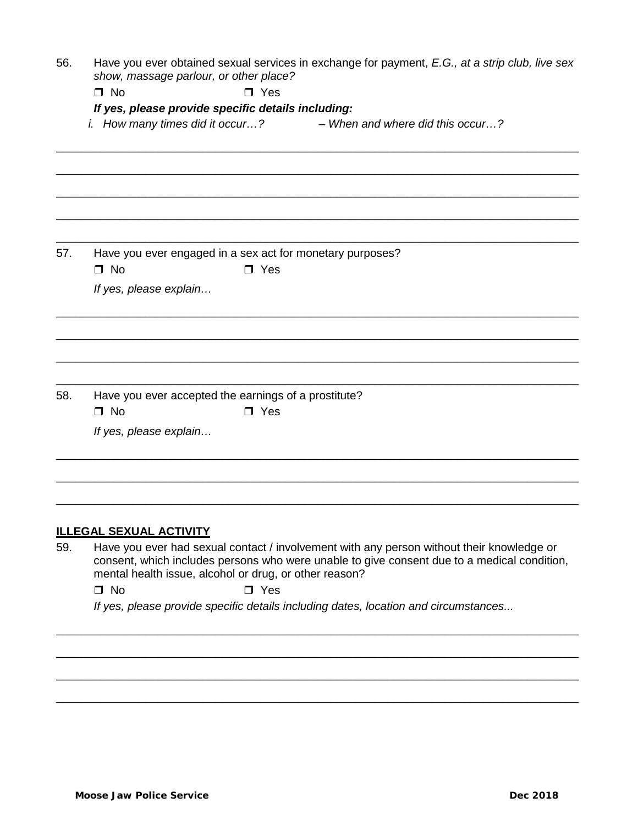| 56. | Have you ever obtained sexual services in exchange for payment, E.G., at a strip club, live sex<br>show, massage parlour, or other place?                                                                                                          |  |  |  |  |
|-----|----------------------------------------------------------------------------------------------------------------------------------------------------------------------------------------------------------------------------------------------------|--|--|--|--|
|     | $\Box$ No<br>$\Box$ Yes                                                                                                                                                                                                                            |  |  |  |  |
|     | If yes, please provide specific details including:                                                                                                                                                                                                 |  |  |  |  |
|     | <i>i.</i> How many times did it occur?<br>- When and where did this occur?                                                                                                                                                                         |  |  |  |  |
|     |                                                                                                                                                                                                                                                    |  |  |  |  |
|     |                                                                                                                                                                                                                                                    |  |  |  |  |
| 57. | Have you ever engaged in a sex act for monetary purposes?                                                                                                                                                                                          |  |  |  |  |
|     | $\Box$ No<br>$\Box$ Yes                                                                                                                                                                                                                            |  |  |  |  |
|     | If yes, please explain                                                                                                                                                                                                                             |  |  |  |  |
|     |                                                                                                                                                                                                                                                    |  |  |  |  |
|     |                                                                                                                                                                                                                                                    |  |  |  |  |
| 58. | Have you ever accepted the earnings of a prostitute?<br>$\square$ No<br>$\Box$ Yes                                                                                                                                                                 |  |  |  |  |
|     | If yes, please explain                                                                                                                                                                                                                             |  |  |  |  |
|     |                                                                                                                                                                                                                                                    |  |  |  |  |
|     | <b>ILLEGAL SEXUAL ACTIVITY</b>                                                                                                                                                                                                                     |  |  |  |  |
| 59. | Have you ever had sexual contact / involvement with any person without their knowledge or<br>consent, which includes persons who were unable to give consent due to a medical condition,<br>mental health issue, alcohol or drug, or other reason? |  |  |  |  |
|     | $\Box$ No<br>$\Box$ Yes                                                                                                                                                                                                                            |  |  |  |  |
|     | If yes, please provide specific details including dates, location and circumstances                                                                                                                                                                |  |  |  |  |
|     |                                                                                                                                                                                                                                                    |  |  |  |  |

\_\_\_\_\_\_\_\_\_\_\_\_\_\_\_\_\_\_\_\_\_\_\_\_\_\_\_\_\_\_\_\_\_\_\_\_\_\_\_\_\_\_\_\_\_\_\_\_\_\_\_\_\_\_\_\_\_\_\_\_\_\_\_\_\_\_\_\_\_\_\_\_\_\_\_\_\_\_\_\_\_\_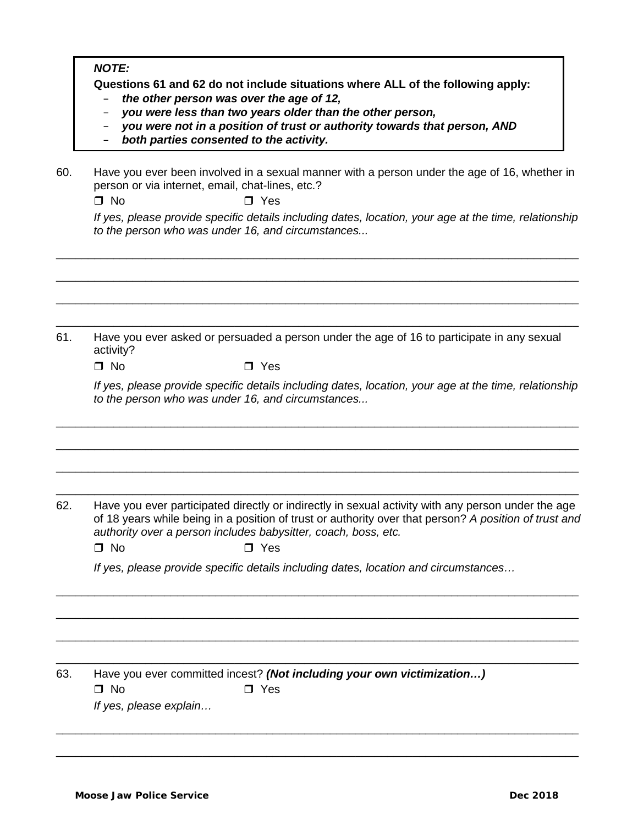*NOTE:*

**Questions 61 and 62 do not include situations where ALL of the following apply:**

- *the other person was over the age of 12,*
- *you were less than two years older than the other person,*
- *you were not in a position of trust or authority towards that person, AND*
- *both parties consented to the activity.*
- 60. Have you ever been involved in a sexual manner with a person under the age of 16, whether in person or via internet, email, chat-lines, etc.?

\_\_\_\_\_\_\_\_\_\_\_\_\_\_\_\_\_\_\_\_\_\_\_\_\_\_\_\_\_\_\_\_\_\_\_\_\_\_\_\_\_\_\_\_\_\_\_\_\_\_\_\_\_\_\_\_\_\_\_\_\_\_\_\_\_\_\_\_\_\_\_\_\_\_\_\_\_\_\_\_\_\_

\_\_\_\_\_\_\_\_\_\_\_\_\_\_\_\_\_\_\_\_\_\_\_\_\_\_\_\_\_\_\_\_\_\_\_\_\_\_\_\_\_\_\_\_\_\_\_\_\_\_\_\_\_\_\_\_\_\_\_\_\_\_\_\_\_\_\_\_\_\_\_\_\_\_\_\_\_\_\_\_\_\_

 $\Box$  No  $\Box$  Yes

*If yes, please provide specific details including dates, location, your age at the time, relationship to the person who was under 16, and circumstances...*

\_\_\_\_\_\_\_\_\_\_\_\_\_\_\_\_\_\_\_\_\_\_\_\_\_\_\_\_\_\_\_\_\_\_\_\_\_\_\_\_\_\_\_\_\_\_\_\_\_\_\_\_\_\_\_\_\_\_\_\_\_\_\_\_\_\_\_\_\_\_\_\_\_\_\_\_\_\_\_\_\_\_ \_\_\_\_\_\_\_\_\_\_\_\_\_\_\_\_\_\_\_\_\_\_\_\_\_\_\_\_\_\_\_\_\_\_\_\_\_\_\_\_\_\_\_\_\_\_\_\_\_\_\_\_\_\_\_\_\_\_\_\_\_\_\_\_\_\_\_\_\_\_\_\_\_\_\_\_\_\_\_\_\_\_ 61. Have you ever asked or persuaded a person under the age of 16 to participate in any sexual activity?  $\Box$  No  $\Box$  Yes *If yes, please provide specific details including dates, location, your age at the time, relationship to the person who was under 16, and circumstances...* \_\_\_\_\_\_\_\_\_\_\_\_\_\_\_\_\_\_\_\_\_\_\_\_\_\_\_\_\_\_\_\_\_\_\_\_\_\_\_\_\_\_\_\_\_\_\_\_\_\_\_\_\_\_\_\_\_\_\_\_\_\_\_\_\_\_\_\_\_\_\_\_\_\_\_\_\_\_\_\_\_\_ \_\_\_\_\_\_\_\_\_\_\_\_\_\_\_\_\_\_\_\_\_\_\_\_\_\_\_\_\_\_\_\_\_\_\_\_\_\_\_\_\_\_\_\_\_\_\_\_\_\_\_\_\_\_\_\_\_\_\_\_\_\_\_\_\_\_\_\_\_\_\_\_\_\_\_\_\_\_\_\_\_\_ \_\_\_\_\_\_\_\_\_\_\_\_\_\_\_\_\_\_\_\_\_\_\_\_\_\_\_\_\_\_\_\_\_\_\_\_\_\_\_\_\_\_\_\_\_\_\_\_\_\_\_\_\_\_\_\_\_\_\_\_\_\_\_\_\_\_\_\_\_\_\_\_\_\_\_\_\_\_\_\_\_\_ \_\_\_\_\_\_\_\_\_\_\_\_\_\_\_\_\_\_\_\_\_\_\_\_\_\_\_\_\_\_\_\_\_\_\_\_\_\_\_\_\_\_\_\_\_\_\_\_\_\_\_\_\_\_\_\_\_\_\_\_\_\_\_\_\_\_\_\_\_\_\_\_\_\_\_\_\_\_\_\_\_\_ 62. Have you ever participated directly or indirectly in sexual activity with any person under the age of 18 years while being in a position of trust or authority over that person? *A position of trust and authority over a person includes babysitter, coach, boss, etc.*  $\Box$  No  $\Box$  Yes *If yes, please provide specific details including dates, location and circumstances…* \_\_\_\_\_\_\_\_\_\_\_\_\_\_\_\_\_\_\_\_\_\_\_\_\_\_\_\_\_\_\_\_\_\_\_\_\_\_\_\_\_\_\_\_\_\_\_\_\_\_\_\_\_\_\_\_\_\_\_\_\_\_\_\_\_\_\_\_\_\_\_\_\_\_\_\_\_\_\_\_\_\_ \_\_\_\_\_\_\_\_\_\_\_\_\_\_\_\_\_\_\_\_\_\_\_\_\_\_\_\_\_\_\_\_\_\_\_\_\_\_\_\_\_\_\_\_\_\_\_\_\_\_\_\_\_\_\_\_\_\_\_\_\_\_\_\_\_\_\_\_\_\_\_\_\_\_\_\_\_\_\_\_\_\_ \_\_\_\_\_\_\_\_\_\_\_\_\_\_\_\_\_\_\_\_\_\_\_\_\_\_\_\_\_\_\_\_\_\_\_\_\_\_\_\_\_\_\_\_\_\_\_\_\_\_\_\_\_\_\_\_\_\_\_\_\_\_\_\_\_\_\_\_\_\_\_\_\_\_\_\_\_\_\_\_\_\_ \_\_\_\_\_\_\_\_\_\_\_\_\_\_\_\_\_\_\_\_\_\_\_\_\_\_\_\_\_\_\_\_\_\_\_\_\_\_\_\_\_\_\_\_\_\_\_\_\_\_\_\_\_\_\_\_\_\_\_\_\_\_\_\_\_\_\_\_\_\_\_\_\_\_\_\_\_\_\_\_\_\_ 63. Have you ever committed incest? *(Not including your own victimization…)*  $\Box$  No  $\Box$  Yes *If yes, please explain…* \_\_\_\_\_\_\_\_\_\_\_\_\_\_\_\_\_\_\_\_\_\_\_\_\_\_\_\_\_\_\_\_\_\_\_\_\_\_\_\_\_\_\_\_\_\_\_\_\_\_\_\_\_\_\_\_\_\_\_\_\_\_\_\_\_\_\_\_\_\_\_\_\_\_\_\_\_\_\_\_\_\_ \_\_\_\_\_\_\_\_\_\_\_\_\_\_\_\_\_\_\_\_\_\_\_\_\_\_\_\_\_\_\_\_\_\_\_\_\_\_\_\_\_\_\_\_\_\_\_\_\_\_\_\_\_\_\_\_\_\_\_\_\_\_\_\_\_\_\_\_\_\_\_\_\_\_\_\_\_\_\_\_\_\_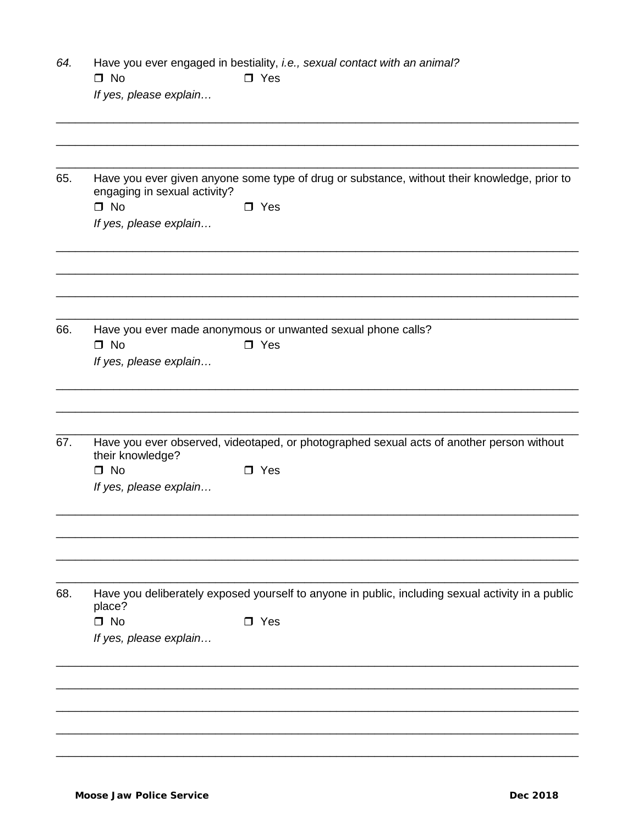| 64. | Have you ever engaged in bestiality, i.e., sexual contact with an animal?<br>$\Box$ No<br>$\square$ Yes                      |  |  |  |
|-----|------------------------------------------------------------------------------------------------------------------------------|--|--|--|
|     | If yes, please explain                                                                                                       |  |  |  |
|     |                                                                                                                              |  |  |  |
| 65. | Have you ever given anyone some type of drug or substance, without their knowledge, prior to<br>engaging in sexual activity? |  |  |  |
|     | $\square$ No<br>$\square$ Yes<br>If yes, please explain                                                                      |  |  |  |
|     |                                                                                                                              |  |  |  |
| 66. | Have you ever made anonymous or unwanted sexual phone calls?<br>$\Box$ No<br>$\square$ Yes                                   |  |  |  |
|     | If yes, please explain                                                                                                       |  |  |  |
|     |                                                                                                                              |  |  |  |
| 67. | Have you ever observed, videotaped, or photographed sexual acts of another person without<br>their knowledge?                |  |  |  |
|     | $\Box$ No<br>$\Box$ Yes<br>If yes, please explain                                                                            |  |  |  |
|     |                                                                                                                              |  |  |  |
| 68. | Have you deliberately exposed yourself to anyone in public, including sexual activity in a public<br>place?                  |  |  |  |
|     | $\Box$ No<br>$\square$ Yes<br>If yes, please explain                                                                         |  |  |  |
|     |                                                                                                                              |  |  |  |
|     |                                                                                                                              |  |  |  |
|     |                                                                                                                              |  |  |  |
|     |                                                                                                                              |  |  |  |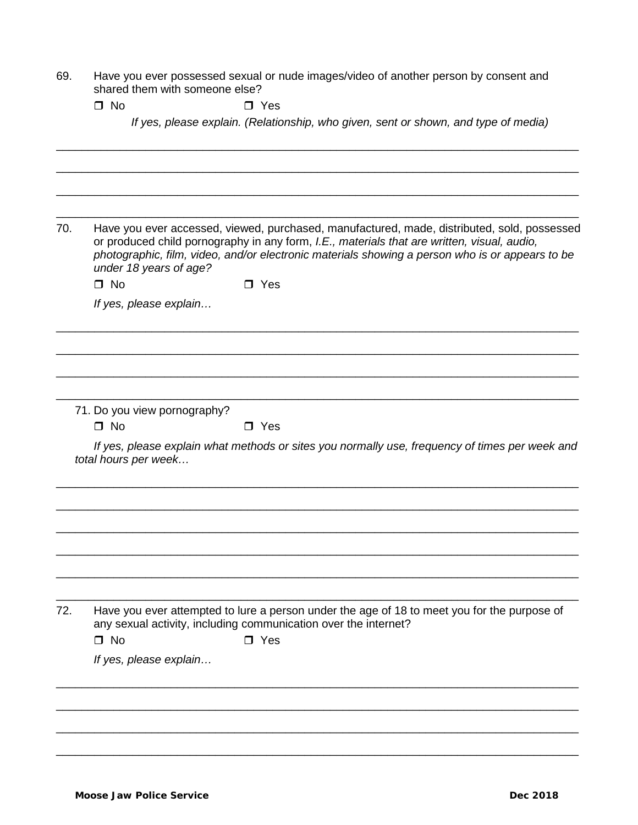| 69. | Have you ever possessed sexual or nude images/video of another person by consent and |
|-----|--------------------------------------------------------------------------------------|
|     | shared them with someone else?                                                       |

 $\Box$  No  $\Box$  Yes

*If yes, please explain. (Relationship, who given, sent or shown, and type of media)*

\_\_\_\_\_\_\_\_\_\_\_\_\_\_\_\_\_\_\_\_\_\_\_\_\_\_\_\_\_\_\_\_\_\_\_\_\_\_\_\_\_\_\_\_\_\_\_\_\_\_\_\_\_\_\_\_\_\_\_\_\_\_\_\_\_\_\_\_\_\_\_\_\_\_\_\_\_\_\_\_\_\_ \_\_\_\_\_\_\_\_\_\_\_\_\_\_\_\_\_\_\_\_\_\_\_\_\_\_\_\_\_\_\_\_\_\_\_\_\_\_\_\_\_\_\_\_\_\_\_\_\_\_\_\_\_\_\_\_\_\_\_\_\_\_\_\_\_\_\_\_\_\_\_\_\_\_\_\_\_\_\_\_\_\_ \_\_\_\_\_\_\_\_\_\_\_\_\_\_\_\_\_\_\_\_\_\_\_\_\_\_\_\_\_\_\_\_\_\_\_\_\_\_\_\_\_\_\_\_\_\_\_\_\_\_\_\_\_\_\_\_\_\_\_\_\_\_\_\_\_\_\_\_\_\_\_\_\_\_\_\_\_\_\_\_\_\_ \_\_\_\_\_\_\_\_\_\_\_\_\_\_\_\_\_\_\_\_\_\_\_\_\_\_\_\_\_\_\_\_\_\_\_\_\_\_\_\_\_\_\_\_\_\_\_\_\_\_\_\_\_\_\_\_\_\_\_\_\_\_\_\_\_\_\_\_\_\_\_\_\_\_\_\_\_\_\_\_\_\_ 70. Have you ever accessed, viewed, purchased, manufactured, made, distributed, sold, possessed or produced child pornography in any form, *I.E., materials that are written, visual, audio, photographic, film, video, and/or electronic materials showing a person who is or appears to be under 18 years of age?*  $\Box$  No  $\Box$  Yes *If yes, please explain…* \_\_\_\_\_\_\_\_\_\_\_\_\_\_\_\_\_\_\_\_\_\_\_\_\_\_\_\_\_\_\_\_\_\_\_\_\_\_\_\_\_\_\_\_\_\_\_\_\_\_\_\_\_\_\_\_\_\_\_\_\_\_\_\_\_\_\_\_\_\_\_\_\_\_\_\_\_\_\_\_\_\_ \_\_\_\_\_\_\_\_\_\_\_\_\_\_\_\_\_\_\_\_\_\_\_\_\_\_\_\_\_\_\_\_\_\_\_\_\_\_\_\_\_\_\_\_\_\_\_\_\_\_\_\_\_\_\_\_\_\_\_\_\_\_\_\_\_\_\_\_\_\_\_\_\_\_\_\_\_\_\_\_\_\_ \_\_\_\_\_\_\_\_\_\_\_\_\_\_\_\_\_\_\_\_\_\_\_\_\_\_\_\_\_\_\_\_\_\_\_\_\_\_\_\_\_\_\_\_\_\_\_\_\_\_\_\_\_\_\_\_\_\_\_\_\_\_\_\_\_\_\_\_\_\_\_\_\_\_\_\_\_\_\_\_\_\_ \_\_\_\_\_\_\_\_\_\_\_\_\_\_\_\_\_\_\_\_\_\_\_\_\_\_\_\_\_\_\_\_\_\_\_\_\_\_\_\_\_\_\_\_\_\_\_\_\_\_\_\_\_\_\_\_\_\_\_\_\_\_\_\_\_\_\_\_\_\_\_\_\_\_\_\_\_\_\_\_\_\_ 71. Do you view pornography?  $\Box$  No  $\Box$  Yes *If yes, please explain what methods or sites you normally use, frequency of times per week and total hours per week…* \_\_\_\_\_\_\_\_\_\_\_\_\_\_\_\_\_\_\_\_\_\_\_\_\_\_\_\_\_\_\_\_\_\_\_\_\_\_\_\_\_\_\_\_\_\_\_\_\_\_\_\_\_\_\_\_\_\_\_\_\_\_\_\_\_\_\_\_\_\_\_\_\_\_\_\_\_\_\_\_\_\_ \_\_\_\_\_\_\_\_\_\_\_\_\_\_\_\_\_\_\_\_\_\_\_\_\_\_\_\_\_\_\_\_\_\_\_\_\_\_\_\_\_\_\_\_\_\_\_\_\_\_\_\_\_\_\_\_\_\_\_\_\_\_\_\_\_\_\_\_\_\_\_\_\_\_\_\_\_\_\_\_\_\_ \_\_\_\_\_\_\_\_\_\_\_\_\_\_\_\_\_\_\_\_\_\_\_\_\_\_\_\_\_\_\_\_\_\_\_\_\_\_\_\_\_\_\_\_\_\_\_\_\_\_\_\_\_\_\_\_\_\_\_\_\_\_\_\_\_\_\_\_\_\_\_\_\_\_\_\_\_\_\_\_\_\_ \_\_\_\_\_\_\_\_\_\_\_\_\_\_\_\_\_\_\_\_\_\_\_\_\_\_\_\_\_\_\_\_\_\_\_\_\_\_\_\_\_\_\_\_\_\_\_\_\_\_\_\_\_\_\_\_\_\_\_\_\_\_\_\_\_\_\_\_\_\_\_\_\_\_\_\_\_\_\_\_\_\_ \_\_\_\_\_\_\_\_\_\_\_\_\_\_\_\_\_\_\_\_\_\_\_\_\_\_\_\_\_\_\_\_\_\_\_\_\_\_\_\_\_\_\_\_\_\_\_\_\_\_\_\_\_\_\_\_\_\_\_\_\_\_\_\_\_\_\_\_\_\_\_\_\_\_\_\_\_\_\_\_\_\_ \_\_\_\_\_\_\_\_\_\_\_\_\_\_\_\_\_\_\_\_\_\_\_\_\_\_\_\_\_\_\_\_\_\_\_\_\_\_\_\_\_\_\_\_\_\_\_\_\_\_\_\_\_\_\_\_\_\_\_\_\_\_\_\_\_\_\_\_\_\_\_\_\_\_\_\_\_\_\_\_\_\_ 72. Have you ever attempted to lure a person under the age of 18 to meet you for the purpose of any sexual activity, including communication over the internet?  $\Box$  No  $\Box$  Yes *If yes, please explain…* \_\_\_\_\_\_\_\_\_\_\_\_\_\_\_\_\_\_\_\_\_\_\_\_\_\_\_\_\_\_\_\_\_\_\_\_\_\_\_\_\_\_\_\_\_\_\_\_\_\_\_\_\_\_\_\_\_\_\_\_\_\_\_\_\_\_\_\_\_\_\_\_\_\_\_\_\_\_\_\_\_\_ \_\_\_\_\_\_\_\_\_\_\_\_\_\_\_\_\_\_\_\_\_\_\_\_\_\_\_\_\_\_\_\_\_\_\_\_\_\_\_\_\_\_\_\_\_\_\_\_\_\_\_\_\_\_\_\_\_\_\_\_\_\_\_\_\_\_\_\_\_\_\_\_\_\_\_\_\_\_\_\_\_\_ \_\_\_\_\_\_\_\_\_\_\_\_\_\_\_\_\_\_\_\_\_\_\_\_\_\_\_\_\_\_\_\_\_\_\_\_\_\_\_\_\_\_\_\_\_\_\_\_\_\_\_\_\_\_\_\_\_\_\_\_\_\_\_\_\_\_\_\_\_\_\_\_\_\_\_\_\_\_\_\_\_\_ \_\_\_\_\_\_\_\_\_\_\_\_\_\_\_\_\_\_\_\_\_\_\_\_\_\_\_\_\_\_\_\_\_\_\_\_\_\_\_\_\_\_\_\_\_\_\_\_\_\_\_\_\_\_\_\_\_\_\_\_\_\_\_\_\_\_\_\_\_\_\_\_\_\_\_\_\_\_\_\_\_\_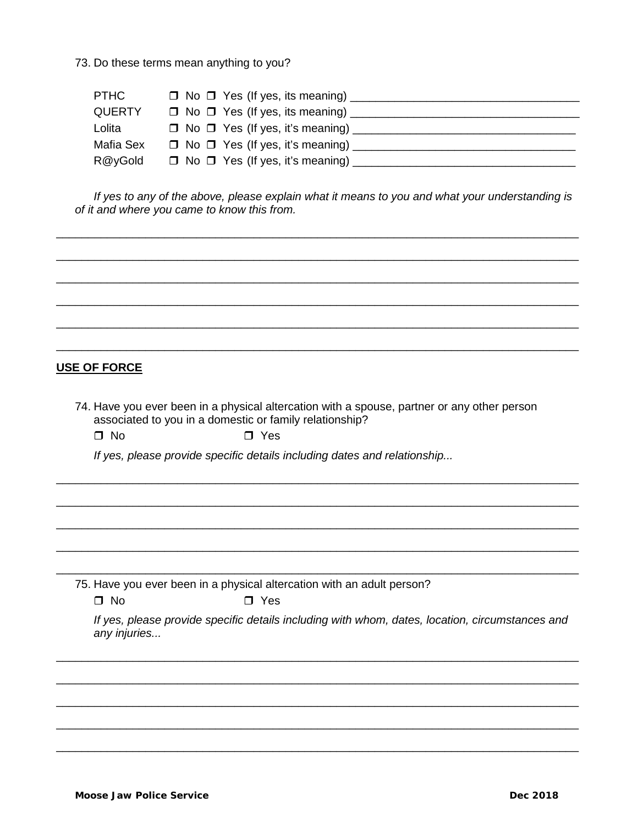73. Do these terms mean anything to you?

| PTHC          | $\Box$ No $\Box$ Yes (If yes, its meaning)     |
|---------------|------------------------------------------------|
| <b>QUERTY</b> | $\Box$ No $\Box$ Yes (If yes, its meaning) ___ |
| Lolita        | $\Box$ No $\Box$ Yes (If yes, it's meaning)    |
| Mafia Sex     | $\Box$ No $\Box$ Yes (If yes, it's meaning)    |
| R@yGold       | $\Box$ No $\Box$ Yes (If yes, it's meaning)    |

If yes to any of the above, please explain what it means to you and what your understanding is of it and where you came to know this from.

#### **USE OF FORCE**

- 74. Have you ever been in a physical altercation with a spouse, partner or any other person associated to you in a domestic or family relationship?
	- $\Box$  No  $\Box$  Yes

If yes, please provide specific details including dates and relationship...

75. Have you ever been in a physical altercation with an adult person?

If yes, please provide specific details including with whom, dates, location, circumstances and any injuries...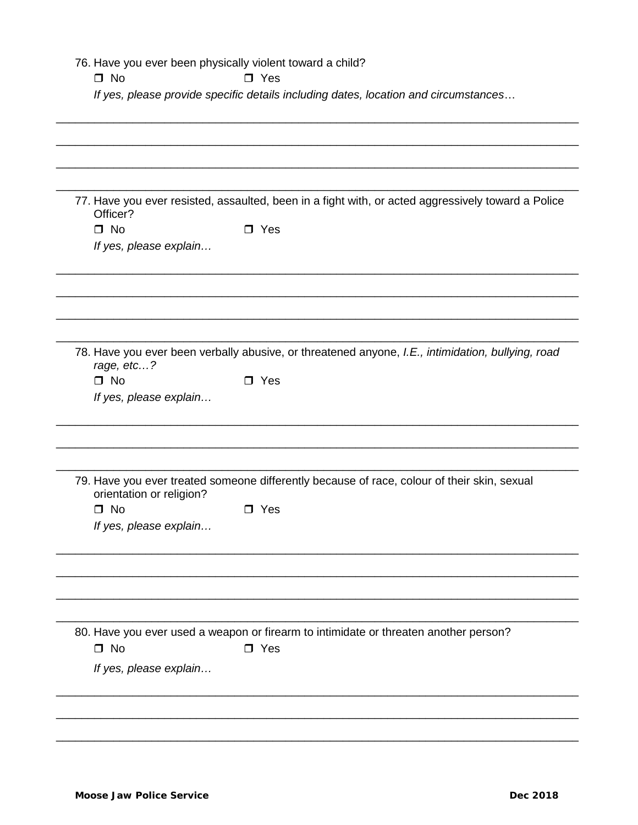|                                     | If yes, please provide specific details including dates, location and circumstances                |
|-------------------------------------|----------------------------------------------------------------------------------------------------|
|                                     |                                                                                                    |
|                                     |                                                                                                    |
|                                     |                                                                                                    |
| Officer?                            | 77. Have you ever resisted, assaulted, been in a fight with, or acted aggressively toward a Police |
| $\Box$ No                           | $\square$ Yes                                                                                      |
| If yes, please explain              |                                                                                                    |
|                                     |                                                                                                    |
|                                     | 78. Have you ever been verbally abusive, or threatened anyone, I.E., intimidation, bullying, road  |
| rage, etc?                          |                                                                                                    |
| $\Box$ No<br>If yes, please explain | $\square$ Yes                                                                                      |
|                                     |                                                                                                    |
| orientation or religion?            | 79. Have you ever treated someone differently because of race, colour of their skin, sexual        |
| $\square$ No                        | $\Box$ Yes                                                                                         |
| If yes, please explain              |                                                                                                    |
|                                     |                                                                                                    |
|                                     | 80. Have you ever used a weapon or firearm to intimidate or threaten another person?               |
| $\square$ No                        | $\square$ Yes                                                                                      |
| If yes, please explain              |                                                                                                    |
|                                     |                                                                                                    |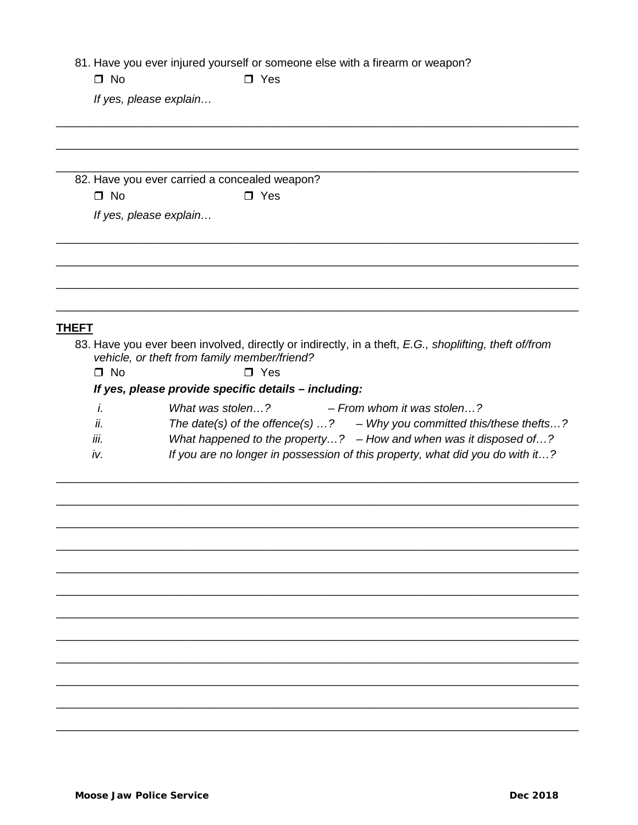81. Have you ever injured yourself or someone else with a firearm or weapon?

 $\Box$  No

 $\Box$  Yes

If yes, please explain...

82. Have you ever carried a concealed weapon?  $\square$  No  $\Box$  Yes

If yes, please explain...

# **THEFT**

- 83. Have you ever been involved, directly or indirectly, in a theft, E.G., shoplifting, theft of/from vehicle, or theft from family member/friend?
	- $\Box$  No  $\Box$  Yes

# If yes, please provide specific details - including:

What was stolen...? - From whom it was stolen...?  $\dot{L}$ ii. The date(s) of the offence(s)  $\dots$ ? - Why you committed this/these thefts...? What happened to the property...?  $-$  How and when was it disposed of...? iii. If you are no longer in possession of this property, what did you do with it...? iv.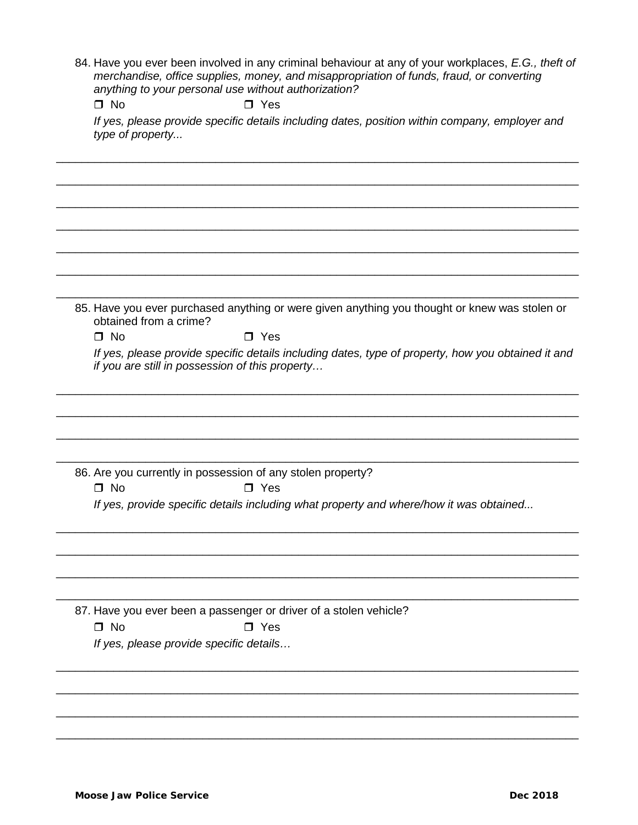84. Have you ever been involved in any criminal behaviour at any of your workplaces, *E.G., theft of merchandise, office supplies, money, and misappropriation of funds, fraud, or converting anything to your personal use without authorization?*

 $\Box$  No  $\Box$  Yes

*If yes, please provide specific details including dates, position within company, employer and type of property...*

\_\_\_\_\_\_\_\_\_\_\_\_\_\_\_\_\_\_\_\_\_\_\_\_\_\_\_\_\_\_\_\_\_\_\_\_\_\_\_\_\_\_\_\_\_\_\_\_\_\_\_\_\_\_\_\_\_\_\_\_\_\_\_\_\_\_\_\_\_\_\_\_\_\_\_\_\_\_\_\_\_\_

\_\_\_\_\_\_\_\_\_\_\_\_\_\_\_\_\_\_\_\_\_\_\_\_\_\_\_\_\_\_\_\_\_\_\_\_\_\_\_\_\_\_\_\_\_\_\_\_\_\_\_\_\_\_\_\_\_\_\_\_\_\_\_\_\_\_\_\_\_\_\_\_\_\_\_\_\_\_\_\_\_\_

\_\_\_\_\_\_\_\_\_\_\_\_\_\_\_\_\_\_\_\_\_\_\_\_\_\_\_\_\_\_\_\_\_\_\_\_\_\_\_\_\_\_\_\_\_\_\_\_\_\_\_\_\_\_\_\_\_\_\_\_\_\_\_\_\_\_\_\_\_\_\_\_\_\_\_\_\_\_\_\_\_\_

\_\_\_\_\_\_\_\_\_\_\_\_\_\_\_\_\_\_\_\_\_\_\_\_\_\_\_\_\_\_\_\_\_\_\_\_\_\_\_\_\_\_\_\_\_\_\_\_\_\_\_\_\_\_\_\_\_\_\_\_\_\_\_\_\_\_\_\_\_\_\_\_\_\_\_\_\_\_\_\_\_\_

\_\_\_\_\_\_\_\_\_\_\_\_\_\_\_\_\_\_\_\_\_\_\_\_\_\_\_\_\_\_\_\_\_\_\_\_\_\_\_\_\_\_\_\_\_\_\_\_\_\_\_\_\_\_\_\_\_\_\_\_\_\_\_\_\_\_\_\_\_\_\_\_\_\_\_\_\_\_\_\_\_\_

\_\_\_\_\_\_\_\_\_\_\_\_\_\_\_\_\_\_\_\_\_\_\_\_\_\_\_\_\_\_\_\_\_\_\_\_\_\_\_\_\_\_\_\_\_\_\_\_\_\_\_\_\_\_\_\_\_\_\_\_\_\_\_\_\_\_\_\_\_\_\_\_\_\_\_\_\_\_\_\_\_\_

\_\_\_\_\_\_\_\_\_\_\_\_\_\_\_\_\_\_\_\_\_\_\_\_\_\_\_\_\_\_\_\_\_\_\_\_\_\_\_\_\_\_\_\_\_\_\_\_\_\_\_\_\_\_\_\_\_\_\_\_\_\_\_\_\_\_\_\_\_\_\_\_\_\_\_\_\_\_\_\_\_\_

85. Have you ever purchased anything or were given anything you thought or knew was stolen or obtained from a crime?

\_\_\_\_\_\_\_\_\_\_\_\_\_\_\_\_\_\_\_\_\_\_\_\_\_\_\_\_\_\_\_\_\_\_\_\_\_\_\_\_\_\_\_\_\_\_\_\_\_\_\_\_\_\_\_\_\_\_\_\_\_\_\_\_\_\_\_\_\_\_\_\_\_\_\_\_\_\_\_\_\_\_

\_\_\_\_\_\_\_\_\_\_\_\_\_\_\_\_\_\_\_\_\_\_\_\_\_\_\_\_\_\_\_\_\_\_\_\_\_\_\_\_\_\_\_\_\_\_\_\_\_\_\_\_\_\_\_\_\_\_\_\_\_\_\_\_\_\_\_\_\_\_\_\_\_\_\_\_\_\_\_\_\_\_

\_\_\_\_\_\_\_\_\_\_\_\_\_\_\_\_\_\_\_\_\_\_\_\_\_\_\_\_\_\_\_\_\_\_\_\_\_\_\_\_\_\_\_\_\_\_\_\_\_\_\_\_\_\_\_\_\_\_\_\_\_\_\_\_\_\_\_\_\_\_\_\_\_\_\_\_\_\_\_\_\_\_

\_\_\_\_\_\_\_\_\_\_\_\_\_\_\_\_\_\_\_\_\_\_\_\_\_\_\_\_\_\_\_\_\_\_\_\_\_\_\_\_\_\_\_\_\_\_\_\_\_\_\_\_\_\_\_\_\_\_\_\_\_\_\_\_\_\_\_\_\_\_\_\_\_\_\_\_\_\_\_\_\_\_

 $\Box$  No  $\Box$  Yes

*If yes, please provide specific details including dates, type of property, how you obtained it and if you are still in possession of this property…*

86. Are you currently in possession of any stolen property?

 $\Box$  No  $\Box$  Yes

*If yes, provide specific details including what property and where/how it was obtained...*

\_\_\_\_\_\_\_\_\_\_\_\_\_\_\_\_\_\_\_\_\_\_\_\_\_\_\_\_\_\_\_\_\_\_\_\_\_\_\_\_\_\_\_\_\_\_\_\_\_\_\_\_\_\_\_\_\_\_\_\_\_\_\_\_\_\_\_\_\_\_\_\_\_\_\_\_\_\_\_\_\_\_

\_\_\_\_\_\_\_\_\_\_\_\_\_\_\_\_\_\_\_\_\_\_\_\_\_\_\_\_\_\_\_\_\_\_\_\_\_\_\_\_\_\_\_\_\_\_\_\_\_\_\_\_\_\_\_\_\_\_\_\_\_\_\_\_\_\_\_\_\_\_\_\_\_\_\_\_\_\_\_\_\_\_

\_\_\_\_\_\_\_\_\_\_\_\_\_\_\_\_\_\_\_\_\_\_\_\_\_\_\_\_\_\_\_\_\_\_\_\_\_\_\_\_\_\_\_\_\_\_\_\_\_\_\_\_\_\_\_\_\_\_\_\_\_\_\_\_\_\_\_\_\_\_\_\_\_\_\_\_\_\_\_\_\_\_

\_\_\_\_\_\_\_\_\_\_\_\_\_\_\_\_\_\_\_\_\_\_\_\_\_\_\_\_\_\_\_\_\_\_\_\_\_\_\_\_\_\_\_\_\_\_\_\_\_\_\_\_\_\_\_\_\_\_\_\_\_\_\_\_\_\_\_\_\_\_\_\_\_\_\_\_\_\_\_\_\_\_

\_\_\_\_\_\_\_\_\_\_\_\_\_\_\_\_\_\_\_\_\_\_\_\_\_\_\_\_\_\_\_\_\_\_\_\_\_\_\_\_\_\_\_\_\_\_\_\_\_\_\_\_\_\_\_\_\_\_\_\_\_\_\_\_\_\_\_\_\_\_\_\_\_\_\_\_\_\_\_\_\_\_

\_\_\_\_\_\_\_\_\_\_\_\_\_\_\_\_\_\_\_\_\_\_\_\_\_\_\_\_\_\_\_\_\_\_\_\_\_\_\_\_\_\_\_\_\_\_\_\_\_\_\_\_\_\_\_\_\_\_\_\_\_\_\_\_\_\_\_\_\_\_\_\_\_\_\_\_\_\_\_\_\_\_

\_\_\_\_\_\_\_\_\_\_\_\_\_\_\_\_\_\_\_\_\_\_\_\_\_\_\_\_\_\_\_\_\_\_\_\_\_\_\_\_\_\_\_\_\_\_\_\_\_\_\_\_\_\_\_\_\_\_\_\_\_\_\_\_\_\_\_\_\_\_\_\_\_\_\_\_\_\_\_\_\_\_

\_\_\_\_\_\_\_\_\_\_\_\_\_\_\_\_\_\_\_\_\_\_\_\_\_\_\_\_\_\_\_\_\_\_\_\_\_\_\_\_\_\_\_\_\_\_\_\_\_\_\_\_\_\_\_\_\_\_\_\_\_\_\_\_\_\_\_\_\_\_\_\_\_\_\_\_\_\_\_\_\_\_

87. Have you ever been a passenger or driver of a stolen vehicle?  $\Box$  No  $\Box$  Yes

*If yes, please provide specific details…*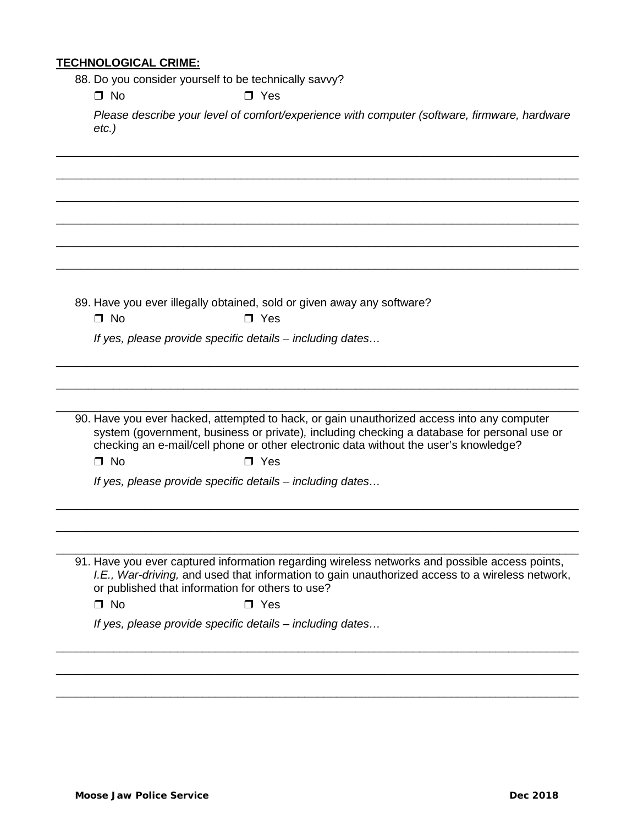#### **TECHNOLOGICAL CRIME:**

88. Do you consider yourself to be technically savvy?

 $\Box$  No  $\Box$  Yes

*Please describe your level of comfort/experience with computer (software, firmware, hardware etc.)*

\_\_\_\_\_\_\_\_\_\_\_\_\_\_\_\_\_\_\_\_\_\_\_\_\_\_\_\_\_\_\_\_\_\_\_\_\_\_\_\_\_\_\_\_\_\_\_\_\_\_\_\_\_\_\_\_\_\_\_\_\_\_\_\_\_\_\_\_\_\_\_\_\_\_\_\_\_\_\_\_\_\_

\_\_\_\_\_\_\_\_\_\_\_\_\_\_\_\_\_\_\_\_\_\_\_\_\_\_\_\_\_\_\_\_\_\_\_\_\_\_\_\_\_\_\_\_\_\_\_\_\_\_\_\_\_\_\_\_\_\_\_\_\_\_\_\_\_\_\_\_\_\_\_\_\_\_\_\_\_\_\_\_\_\_

\_\_\_\_\_\_\_\_\_\_\_\_\_\_\_\_\_\_\_\_\_\_\_\_\_\_\_\_\_\_\_\_\_\_\_\_\_\_\_\_\_\_\_\_\_\_\_\_\_\_\_\_\_\_\_\_\_\_\_\_\_\_\_\_\_\_\_\_\_\_\_\_\_\_\_\_\_\_\_\_\_\_

\_\_\_\_\_\_\_\_\_\_\_\_\_\_\_\_\_\_\_\_\_\_\_\_\_\_\_\_\_\_\_\_\_\_\_\_\_\_\_\_\_\_\_\_\_\_\_\_\_\_\_\_\_\_\_\_\_\_\_\_\_\_\_\_\_\_\_\_\_\_\_\_\_\_\_\_\_\_\_\_\_\_

\_\_\_\_\_\_\_\_\_\_\_\_\_\_\_\_\_\_\_\_\_\_\_\_\_\_\_\_\_\_\_\_\_\_\_\_\_\_\_\_\_\_\_\_\_\_\_\_\_\_\_\_\_\_\_\_\_\_\_\_\_\_\_\_\_\_\_\_\_\_\_\_\_\_\_\_\_\_\_\_\_\_

\_\_\_\_\_\_\_\_\_\_\_\_\_\_\_\_\_\_\_\_\_\_\_\_\_\_\_\_\_\_\_\_\_\_\_\_\_\_\_\_\_\_\_\_\_\_\_\_\_\_\_\_\_\_\_\_\_\_\_\_\_\_\_\_\_\_\_\_\_\_\_\_\_\_\_\_\_\_\_\_\_\_ 89. Have you ever illegally obtained, sold or given away any software?  $\Box$  No  $\Box$  Yes *If yes, please provide specific details – including dates…* \_\_\_\_\_\_\_\_\_\_\_\_\_\_\_\_\_\_\_\_\_\_\_\_\_\_\_\_\_\_\_\_\_\_\_\_\_\_\_\_\_\_\_\_\_\_\_\_\_\_\_\_\_\_\_\_\_\_\_\_\_\_\_\_\_\_\_\_\_\_\_\_\_\_\_\_\_\_\_\_\_\_ \_\_\_\_\_\_\_\_\_\_\_\_\_\_\_\_\_\_\_\_\_\_\_\_\_\_\_\_\_\_\_\_\_\_\_\_\_\_\_\_\_\_\_\_\_\_\_\_\_\_\_\_\_\_\_\_\_\_\_\_\_\_\_\_\_\_\_\_\_\_\_\_\_\_\_\_\_\_\_\_\_\_ \_\_\_\_\_\_\_\_\_\_\_\_\_\_\_\_\_\_\_\_\_\_\_\_\_\_\_\_\_\_\_\_\_\_\_\_\_\_\_\_\_\_\_\_\_\_\_\_\_\_\_\_\_\_\_\_\_\_\_\_\_\_\_\_\_\_\_\_\_\_\_\_\_\_\_\_\_\_\_\_\_\_ 90. Have you ever hacked, attempted to hack, or gain unauthorized access into any computer system (government, business or private)*,* including checking a database for personal use or checking an e-mail/cell phone or other electronic data without the user's knowledge?  $\Box$  No  $\Box$  Yes *If yes, please provide specific details – including dates…*

91. Have you ever captured information regarding wireless networks and possible access points, *I.E., War-driving,* and used that information to gain unauthorized access to a wireless network, or published that information for others to use?

\_\_\_\_\_\_\_\_\_\_\_\_\_\_\_\_\_\_\_\_\_\_\_\_\_\_\_\_\_\_\_\_\_\_\_\_\_\_\_\_\_\_\_\_\_\_\_\_\_\_\_\_\_\_\_\_\_\_\_\_\_\_\_\_\_\_\_\_\_\_\_\_\_\_\_\_\_\_\_\_\_\_

\_\_\_\_\_\_\_\_\_\_\_\_\_\_\_\_\_\_\_\_\_\_\_\_\_\_\_\_\_\_\_\_\_\_\_\_\_\_\_\_\_\_\_\_\_\_\_\_\_\_\_\_\_\_\_\_\_\_\_\_\_\_\_\_\_\_\_\_\_\_\_\_\_\_\_\_\_\_\_\_\_\_

\_\_\_\_\_\_\_\_\_\_\_\_\_\_\_\_\_\_\_\_\_\_\_\_\_\_\_\_\_\_\_\_\_\_\_\_\_\_\_\_\_\_\_\_\_\_\_\_\_\_\_\_\_\_\_\_\_\_\_\_\_\_\_\_\_\_\_\_\_\_\_\_\_\_\_\_\_\_\_\_\_\_

\_\_\_\_\_\_\_\_\_\_\_\_\_\_\_\_\_\_\_\_\_\_\_\_\_\_\_\_\_\_\_\_\_\_\_\_\_\_\_\_\_\_\_\_\_\_\_\_\_\_\_\_\_\_\_\_\_\_\_\_\_\_\_\_\_\_\_\_\_\_\_\_\_\_\_\_\_\_\_\_\_\_

\_\_\_\_\_\_\_\_\_\_\_\_\_\_\_\_\_\_\_\_\_\_\_\_\_\_\_\_\_\_\_\_\_\_\_\_\_\_\_\_\_\_\_\_\_\_\_\_\_\_\_\_\_\_\_\_\_\_\_\_\_\_\_\_\_\_\_\_\_\_\_\_\_\_\_\_\_\_\_\_\_\_

\_\_\_\_\_\_\_\_\_\_\_\_\_\_\_\_\_\_\_\_\_\_\_\_\_\_\_\_\_\_\_\_\_\_\_\_\_\_\_\_\_\_\_\_\_\_\_\_\_\_\_\_\_\_\_\_\_\_\_\_\_\_\_\_\_\_\_\_\_\_\_\_\_\_\_\_\_\_\_\_\_\_

 $\Box$  No  $\Box$  Yes

*If yes, please provide specific details – including dates…*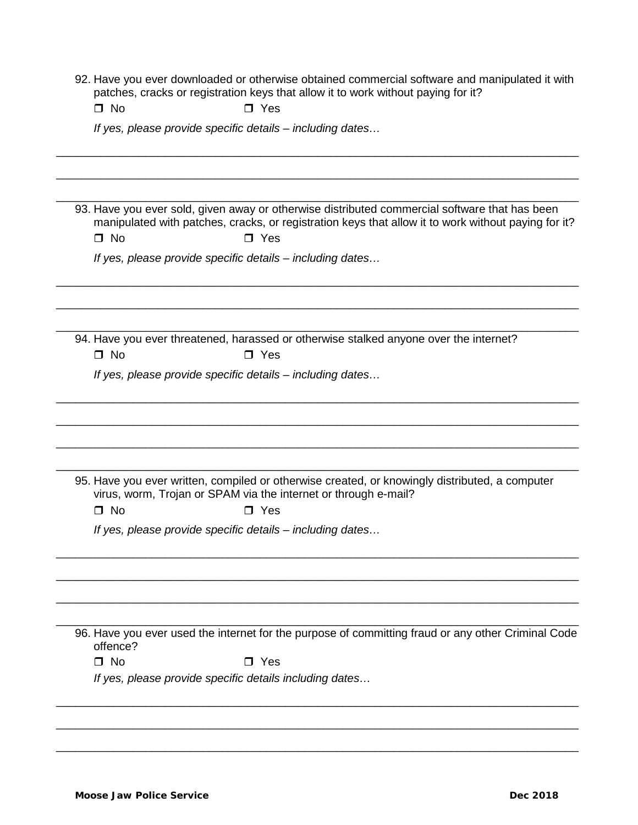|  |                                                                                   |  |  | 92. Have you ever downloaded or otherwise obtained commercial software and manipulated it with |  |
|--|-----------------------------------------------------------------------------------|--|--|------------------------------------------------------------------------------------------------|--|
|  | patches, cracks or registration keys that allow it to work without paying for it? |  |  |                                                                                                |  |

\_\_\_\_\_\_\_\_\_\_\_\_\_\_\_\_\_\_\_\_\_\_\_\_\_\_\_\_\_\_\_\_\_\_\_\_\_\_\_\_\_\_\_\_\_\_\_\_\_\_\_\_\_\_\_\_\_\_\_\_\_\_\_\_\_\_\_\_\_\_\_\_\_\_\_\_\_\_\_\_\_\_

\_\_\_\_\_\_\_\_\_\_\_\_\_\_\_\_\_\_\_\_\_\_\_\_\_\_\_\_\_\_\_\_\_\_\_\_\_\_\_\_\_\_\_\_\_\_\_\_\_\_\_\_\_\_\_\_\_\_\_\_\_\_\_\_\_\_\_\_\_\_\_\_\_\_\_\_\_\_\_\_\_\_

\_\_\_\_\_\_\_\_\_\_\_\_\_\_\_\_\_\_\_\_\_\_\_\_\_\_\_\_\_\_\_\_\_\_\_\_\_\_\_\_\_\_\_\_\_\_\_\_\_\_\_\_\_\_\_\_\_\_\_\_\_\_\_\_\_\_\_\_\_\_\_\_\_\_\_\_\_\_\_\_\_\_

\_\_\_\_\_\_\_\_\_\_\_\_\_\_\_\_\_\_\_\_\_\_\_\_\_\_\_\_\_\_\_\_\_\_\_\_\_\_\_\_\_\_\_\_\_\_\_\_\_\_\_\_\_\_\_\_\_\_\_\_\_\_\_\_\_\_\_\_\_\_\_\_\_\_\_\_\_\_\_\_\_\_

\_\_\_\_\_\_\_\_\_\_\_\_\_\_\_\_\_\_\_\_\_\_\_\_\_\_\_\_\_\_\_\_\_\_\_\_\_\_\_\_\_\_\_\_\_\_\_\_\_\_\_\_\_\_\_\_\_\_\_\_\_\_\_\_\_\_\_\_\_\_\_\_\_\_\_\_\_\_\_\_\_\_

\_\_\_\_\_\_\_\_\_\_\_\_\_\_\_\_\_\_\_\_\_\_\_\_\_\_\_\_\_\_\_\_\_\_\_\_\_\_\_\_\_\_\_\_\_\_\_\_\_\_\_\_\_\_\_\_\_\_\_\_\_\_\_\_\_\_\_\_\_\_\_\_\_\_\_\_\_\_\_\_\_\_

\_\_\_\_\_\_\_\_\_\_\_\_\_\_\_\_\_\_\_\_\_\_\_\_\_\_\_\_\_\_\_\_\_\_\_\_\_\_\_\_\_\_\_\_\_\_\_\_\_\_\_\_\_\_\_\_\_\_\_\_\_\_\_\_\_\_\_\_\_\_\_\_\_\_\_\_\_\_\_\_\_\_

\_\_\_\_\_\_\_\_\_\_\_\_\_\_\_\_\_\_\_\_\_\_\_\_\_\_\_\_\_\_\_\_\_\_\_\_\_\_\_\_\_\_\_\_\_\_\_\_\_\_\_\_\_\_\_\_\_\_\_\_\_\_\_\_\_\_\_\_\_\_\_\_\_\_\_\_\_\_\_\_\_\_

\_\_\_\_\_\_\_\_\_\_\_\_\_\_\_\_\_\_\_\_\_\_\_\_\_\_\_\_\_\_\_\_\_\_\_\_\_\_\_\_\_\_\_\_\_\_\_\_\_\_\_\_\_\_\_\_\_\_\_\_\_\_\_\_\_\_\_\_\_\_\_\_\_\_\_\_\_\_\_\_\_\_

\_\_\_\_\_\_\_\_\_\_\_\_\_\_\_\_\_\_\_\_\_\_\_\_\_\_\_\_\_\_\_\_\_\_\_\_\_\_\_\_\_\_\_\_\_\_\_\_\_\_\_\_\_\_\_\_\_\_\_\_\_\_\_\_\_\_\_\_\_\_\_\_\_\_\_\_\_\_\_\_\_\_

\_\_\_\_\_\_\_\_\_\_\_\_\_\_\_\_\_\_\_\_\_\_\_\_\_\_\_\_\_\_\_\_\_\_\_\_\_\_\_\_\_\_\_\_\_\_\_\_\_\_\_\_\_\_\_\_\_\_\_\_\_\_\_\_\_\_\_\_\_\_\_\_\_\_\_\_\_\_\_\_\_\_

\_\_\_\_\_\_\_\_\_\_\_\_\_\_\_\_\_\_\_\_\_\_\_\_\_\_\_\_\_\_\_\_\_\_\_\_\_\_\_\_\_\_\_\_\_\_\_\_\_\_\_\_\_\_\_\_\_\_\_\_\_\_\_\_\_\_\_\_\_\_\_\_\_\_\_\_\_\_\_\_\_\_

| $\Box$ Yes |
|------------|
|            |

*If yes, please provide specific details – including dates…*

93. Have you ever sold, given away or otherwise distributed commercial software that has been manipulated with patches, cracks, or registration keys that allow it to work without paying for it?  $\Box$  No  $\Box$  Yes

*If yes, please provide specific details – including dates…*

\_\_\_\_\_\_\_\_\_\_\_\_\_\_\_\_\_\_\_\_\_\_\_\_\_\_\_\_\_\_\_\_\_\_\_\_\_\_\_\_\_\_\_\_\_\_\_\_\_\_\_\_\_\_\_\_\_\_\_\_\_\_\_\_\_\_\_\_\_\_\_\_\_\_\_\_\_\_\_\_\_\_ 94. Have you ever threatened, harassed or otherwise stalked anyone over the internet?  $\Box$  No  $\Box$  Yes

*If yes, please provide specific details – including dates…*

95. Have you ever written, compiled or otherwise created, or knowingly distributed, a computer virus, worm, Trojan or SPAM via the internet or through e-mail?

 $\Box$  No  $\Box$  Yes

*If yes, please provide specific details – including dates…*

\_\_\_\_\_\_\_\_\_\_\_\_\_\_\_\_\_\_\_\_\_\_\_\_\_\_\_\_\_\_\_\_\_\_\_\_\_\_\_\_\_\_\_\_\_\_\_\_\_\_\_\_\_\_\_\_\_\_\_\_\_\_\_\_\_\_\_\_\_\_\_\_\_\_\_\_\_\_\_\_\_\_ 96. Have you ever used the internet for the purpose of committing fraud or any other Criminal Code offence?

\_\_\_\_\_\_\_\_\_\_\_\_\_\_\_\_\_\_\_\_\_\_\_\_\_\_\_\_\_\_\_\_\_\_\_\_\_\_\_\_\_\_\_\_\_\_\_\_\_\_\_\_\_\_\_\_\_\_\_\_\_\_\_\_\_\_\_\_\_\_\_\_\_\_\_\_\_\_\_\_\_\_

\_\_\_\_\_\_\_\_\_\_\_\_\_\_\_\_\_\_\_\_\_\_\_\_\_\_\_\_\_\_\_\_\_\_\_\_\_\_\_\_\_\_\_\_\_\_\_\_\_\_\_\_\_\_\_\_\_\_\_\_\_\_\_\_\_\_\_\_\_\_\_\_\_\_\_\_\_\_\_\_\_\_

\_\_\_\_\_\_\_\_\_\_\_\_\_\_\_\_\_\_\_\_\_\_\_\_\_\_\_\_\_\_\_\_\_\_\_\_\_\_\_\_\_\_\_\_\_\_\_\_\_\_\_\_\_\_\_\_\_\_\_\_\_\_\_\_\_\_\_\_\_\_\_\_\_\_\_\_\_\_\_\_\_\_

 $\Box$  No  $\Box$  Yes

*If yes, please provide specific details including dates…*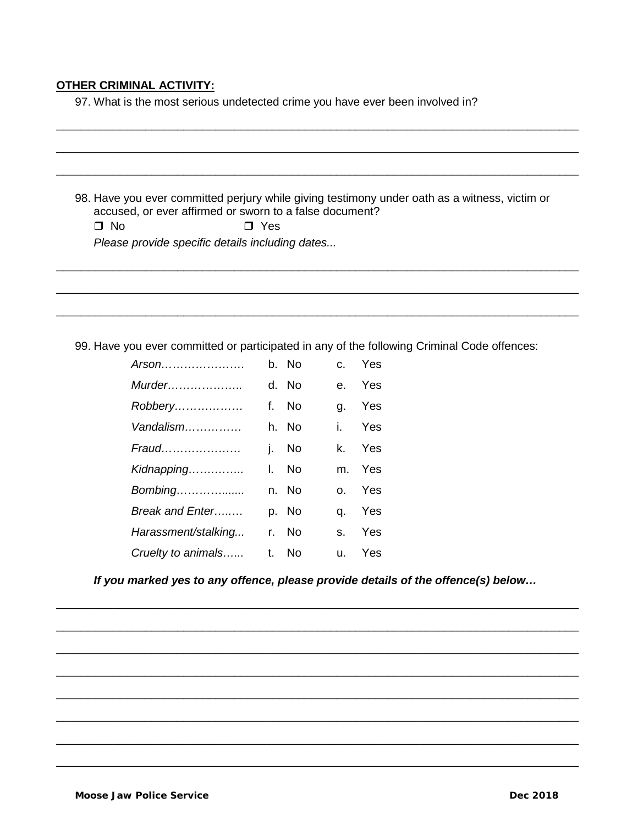# **OTHER CRIMINAL ACTIVITY:**

97. What is the most serious undetected crime you have ever been involved in?

| accused, or ever affirmed or sworn to a false document?<br>$\Box$ No | $\Box$ Yes |       |              | 98. Have you ever committed perjury while giving testimony under oath as a witness, victim or |
|----------------------------------------------------------------------|------------|-------|--------------|-----------------------------------------------------------------------------------------------|
| Please provide specific details including dates                      |            |       |              |                                                                                               |
|                                                                      |            |       |              |                                                                                               |
|                                                                      |            |       |              |                                                                                               |
|                                                                      |            |       |              |                                                                                               |
|                                                                      |            |       |              | 99. Have you ever committed or participated in any of the following Criminal Code offences:   |
| $A$ rson                                                             |            | b. No | $C_{\rm{c}}$ | Yes                                                                                           |
|                                                                      |            | d. No | $e_{\cdot}$  | Yes                                                                                           |
| Robbery                                                              |            | f. No | g.           | Yes                                                                                           |
| Vandalism                                                            |            | h. No | İ.           | Yes                                                                                           |
| Fraud                                                                |            | j. No | k.           | Yes                                                                                           |
| Kidnapping                                                           |            | I. No | m.           | Yes                                                                                           |
| Bombing                                                              |            | n. No | 0.           | Yes                                                                                           |
| Break and Enter                                                      |            | p. No | q.           | Yes                                                                                           |
|                                                                      |            | r. No | S.           | Yes                                                                                           |
| Harassment/stalking                                                  |            |       |              |                                                                                               |

\_\_\_\_\_\_\_\_\_\_\_\_\_\_\_\_\_\_\_\_\_\_\_\_\_\_\_\_\_\_\_\_\_\_\_\_\_\_\_\_\_\_\_\_\_\_\_\_\_\_\_\_\_\_\_\_\_\_\_\_\_\_\_\_\_\_\_\_\_\_\_\_\_\_\_\_\_\_\_\_\_\_

\_\_\_\_\_\_\_\_\_\_\_\_\_\_\_\_\_\_\_\_\_\_\_\_\_\_\_\_\_\_\_\_\_\_\_\_\_\_\_\_\_\_\_\_\_\_\_\_\_\_\_\_\_\_\_\_\_\_\_\_\_\_\_\_\_\_\_\_\_\_\_\_\_\_\_\_\_\_\_\_\_\_

\_\_\_\_\_\_\_\_\_\_\_\_\_\_\_\_\_\_\_\_\_\_\_\_\_\_\_\_\_\_\_\_\_\_\_\_\_\_\_\_\_\_\_\_\_\_\_\_\_\_\_\_\_\_\_\_\_\_\_\_\_\_\_\_\_\_\_\_\_\_\_\_\_\_\_\_\_\_\_\_\_\_

\_\_\_\_\_\_\_\_\_\_\_\_\_\_\_\_\_\_\_\_\_\_\_\_\_\_\_\_\_\_\_\_\_\_\_\_\_\_\_\_\_\_\_\_\_\_\_\_\_\_\_\_\_\_\_\_\_\_\_\_\_\_\_\_\_\_\_\_\_\_\_\_\_\_\_\_\_\_\_\_\_\_

\_\_\_\_\_\_\_\_\_\_\_\_\_\_\_\_\_\_\_\_\_\_\_\_\_\_\_\_\_\_\_\_\_\_\_\_\_\_\_\_\_\_\_\_\_\_\_\_\_\_\_\_\_\_\_\_\_\_\_\_\_\_\_\_\_\_\_\_\_\_\_\_\_\_\_\_\_\_\_\_\_\_

\_\_\_\_\_\_\_\_\_\_\_\_\_\_\_\_\_\_\_\_\_\_\_\_\_\_\_\_\_\_\_\_\_\_\_\_\_\_\_\_\_\_\_\_\_\_\_\_\_\_\_\_\_\_\_\_\_\_\_\_\_\_\_\_\_\_\_\_\_\_\_\_\_\_\_\_\_\_\_\_\_\_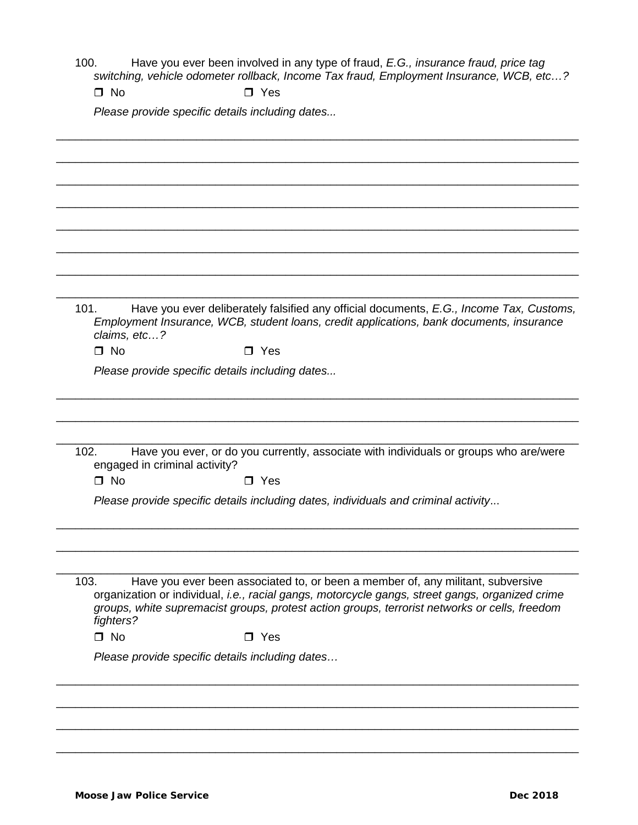100. Have you ever been involved in any type of fraud, *E.G., insurance fraud, price tag switching, vehicle odometer rollback, Income Tax fraud, Employment Insurance, WCB, etc…?*

\_\_\_\_\_\_\_\_\_\_\_\_\_\_\_\_\_\_\_\_\_\_\_\_\_\_\_\_\_\_\_\_\_\_\_\_\_\_\_\_\_\_\_\_\_\_\_\_\_\_\_\_\_\_\_\_\_\_\_\_\_\_\_\_\_\_\_\_\_\_\_\_\_\_\_\_\_\_\_\_\_\_

\_\_\_\_\_\_\_\_\_\_\_\_\_\_\_\_\_\_\_\_\_\_\_\_\_\_\_\_\_\_\_\_\_\_\_\_\_\_\_\_\_\_\_\_\_\_\_\_\_\_\_\_\_\_\_\_\_\_\_\_\_\_\_\_\_\_\_\_\_\_\_\_\_\_\_\_\_\_\_\_\_\_

 $\Box$  No  $\Box$  Yes

*Please provide specific details including dates...*

\_\_\_\_\_\_\_\_\_\_\_\_\_\_\_\_\_\_\_\_\_\_\_\_\_\_\_\_\_\_\_\_\_\_\_\_\_\_\_\_\_\_\_\_\_\_\_\_\_\_\_\_\_\_\_\_\_\_\_\_\_\_\_\_\_\_\_\_\_\_\_\_\_\_\_\_\_\_\_\_\_\_ \_\_\_\_\_\_\_\_\_\_\_\_\_\_\_\_\_\_\_\_\_\_\_\_\_\_\_\_\_\_\_\_\_\_\_\_\_\_\_\_\_\_\_\_\_\_\_\_\_\_\_\_\_\_\_\_\_\_\_\_\_\_\_\_\_\_\_\_\_\_\_\_\_\_\_\_\_\_\_\_\_\_ \_\_\_\_\_\_\_\_\_\_\_\_\_\_\_\_\_\_\_\_\_\_\_\_\_\_\_\_\_\_\_\_\_\_\_\_\_\_\_\_\_\_\_\_\_\_\_\_\_\_\_\_\_\_\_\_\_\_\_\_\_\_\_\_\_\_\_\_\_\_\_\_\_\_\_\_\_\_\_\_\_\_ \_\_\_\_\_\_\_\_\_\_\_\_\_\_\_\_\_\_\_\_\_\_\_\_\_\_\_\_\_\_\_\_\_\_\_\_\_\_\_\_\_\_\_\_\_\_\_\_\_\_\_\_\_\_\_\_\_\_\_\_\_\_\_\_\_\_\_\_\_\_\_\_\_\_\_\_\_\_\_\_\_\_ \_\_\_\_\_\_\_\_\_\_\_\_\_\_\_\_\_\_\_\_\_\_\_\_\_\_\_\_\_\_\_\_\_\_\_\_\_\_\_\_\_\_\_\_\_\_\_\_\_\_\_\_\_\_\_\_\_\_\_\_\_\_\_\_\_\_\_\_\_\_\_\_\_\_\_\_\_\_\_\_\_\_ \_\_\_\_\_\_\_\_\_\_\_\_\_\_\_\_\_\_\_\_\_\_\_\_\_\_\_\_\_\_\_\_\_\_\_\_\_\_\_\_\_\_\_\_\_\_\_\_\_\_\_\_\_\_\_\_\_\_\_\_\_\_\_\_\_\_\_\_\_\_\_\_\_\_\_\_\_\_\_\_\_\_ 101. Have you ever deliberately falsified any official documents, *E.G., Income Tax, Customs, Employment Insurance, WCB, student loans, credit applications, bank documents, insurance claims, etc…?*  $\Box$  No  $\Box$  Yes *Please provide specific details including dates...* \_\_\_\_\_\_\_\_\_\_\_\_\_\_\_\_\_\_\_\_\_\_\_\_\_\_\_\_\_\_\_\_\_\_\_\_\_\_\_\_\_\_\_\_\_\_\_\_\_\_\_\_\_\_\_\_\_\_\_\_\_\_\_\_\_\_\_\_\_\_\_\_\_\_\_\_\_\_\_\_\_\_ \_\_\_\_\_\_\_\_\_\_\_\_\_\_\_\_\_\_\_\_\_\_\_\_\_\_\_\_\_\_\_\_\_\_\_\_\_\_\_\_\_\_\_\_\_\_\_\_\_\_\_\_\_\_\_\_\_\_\_\_\_\_\_\_\_\_\_\_\_\_\_\_\_\_\_\_\_\_\_\_\_\_ \_\_\_\_\_\_\_\_\_\_\_\_\_\_\_\_\_\_\_\_\_\_\_\_\_\_\_\_\_\_\_\_\_\_\_\_\_\_\_\_\_\_\_\_\_\_\_\_\_\_\_\_\_\_\_\_\_\_\_\_\_\_\_\_\_\_\_\_\_\_\_\_\_\_\_\_\_\_\_\_\_\_ 102. Have you ever, or do you currently, associate with individuals or groups who are/were engaged in criminal activity?  $\Box$  No  $\Box$  Yes *Please provide specific details including dates, individuals and criminal activity*... \_\_\_\_\_\_\_\_\_\_\_\_\_\_\_\_\_\_\_\_\_\_\_\_\_\_\_\_\_\_\_\_\_\_\_\_\_\_\_\_\_\_\_\_\_\_\_\_\_\_\_\_\_\_\_\_\_\_\_\_\_\_\_\_\_\_\_\_\_\_\_\_\_\_\_\_\_\_\_\_\_\_ \_\_\_\_\_\_\_\_\_\_\_\_\_\_\_\_\_\_\_\_\_\_\_\_\_\_\_\_\_\_\_\_\_\_\_\_\_\_\_\_\_\_\_\_\_\_\_\_\_\_\_\_\_\_\_\_\_\_\_\_\_\_\_\_\_\_\_\_\_\_\_\_\_\_\_\_\_\_\_\_\_\_ \_\_\_\_\_\_\_\_\_\_\_\_\_\_\_\_\_\_\_\_\_\_\_\_\_\_\_\_\_\_\_\_\_\_\_\_\_\_\_\_\_\_\_\_\_\_\_\_\_\_\_\_\_\_\_\_\_\_\_\_\_\_\_\_\_\_\_\_\_\_\_\_\_\_\_\_\_\_\_\_\_\_ 103. Have you ever been associated to, or been a member of, any militant, subversive organization or individual, *i.e., racial gangs, motorcycle gangs, street gangs, organized crime groups, white supremacist groups, protest action groups, terrorist networks or cells, freedom fighters?*  $\Box$  No  $\Box$  Yes *Please provide specific details including dates…* \_\_\_\_\_\_\_\_\_\_\_\_\_\_\_\_\_\_\_\_\_\_\_\_\_\_\_\_\_\_\_\_\_\_\_\_\_\_\_\_\_\_\_\_\_\_\_\_\_\_\_\_\_\_\_\_\_\_\_\_\_\_\_\_\_\_\_\_\_\_\_\_\_\_\_\_\_\_\_\_\_\_

\_\_\_\_\_\_\_\_\_\_\_\_\_\_\_\_\_\_\_\_\_\_\_\_\_\_\_\_\_\_\_\_\_\_\_\_\_\_\_\_\_\_\_\_\_\_\_\_\_\_\_\_\_\_\_\_\_\_\_\_\_\_\_\_\_\_\_\_\_\_\_\_\_\_\_\_\_\_\_\_\_\_

\_\_\_\_\_\_\_\_\_\_\_\_\_\_\_\_\_\_\_\_\_\_\_\_\_\_\_\_\_\_\_\_\_\_\_\_\_\_\_\_\_\_\_\_\_\_\_\_\_\_\_\_\_\_\_\_\_\_\_\_\_\_\_\_\_\_\_\_\_\_\_\_\_\_\_\_\_\_\_\_\_\_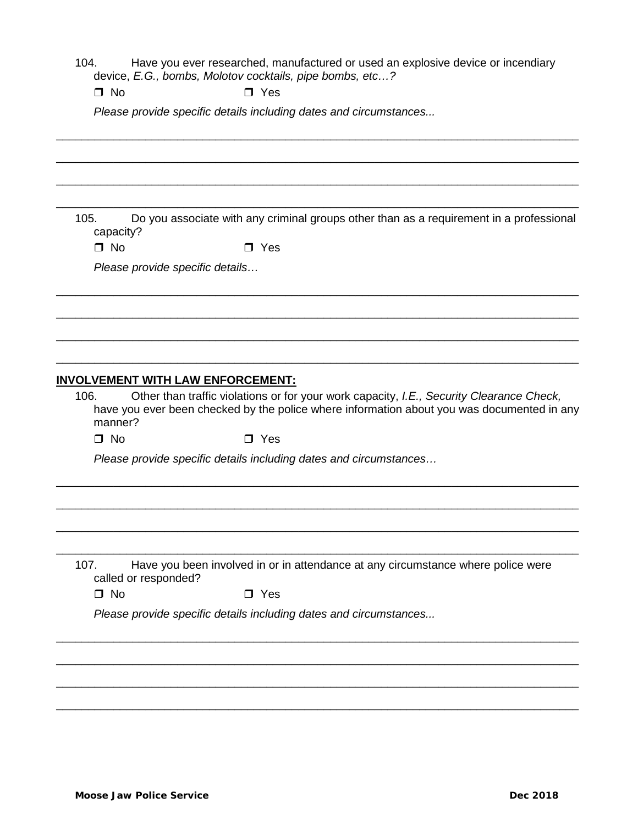104. Have you ever researched, manufactured or used an explosive device or incendiary device, *E.G., bombs, Molotov cocktails, pipe bombs, etc…?*

 $\Box$  No  $\Box$  Yes

*Please provide specific details including dates and circumstances...*

| 105.<br>capacity?<br>$\Box$ No<br>106.<br>manner?<br>$\Box$ No | $\Box$ Yes<br>Please provide specific details<br><u>INVOLVEMENT WITH LAW ENFORCEMENT:</u><br>$\Box$ Yes | Do you associate with any criminal groups other than as a requirement in a professional<br>Other than traffic violations or for your work capacity, I.E., Security Clearance Check,<br>have you ever been checked by the police where information about you was documented in any |
|----------------------------------------------------------------|---------------------------------------------------------------------------------------------------------|-----------------------------------------------------------------------------------------------------------------------------------------------------------------------------------------------------------------------------------------------------------------------------------|
|                                                                |                                                                                                         |                                                                                                                                                                                                                                                                                   |
|                                                                |                                                                                                         |                                                                                                                                                                                                                                                                                   |
|                                                                |                                                                                                         |                                                                                                                                                                                                                                                                                   |
|                                                                |                                                                                                         |                                                                                                                                                                                                                                                                                   |
|                                                                |                                                                                                         |                                                                                                                                                                                                                                                                                   |
|                                                                |                                                                                                         |                                                                                                                                                                                                                                                                                   |
|                                                                |                                                                                                         |                                                                                                                                                                                                                                                                                   |
|                                                                |                                                                                                         |                                                                                                                                                                                                                                                                                   |
|                                                                |                                                                                                         |                                                                                                                                                                                                                                                                                   |
|                                                                |                                                                                                         |                                                                                                                                                                                                                                                                                   |
|                                                                |                                                                                                         |                                                                                                                                                                                                                                                                                   |
|                                                                |                                                                                                         | Please provide specific details including dates and circumstances                                                                                                                                                                                                                 |
|                                                                |                                                                                                         |                                                                                                                                                                                                                                                                                   |
| 107.<br>called or responded?                                   |                                                                                                         | Have you been involved in or in attendance at any circumstance where police were                                                                                                                                                                                                  |
| $\Box$ No                                                      | $\Box$ Yes                                                                                              |                                                                                                                                                                                                                                                                                   |
|                                                                |                                                                                                         | Please provide specific details including dates and circumstances                                                                                                                                                                                                                 |
|                                                                |                                                                                                         |                                                                                                                                                                                                                                                                                   |
|                                                                |                                                                                                         |                                                                                                                                                                                                                                                                                   |
|                                                                |                                                                                                         |                                                                                                                                                                                                                                                                                   |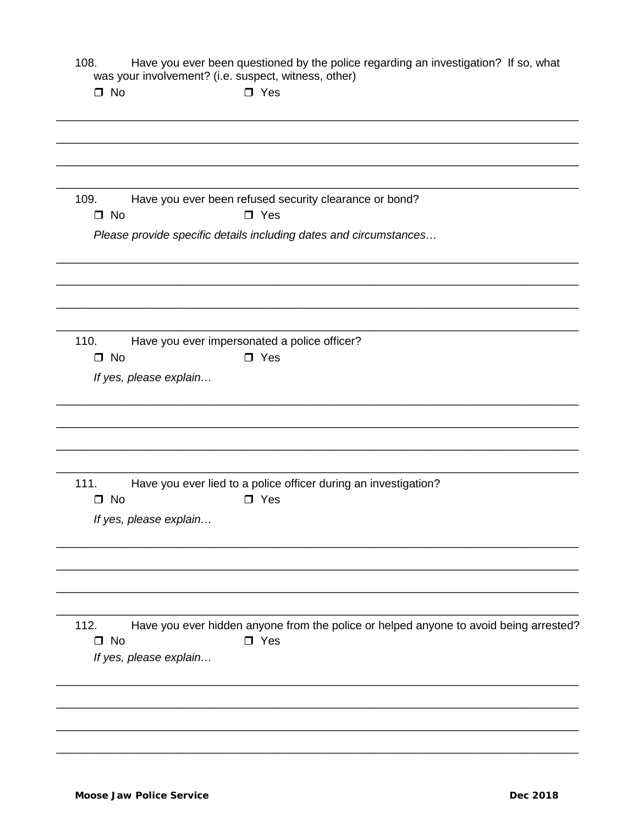3. Have you ever been questioned by the police regarding an investigation? If so, what was your involvement? (i.e. suspect, witness, other) 108.

| $\Box$ No                              | $\square$ Yes                                                                                          |
|----------------------------------------|--------------------------------------------------------------------------------------------------------|
|                                        |                                                                                                        |
| 109.<br>$\square$ No                   | Have you ever been refused security clearance or bond?<br>$\square$ Yes                                |
|                                        | Please provide specific details including dates and circumstances                                      |
|                                        |                                                                                                        |
| 110.                                   | Have you ever impersonated a police officer?                                                           |
| $\square$ No<br>If yes, please explain | $\square$ Yes                                                                                          |
|                                        |                                                                                                        |
| 111.                                   | Have you ever lied to a police officer during an investigation?                                        |
| $\square$ No<br>If yes, please explain | $\square$ Yes                                                                                          |
|                                        |                                                                                                        |
| 112.<br>$\square$ No                   | Have you ever hidden anyone from the police or helped anyone to avoid being arrested?<br>$\square$ Yes |
| If yes, please explain                 |                                                                                                        |
|                                        |                                                                                                        |
|                                        |                                                                                                        |
|                                        |                                                                                                        |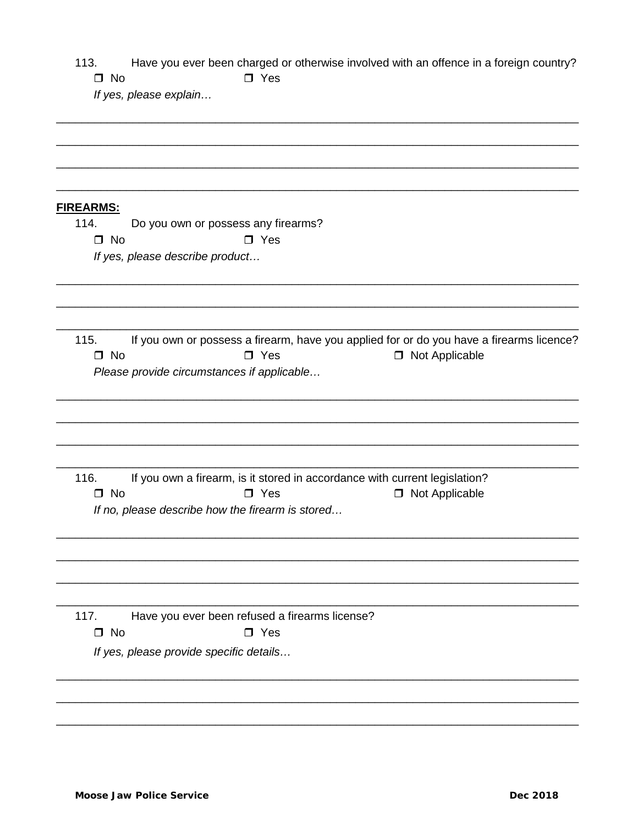| 113.      | Have you ever been charged or otherwise involved with an offence in a foreign country? |
|-----------|----------------------------------------------------------------------------------------|
| $\Box$ No | $\Box$ Yes                                                                             |

If yes, please explain...

|  |  |  | <b>FIREARMS:</b> |
|--|--|--|------------------|
|  |  |  |                  |

114. Do you own or possess any firearms?  $\Box$  No  $\Box$  Yes

If yes, please describe product...

If you own or possess a firearm, have you applied for or do you have a firearms licence?  $115.$  $\square$  No  $\Box$  Yes □ Not Applicable Please provide circumstances if applicable...

116. If you own a firearm, is it stored in accordance with current legislation?  $\Box$  No  $\square$  Yes □ Not Applicable If no, please describe how the firearm is stored...

Have you ever been refused a firearms license?  $117.$  $\Box$  No  $\square$  Yes

If yes, please provide specific details...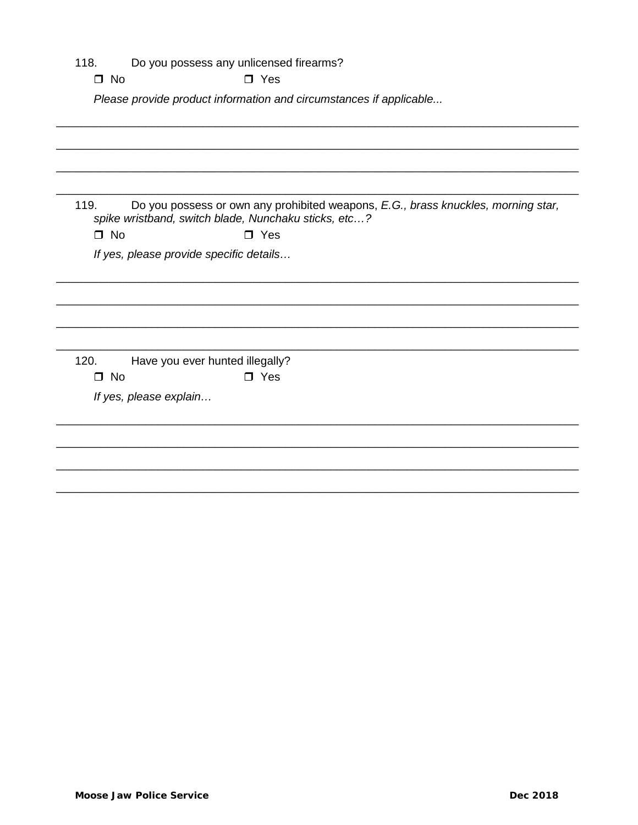| 118.<br>$\Box$ No | Do you possess any unlicensed firearms?<br>$\Box$ Yes                                                                                     |
|-------------------|-------------------------------------------------------------------------------------------------------------------------------------------|
|                   | Please provide product information and circumstances if applicable                                                                        |
|                   |                                                                                                                                           |
|                   |                                                                                                                                           |
|                   |                                                                                                                                           |
|                   |                                                                                                                                           |
| 119.              | Do you possess or own any prohibited weapons, E.G., brass knuckles, morning star,<br>spike wristband, switch blade, Nunchaku sticks, etc? |
| $\Box$ No         | $\square$ Yes                                                                                                                             |
|                   | If yes, please provide specific details                                                                                                   |
|                   |                                                                                                                                           |
|                   |                                                                                                                                           |
|                   |                                                                                                                                           |
|                   |                                                                                                                                           |
|                   |                                                                                                                                           |
| 120.<br>$\Box$ No | Have you ever hunted illegally?<br>$\Box$ Yes                                                                                             |
|                   |                                                                                                                                           |
|                   | If yes, please explain                                                                                                                    |
|                   |                                                                                                                                           |
|                   |                                                                                                                                           |
|                   |                                                                                                                                           |
|                   |                                                                                                                                           |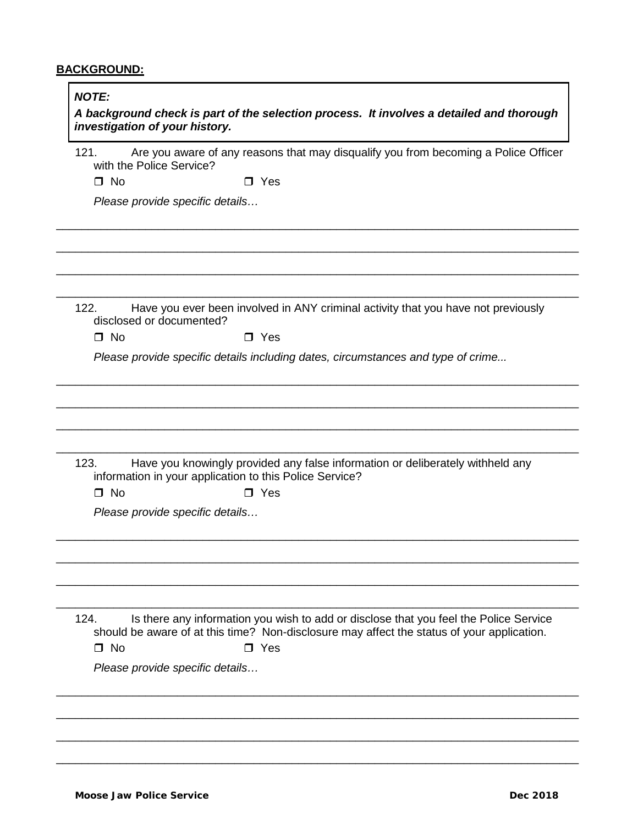# **BACKGROUND:**

| 121.              |                                 | Are you aware of any reasons that may disqualify you from becoming a Police Officer                                                                                                               |
|-------------------|---------------------------------|---------------------------------------------------------------------------------------------------------------------------------------------------------------------------------------------------|
| $\Box$ No         | with the Police Service?        | $\Box$ Yes                                                                                                                                                                                        |
|                   | Please provide specific details |                                                                                                                                                                                                   |
|                   |                                 |                                                                                                                                                                                                   |
| 122.              |                                 | Have you ever been involved in ANY criminal activity that you have not previously                                                                                                                 |
|                   | disclosed or documented?        |                                                                                                                                                                                                   |
| $\Box$ No         |                                 | $\Box$ Yes                                                                                                                                                                                        |
|                   |                                 | Please provide specific details including dates, circumstances and type of crime                                                                                                                  |
| 123.<br>$\Box$ No | Please provide specific details | Have you knowingly provided any false information or deliberately withheld any<br>information in your application to this Police Service?<br>$\Box$ Yes                                           |
|                   |                                 |                                                                                                                                                                                                   |
| 124.<br>$\Box$ No |                                 | Is there any information you wish to add or disclose that you feel the Police Service<br>should be aware of at this time? Non-disclosure may affect the status of your application.<br>$\Box$ Yes |
|                   | Please provide specific details |                                                                                                                                                                                                   |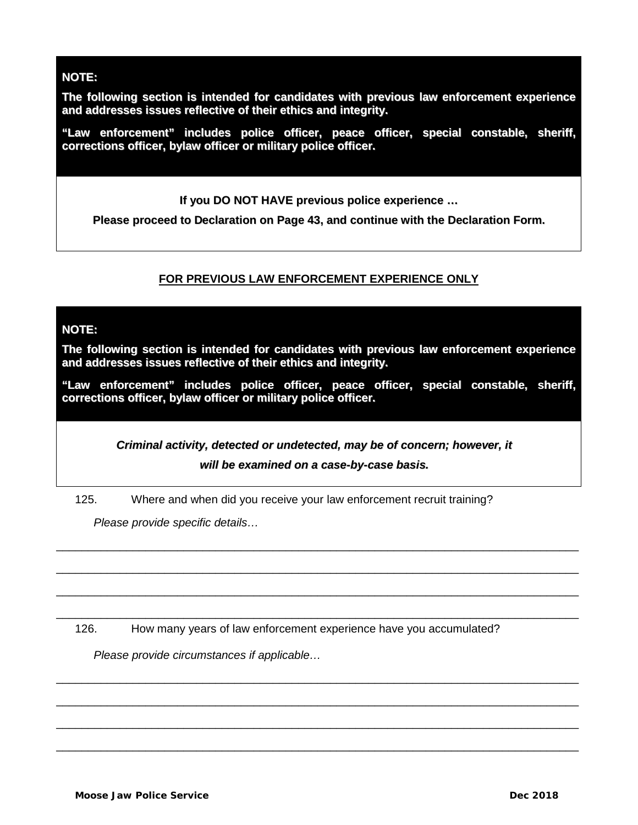# **NOTE:**

**The following section is intended for candidates with previous law enforcement experience and addresses issues reflective of their ethics and integrity.**

**"Law enforcement" includes police officer, peace officer, special constable, sheriff, corrections officer, bylaw officer or military police officer.**

**If you DO NOT HAVE previous police experience …**

**Please proceed to Declaration on Page 43, and continue with the Declaration Form.**

# **FOR PREVIOUS LAW ENFORCEMENT EXPERIENCE ONLY**

## **NOTE:**

**The following section is intended for candidates with previous law enforcement experience and addresses issues reflective of their ethics and integrity.**

**"Law enforcement" includes police officer, peace officer, special constable, sheriff, corrections officer, bylaw officer or military police officer.**

> *Criminal activity, detected or undetected, may be of concern; however, it will be examined on a case-by-case basis.*

\_\_\_\_\_\_\_\_\_\_\_\_\_\_\_\_\_\_\_\_\_\_\_\_\_\_\_\_\_\_\_\_\_\_\_\_\_\_\_\_\_\_\_\_\_\_\_\_\_\_\_\_\_\_\_\_\_\_\_\_\_\_\_\_\_\_\_\_\_\_\_\_\_\_\_\_\_\_\_\_\_\_

\_\_\_\_\_\_\_\_\_\_\_\_\_\_\_\_\_\_\_\_\_\_\_\_\_\_\_\_\_\_\_\_\_\_\_\_\_\_\_\_\_\_\_\_\_\_\_\_\_\_\_\_\_\_\_\_\_\_\_\_\_\_\_\_\_\_\_\_\_\_\_\_\_\_\_\_\_\_\_\_\_\_

\_\_\_\_\_\_\_\_\_\_\_\_\_\_\_\_\_\_\_\_\_\_\_\_\_\_\_\_\_\_\_\_\_\_\_\_\_\_\_\_\_\_\_\_\_\_\_\_\_\_\_\_\_\_\_\_\_\_\_\_\_\_\_\_\_\_\_\_\_\_\_\_\_\_\_\_\_\_\_\_\_\_

\_\_\_\_\_\_\_\_\_\_\_\_\_\_\_\_\_\_\_\_\_\_\_\_\_\_\_\_\_\_\_\_\_\_\_\_\_\_\_\_\_\_\_\_\_\_\_\_\_\_\_\_\_\_\_\_\_\_\_\_\_\_\_\_\_\_\_\_\_\_\_\_\_\_\_\_\_\_\_\_\_\_

\_\_\_\_\_\_\_\_\_\_\_\_\_\_\_\_\_\_\_\_\_\_\_\_\_\_\_\_\_\_\_\_\_\_\_\_\_\_\_\_\_\_\_\_\_\_\_\_\_\_\_\_\_\_\_\_\_\_\_\_\_\_\_\_\_\_\_\_\_\_\_\_\_\_\_\_\_\_\_\_\_\_

\_\_\_\_\_\_\_\_\_\_\_\_\_\_\_\_\_\_\_\_\_\_\_\_\_\_\_\_\_\_\_\_\_\_\_\_\_\_\_\_\_\_\_\_\_\_\_\_\_\_\_\_\_\_\_\_\_\_\_\_\_\_\_\_\_\_\_\_\_\_\_\_\_\_\_\_\_\_\_\_\_\_

\_\_\_\_\_\_\_\_\_\_\_\_\_\_\_\_\_\_\_\_\_\_\_\_\_\_\_\_\_\_\_\_\_\_\_\_\_\_\_\_\_\_\_\_\_\_\_\_\_\_\_\_\_\_\_\_\_\_\_\_\_\_\_\_\_\_\_\_\_\_\_\_\_\_\_\_\_\_\_\_\_\_

\_\_\_\_\_\_\_\_\_\_\_\_\_\_\_\_\_\_\_\_\_\_\_\_\_\_\_\_\_\_\_\_\_\_\_\_\_\_\_\_\_\_\_\_\_\_\_\_\_\_\_\_\_\_\_\_\_\_\_\_\_\_\_\_\_\_\_\_\_\_\_\_\_\_\_\_\_\_\_\_\_\_

125. Where and when did you receive your law enforcement recruit training?

*Please provide specific details…*

126. How many years of law enforcement experience have you accumulated?

*Please provide circumstances if applicable…*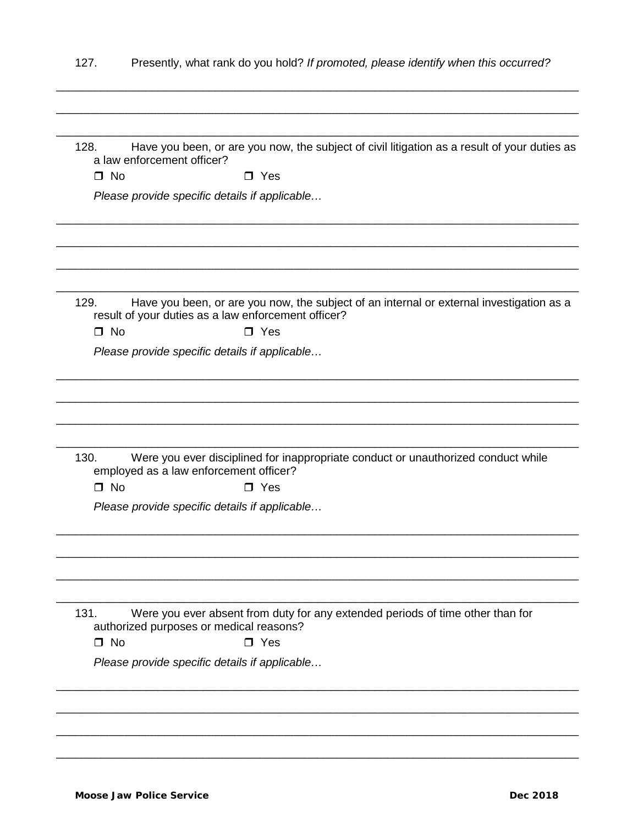| 127.              | Presently, what rank do you hold? If promoted, please identify when this occurred?                                                              |
|-------------------|-------------------------------------------------------------------------------------------------------------------------------------------------|
| 128.              | Have you been, or are you now, the subject of civil litigation as a result of your duties as<br>a law enforcement officer?                      |
| $\Box$ No         | $\Box$ Yes                                                                                                                                      |
|                   | Please provide specific details if applicable                                                                                                   |
|                   |                                                                                                                                                 |
| 129.              | Have you been, or are you now, the subject of an internal or external investigation as a<br>result of your duties as a law enforcement officer? |
| $\Box$ No         | $\Box$ Yes                                                                                                                                      |
|                   | Please provide specific details if applicable                                                                                                   |
| 130.              | Were you ever disciplined for inappropriate conduct or unauthorized conduct while<br>employed as a law enforcement officer?                     |
| $\Box$ No         | $\Box$ Yes                                                                                                                                      |
|                   | Please provide specific details if applicable                                                                                                   |
|                   |                                                                                                                                                 |
| 131.<br>$\Box$ No | Were you ever absent from duty for any extended periods of time other than for<br>authorized purposes or medical reasons?<br>$\Box$ Yes         |
|                   | Please provide specific details if applicable                                                                                                   |
|                   |                                                                                                                                                 |
|                   |                                                                                                                                                 |
|                   |                                                                                                                                                 |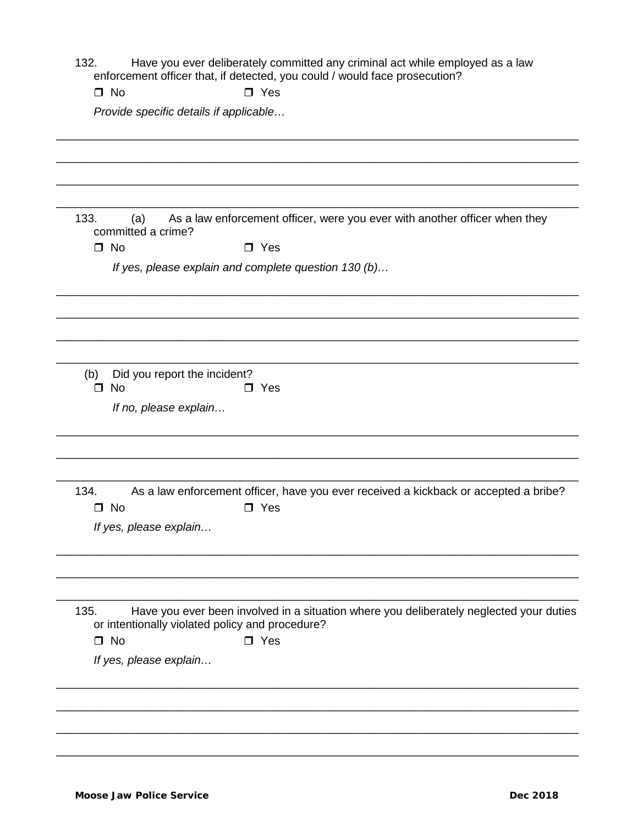- 2. Have you ever deliberately committed any criminal act while employed as a law<br>enforcement officer that, if detected, you could / would face prosecution? 132.
	- $\Box$  No  $\Box$  Yes

Provide specific details if applicable...

| As a law enforcement officer, were you ever with another officer when they<br>133.<br>(a)<br>committed a crime?                                    |
|----------------------------------------------------------------------------------------------------------------------------------------------------|
| $\Box$ No<br>$\Box$ Yes                                                                                                                            |
| If yes, please explain and complete question 130 (b)                                                                                               |
|                                                                                                                                                    |
| Did you report the incident?<br>(b)<br>$\Box$ No<br>$\Box$ Yes                                                                                     |
| If no, please explain                                                                                                                              |
| 134.<br>As a law enforcement officer, have you ever received a kickback or accepted a bribe?<br>$\Box$ No<br>$\square$ Yes                         |
| If yes, please explain                                                                                                                             |
|                                                                                                                                                    |
| Have you ever been involved in a situation where you deliberately neglected your duties<br>135.<br>or intentionally violated policy and procedure? |
| $\Box$ No<br>$\Box$ Yes                                                                                                                            |
| If yes, please explain                                                                                                                             |
|                                                                                                                                                    |
|                                                                                                                                                    |
|                                                                                                                                                    |
|                                                                                                                                                    |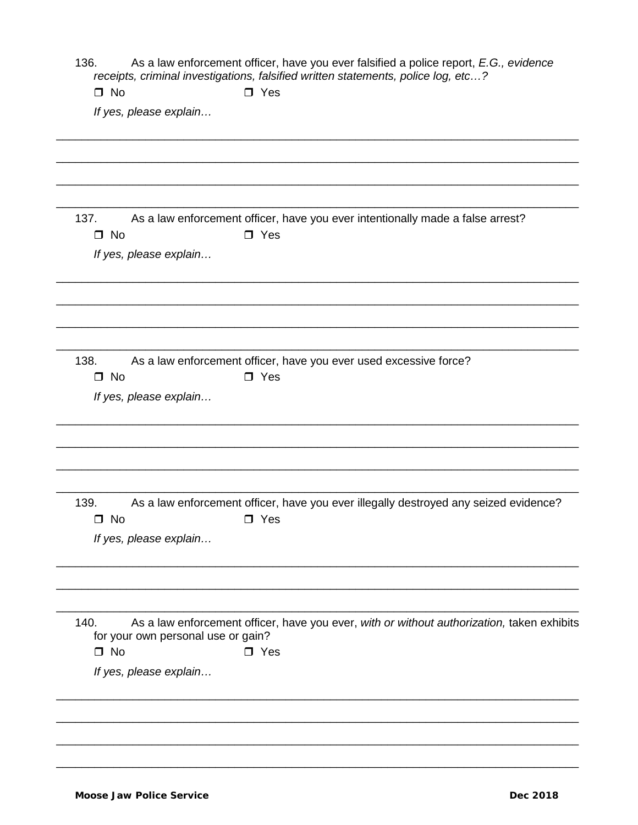136. As a law enforcement officer, have you ever falsified a police report, E.G., evidence receipts, criminal investigations, falsified written statements, police log, etc...?

| $\Box$ No |  |  | $\Box$ Yes |
|-----------|--|--|------------|
|           |  |  |            |

If yes, please explain...

| 137. | As a law enforcement officer, have you ever intentionally made a false arrest? |
|------|--------------------------------------------------------------------------------|
| ∩ No | □ Yes                                                                          |

If yes, please explain...

| 138. |       | As a law enforcement officer, have you ever used excessive force? |
|------|-------|-------------------------------------------------------------------|
| ∩ No | ∩ Yes |                                                                   |

If yes, please explain...

| 139.      |            | As a law enforcement officer, have you ever illegally destroyed any seized evidence? |
|-----------|------------|--------------------------------------------------------------------------------------|
| $\Box$ No | $\Box$ Yes |                                                                                      |

If yes, please explain...

| 140. | As a law enforcement officer, have you ever, with or without authorization, taken exhibits |
|------|--------------------------------------------------------------------------------------------|
|      | for your own personal use or gain?                                                         |

 $\Box$  No

 $\square$  Yes

If yes, please explain...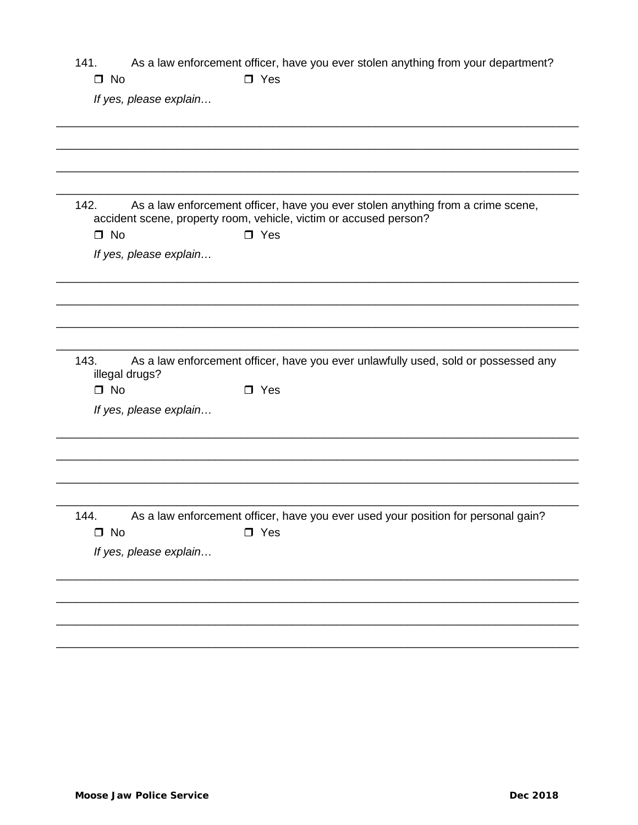|  | 141. | As a law enforcement officer, have you ever stolen anything from your department? |  |  |  |
|--|------|-----------------------------------------------------------------------------------|--|--|--|
|--|------|-----------------------------------------------------------------------------------|--|--|--|

# $\square$  Yes

If yes, please explain...

 $\Box$  No

| 142.              |                        | As a law enforcement officer, have you ever stolen anything from a crime scene,<br>accident scene, property room, vehicle, victim or accused person? |
|-------------------|------------------------|------------------------------------------------------------------------------------------------------------------------------------------------------|
| $\Box$ No         |                        | $\square$ Yes                                                                                                                                        |
|                   | If yes, please explain |                                                                                                                                                      |
|                   |                        |                                                                                                                                                      |
| 143.              | illegal drugs?         | As a law enforcement officer, have you ever unlawfully used, sold or possessed any                                                                   |
| $\Box$ No         |                        | $\Box$ Yes                                                                                                                                           |
|                   | If yes, please explain |                                                                                                                                                      |
|                   |                        |                                                                                                                                                      |
| 144.<br>$\Box$ No |                        | As a law enforcement officer, have you ever used your position for personal gain?<br>$\square$ Yes                                                   |
|                   | If yes, please explain |                                                                                                                                                      |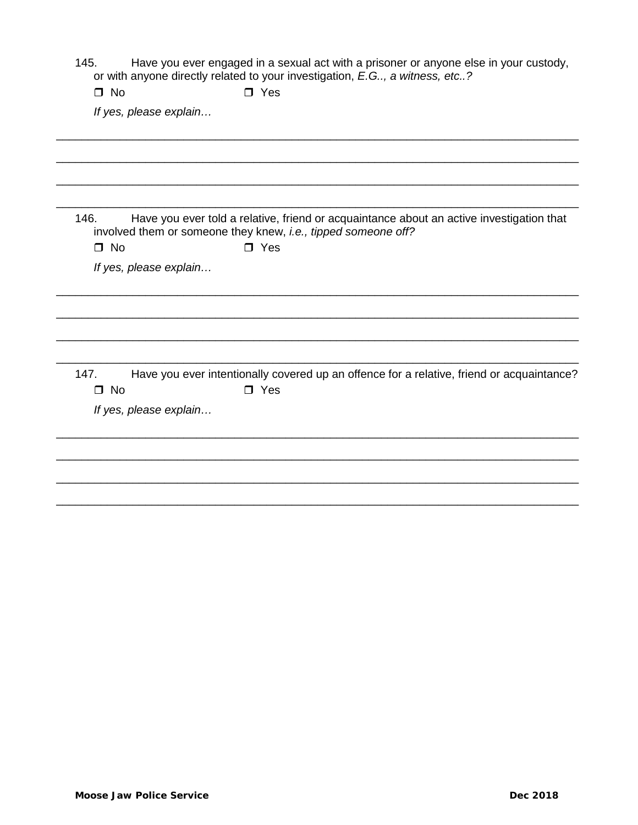Have you ever engaged in a sexual act with a prisoner or anyone else in your custody, 145. or with anyone directly related to your investigation, E.G.., a witness, etc..?

| $\Box$ No<br>$\Box$ Yes |  |
|-------------------------|--|
|-------------------------|--|

If yes, please explain...

| 146.      | Have you ever told a relative, friend or acquaintance about an active investigation that |
|-----------|------------------------------------------------------------------------------------------|
|           | involved them or someone they knew, <i>i.e., tipped someone off?</i>                     |
| $\Box$ No | $\Box$ Yes                                                                               |

If yes, please explain...

Have you ever intentionally covered up an offence for a relative, friend or acquaintance?  $147.$  $\Box$  No  $\Box$  Yes

If yes, please explain...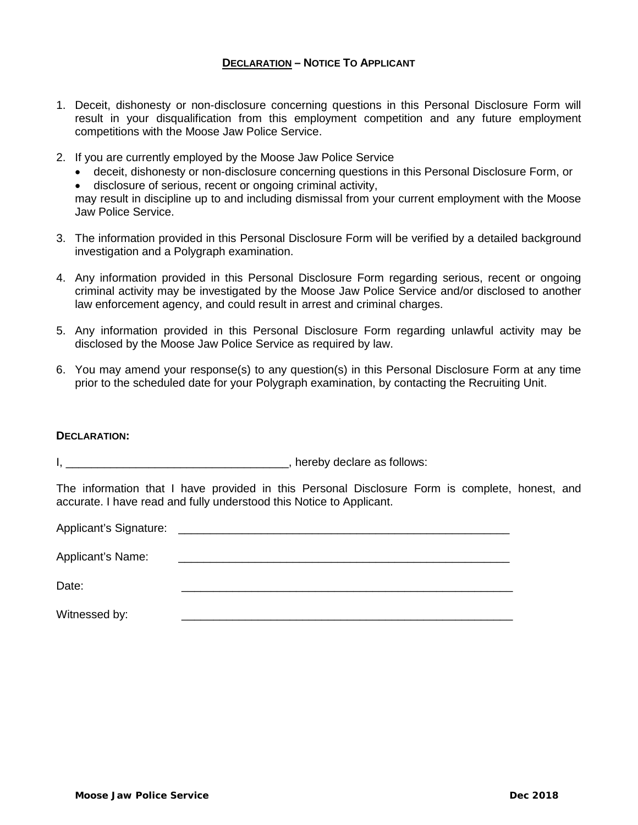## **DECLARATION – NOTICE TO APPLICANT**

- 1. Deceit, dishonesty or non-disclosure concerning questions in this Personal Disclosure Form will result in your disqualification from this employment competition and any future employment competitions with the Moose Jaw Police Service.
- 2. If you are currently employed by the Moose Jaw Police Service
	- deceit, dishonesty or non-disclosure concerning questions in this Personal Disclosure Form, or

• disclosure of serious, recent or ongoing criminal activity, may result in discipline up to and including dismissal from your current employment with the Moose Jaw Police Service.

- 3. The information provided in this Personal Disclosure Form will be verified by a detailed background investigation and a Polygraph examination.
- 4. Any information provided in this Personal Disclosure Form regarding serious, recent or ongoing criminal activity may be investigated by the Moose Jaw Police Service and/or disclosed to another law enforcement agency, and could result in arrest and criminal charges.
- 5. Any information provided in this Personal Disclosure Form regarding unlawful activity may be disclosed by the Moose Jaw Police Service as required by law.
- 6. You may amend your response(s) to any question(s) in this Personal Disclosure Form at any time prior to the scheduled date for your Polygraph examination, by contacting the Recruiting Unit.

#### **DECLARATION:**

I, \_\_\_\_\_\_\_\_\_\_\_\_\_\_\_\_\_\_\_\_\_\_\_\_\_\_\_\_\_\_\_\_\_\_\_, hereby declare as follows:

The information that I have provided in this Personal Disclosure Form is complete, honest, and accurate. I have read and fully understood this Notice to Applicant.

Applicant's Signature: \_\_\_\_\_\_\_\_\_\_\_\_\_\_\_\_\_\_\_\_\_\_\_\_\_\_\_\_\_\_\_\_\_\_\_\_\_\_\_\_\_\_\_\_\_\_\_\_\_\_\_\_ Applicant's Name: Date: \_\_\_\_\_\_\_\_\_\_\_\_\_\_\_\_\_\_\_\_\_\_\_\_\_\_\_\_\_\_\_\_\_\_\_\_\_\_\_\_\_\_\_\_\_\_\_\_\_\_\_\_ Witnessed by: